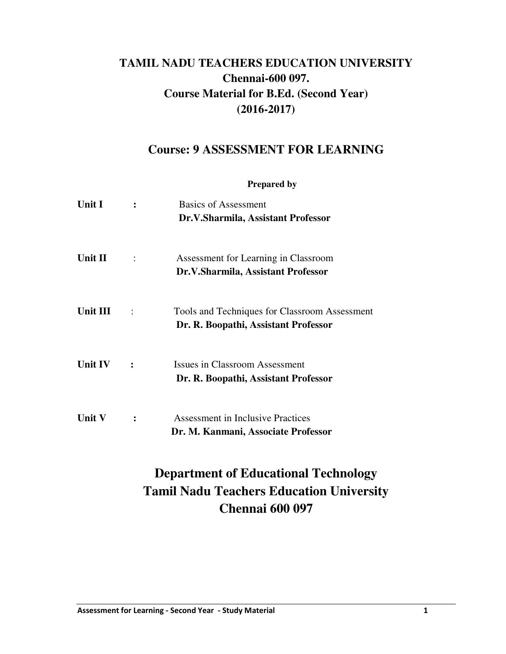# **TAMIL NADU TEACHERS EDUCATION UNIVERSITY Chennai-600 097. Course Material for B.Ed. (Second Year) (2016-2017)**

# **Course: 9 ASSESSMENT FOR LEARNING**

# **Prepared by**

| Unit I        | <b>Basics of Assessment</b><br>Dr.V.Sharmila, Assistant Professor                     |
|---------------|---------------------------------------------------------------------------------------|
| Unit II       | Assessment for Learning in Classroom<br>Dr.V.Sharmila, Assistant Professor            |
| Unit III      | Tools and Techniques for Classroom Assessment<br>Dr. R. Boopathi, Assistant Professor |
| Unit IV       | <b>Issues in Classroom Assessment</b><br>Dr. R. Boopathi, Assistant Professor         |
| <b>Unit V</b> | <b>Assessment in Inclusive Practices</b><br>Dr. M. Kanmani, Associate Professor       |

# **Department of Educational Technology Tamil Nadu Teachers Education University Chennai 600 097**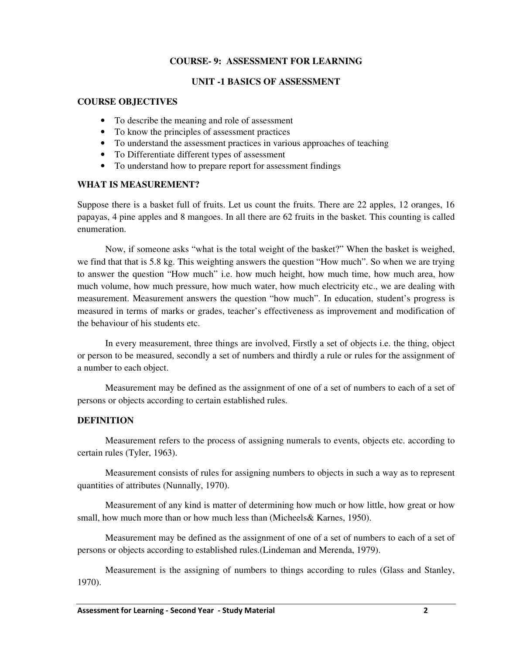## **COURSE- 9: ASSESSMENT FOR LEARNING**

## **UNIT -1 BASICS OF ASSESSMENT**

#### **COURSE OBJECTIVES**

- To describe the meaning and role of assessment
- To know the principles of assessment practices
- To understand the assessment practices in various approaches of teaching
- To Differentiate different types of assessment
- To understand how to prepare report for assessment findings

## **WHAT IS MEASUREMENT?**

Suppose there is a basket full of fruits. Let us count the fruits. There are 22 apples, 12 oranges, 16 papayas, 4 pine apples and 8 mangoes. In all there are 62 fruits in the basket. This counting is called enumeration.

 Now, if someone asks "what is the total weight of the basket?" When the basket is weighed, we find that that is 5.8 kg. This weighting answers the question "How much". So when we are trying to answer the question "How much" i.e. how much height, how much time, how much area, how much volume, how much pressure, how much water, how much electricity etc., we are dealing with measurement. Measurement answers the question "how much". In education, student's progress is measured in terms of marks or grades, teacher's effectiveness as improvement and modification of the behaviour of his students etc.

 In every measurement, three things are involved, Firstly a set of objects i.e. the thing, object or person to be measured, secondly a set of numbers and thirdly a rule or rules for the assignment of a number to each object.

Measurement may be defined as the assignment of one of a set of numbers to each of a set of persons or objects according to certain established rules.

## **DEFINITION**

Measurement refers to the process of assigning numerals to events, objects etc. according to certain rules (Tyler, 1963).

 Measurement consists of rules for assigning numbers to objects in such a way as to represent quantities of attributes (Nunnally, 1970).

 Measurement of any kind is matter of determining how much or how little, how great or how small, how much more than or how much less than (Micheels& Karnes, 1950).

 Measurement may be defined as the assignment of one of a set of numbers to each of a set of persons or objects according to established rules.(Lindeman and Merenda, 1979).

 Measurement is the assigning of numbers to things according to rules (Glass and Stanley, 1970).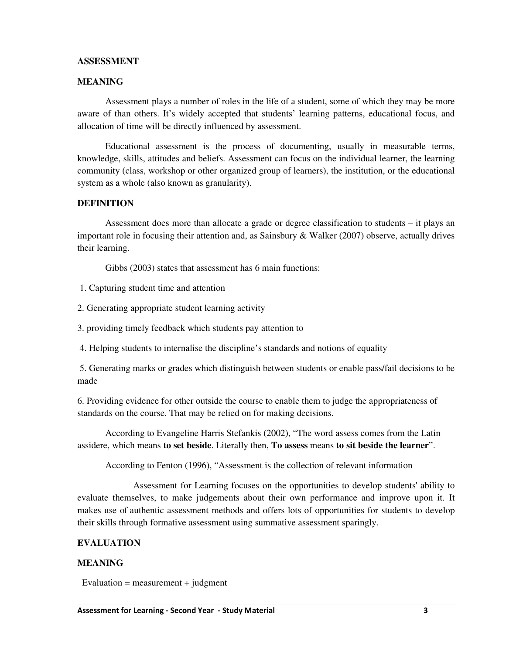## **ASSESSMENT**

#### **MEANING**

Assessment plays a number of roles in the life of a student, some of which they may be more aware of than others. It's widely accepted that students' learning patterns, educational focus, and allocation of time will be directly influenced by assessment.

Educational assessment is the process of documenting, usually in measurable terms, knowledge, skills, attitudes and beliefs. Assessment can focus on the individual learner, the learning community (class, workshop or other organized group of learners), the institution, or the educational system as a whole (also known as granularity).

#### **DEFINITION**

Assessment does more than allocate a grade or degree classification to students – it plays an important role in focusing their attention and, as Sainsbury & Walker (2007) observe, actually drives their learning.

Gibbs (2003) states that assessment has 6 main functions:

1. Capturing student time and attention

2. Generating appropriate student learning activity

- 3. providing timely feedback which students pay attention to
- 4. Helping students to internalise the discipline's standards and notions of equality

 5. Generating marks or grades which distinguish between students or enable pass/fail decisions to be made

6. Providing evidence for other outside the course to enable them to judge the appropriateness of standards on the course. That may be relied on for making decisions.

According to Evangeline Harris Stefankis (2002), "The word assess comes from the Latin assidere, which means **to set beside**. Literally then, **To assess** means **to sit beside the learner**".

According to Fenton (1996), "Assessment is the collection of relevant information

 Assessment for Learning focuses on the opportunities to develop students' ability to evaluate themselves, to make judgements about their own performance and improve upon it. It makes use of authentic assessment methods and offers lots of opportunities for students to develop their skills through formative assessment using summative assessment sparingly.

#### **EVALUATION**

#### **MEANING**

Evaluation = measurement + judgment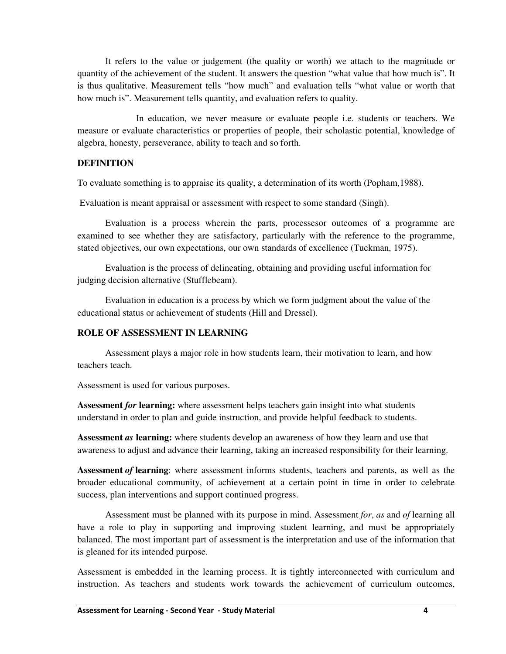It refers to the value or judgement (the quality or worth) we attach to the magnitude or quantity of the achievement of the student. It answers the question "what value that how much is". It is thus qualitative. Measurement tells "how much" and evaluation tells "what value or worth that how much is". Measurement tells quantity, and evaluation refers to quality.

 In education, we never measure or evaluate people i.e. students or teachers. We measure or evaluate characteristics or properties of people, their scholastic potential, knowledge of algebra, honesty, perseverance, ability to teach and so forth.

## **DEFINITION**

To evaluate something is to appraise its quality, a determination of its worth (Popham,1988).

Evaluation is meant appraisal or assessment with respect to some standard (Singh).

Evaluation is a process wherein the parts, processesor outcomes of a programme are examined to see whether they are satisfactory, particularly with the reference to the programme, stated objectives, our own expectations, our own standards of excellence (Tuckman, 1975).

Evaluation is the process of delineating, obtaining and providing useful information for judging decision alternative (Stufflebeam).

Evaluation in education is a process by which we form judgment about the value of the educational status or achievement of students (Hill and Dressel).

## **ROLE OF ASSESSMENT IN LEARNING**

Assessment plays a major role in how students learn, their motivation to learn, and how teachers teach.

Assessment is used for various purposes.

**Assessment** *for* **learning:** where assessment helps teachers gain insight into what students understand in order to plan and guide instruction, and provide helpful feedback to students.

**Assessment** *as* **learning:** where students develop an awareness of how they learn and use that awareness to adjust and advance their learning, taking an increased responsibility for their learning.

**Assessment** *of* **learning**: where assessment informs students, teachers and parents, as well as the broader educational community, of achievement at a certain point in time in order to celebrate success, plan interventions and support continued progress.

Assessment must be planned with its purpose in mind. Assessment *for*, *as* and *of* learning all have a role to play in supporting and improving student learning, and must be appropriately balanced. The most important part of assessment is the interpretation and use of the information that is gleaned for its intended purpose.

Assessment is embedded in the learning process. It is tightly interconnected with curriculum and instruction. As teachers and students work towards the achievement of curriculum outcomes,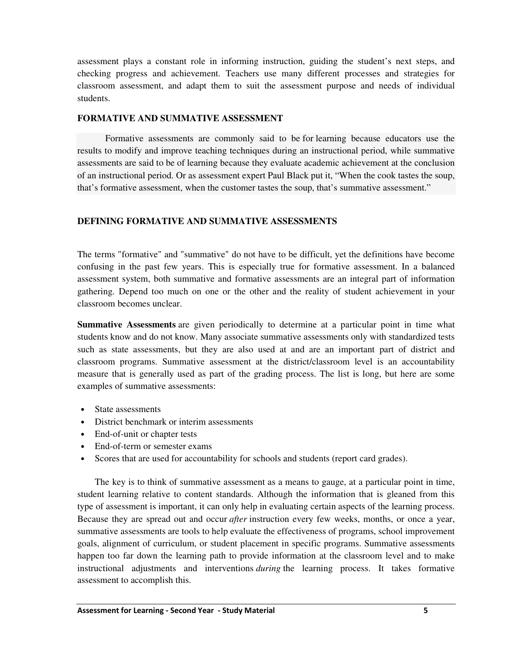assessment plays a constant role in informing instruction, guiding the student's next steps, and checking progress and achievement. Teachers use many different processes and strategies for classroom assessment, and adapt them to suit the assessment purpose and needs of individual students.

#### **FORMATIVE AND SUMMATIVE ASSESSMENT**

Formative assessments are commonly said to be for learning because educators use the results to modify and improve teaching techniques during an instructional period, while summative assessments are said to be of learning because they evaluate academic achievement at the conclusion of an instructional period. Or as assessment expert Paul Black put it, "When the cook tastes the soup, that's formative assessment, when the customer tastes the soup, that's summative assessment."

#### **DEFINING FORMATIVE AND SUMMATIVE ASSESSMENTS**

The terms "formative" and "summative" do not have to be difficult, yet the definitions have become confusing in the past few years. This is especially true for formative assessment. In a balanced assessment system, both summative and formative assessments are an integral part of information gathering. Depend too much on one or the other and the reality of student achievement in your classroom becomes unclear.

**Summative Assessments** are given periodically to determine at a particular point in time what students know and do not know. Many associate summative assessments only with standardized tests such as state assessments, but they are also used at and are an important part of district and classroom programs. Summative assessment at the district/classroom level is an accountability measure that is generally used as part of the grading process. The list is long, but here are some examples of summative assessments:

- State assessments
- District benchmark or interim assessments
- End-of-unit or chapter tests
- End-of-term or semester exams
- Scores that are used for accountability for schools and students (report card grades).

The key is to think of summative assessment as a means to gauge, at a particular point in time, student learning relative to content standards. Although the information that is gleaned from this type of assessment is important, it can only help in evaluating certain aspects of the learning process. Because they are spread out and occur *after* instruction every few weeks, months, or once a year, summative assessments are tools to help evaluate the effectiveness of programs, school improvement goals, alignment of curriculum, or student placement in specific programs. Summative assessments happen too far down the learning path to provide information at the classroom level and to make instructional adjustments and interventions *during* the learning process. It takes formative assessment to accomplish this.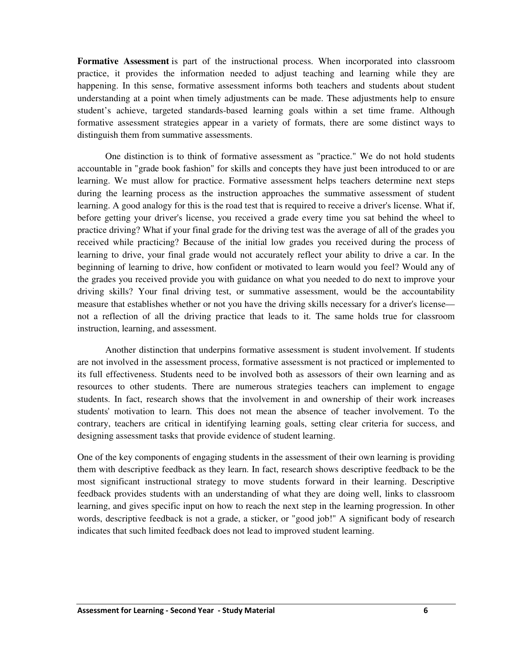**Formative Assessment** is part of the instructional process. When incorporated into classroom practice, it provides the information needed to adjust teaching and learning while they are happening. In this sense, formative assessment informs both teachers and students about student understanding at a point when timely adjustments can be made. These adjustments help to ensure student's achieve, targeted standards-based learning goals within a set time frame. Although formative assessment strategies appear in a variety of formats, there are some distinct ways to distinguish them from summative assessments.

One distinction is to think of formative assessment as "practice." We do not hold students accountable in "grade book fashion" for skills and concepts they have just been introduced to or are learning. We must allow for practice. Formative assessment helps teachers determine next steps during the learning process as the instruction approaches the summative assessment of student learning. A good analogy for this is the road test that is required to receive a driver's license. What if, before getting your driver's license, you received a grade every time you sat behind the wheel to practice driving? What if your final grade for the driving test was the average of all of the grades you received while practicing? Because of the initial low grades you received during the process of learning to drive, your final grade would not accurately reflect your ability to drive a car. In the beginning of learning to drive, how confident or motivated to learn would you feel? Would any of the grades you received provide you with guidance on what you needed to do next to improve your driving skills? Your final driving test, or summative assessment, would be the accountability measure that establishes whether or not you have the driving skills necessary for a driver's license not a reflection of all the driving practice that leads to it. The same holds true for classroom instruction, learning, and assessment.

Another distinction that underpins formative assessment is student involvement. If students are not involved in the assessment process, formative assessment is not practiced or implemented to its full effectiveness. Students need to be involved both as assessors of their own learning and as resources to other students. There are numerous strategies teachers can implement to engage students. In fact, research shows that the involvement in and ownership of their work increases students' motivation to learn. This does not mean the absence of teacher involvement. To the contrary, teachers are critical in identifying learning goals, setting clear criteria for success, and designing assessment tasks that provide evidence of student learning.

One of the key components of engaging students in the assessment of their own learning is providing them with descriptive feedback as they learn. In fact, research shows descriptive feedback to be the most significant instructional strategy to move students forward in their learning. Descriptive feedback provides students with an understanding of what they are doing well, links to classroom learning, and gives specific input on how to reach the next step in the learning progression. In other words, descriptive feedback is not a grade, a sticker, or "good job!" A significant body of research indicates that such limited feedback does not lead to improved student learning.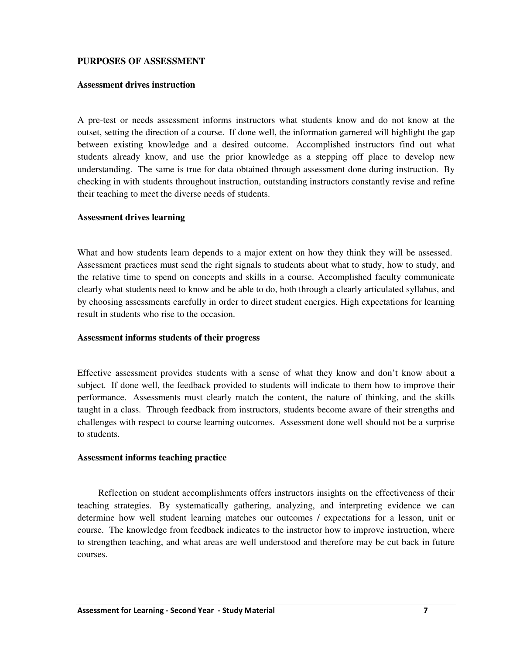## **PURPOSES OF ASSESSMENT**

#### **Assessment drives instruction**

A pre-test or needs assessment informs instructors what students know and do not know at the outset, setting the direction of a course. If done well, the information garnered will highlight the gap between existing knowledge and a desired outcome. Accomplished instructors find out what students already know, and use the prior knowledge as a stepping off place to develop new understanding. The same is true for data obtained through assessment done during instruction. By checking in with students throughout instruction, outstanding instructors constantly revise and refine their teaching to meet the diverse needs of students.

## **Assessment drives learning**

What and how students learn depends to a major extent on how they think they will be assessed. Assessment practices must send the right signals to students about what to study, how to study, and the relative time to spend on concepts and skills in a course. Accomplished faculty communicate clearly what students need to know and be able to do, both through a clearly articulated syllabus, and by choosing assessments carefully in order to direct student energies. High expectations for learning result in students who rise to the occasion.

## **Assessment informs students of their progress**

Effective assessment provides students with a sense of what they know and don't know about a subject. If done well, the feedback provided to students will indicate to them how to improve their performance. Assessments must clearly match the content, the nature of thinking, and the skills taught in a class. Through feedback from instructors, students become aware of their strengths and challenges with respect to course learning outcomes. Assessment done well should not be a surprise to students.

## **Assessment informs teaching practice**

 Reflection on student accomplishments offers instructors insights on the effectiveness of their teaching strategies. By systematically gathering, analyzing, and interpreting evidence we can determine how well student learning matches our outcomes / expectations for a lesson, unit or course. The knowledge from feedback indicates to the instructor how to improve instruction, where to strengthen teaching, and what areas are well understood and therefore may be cut back in future courses.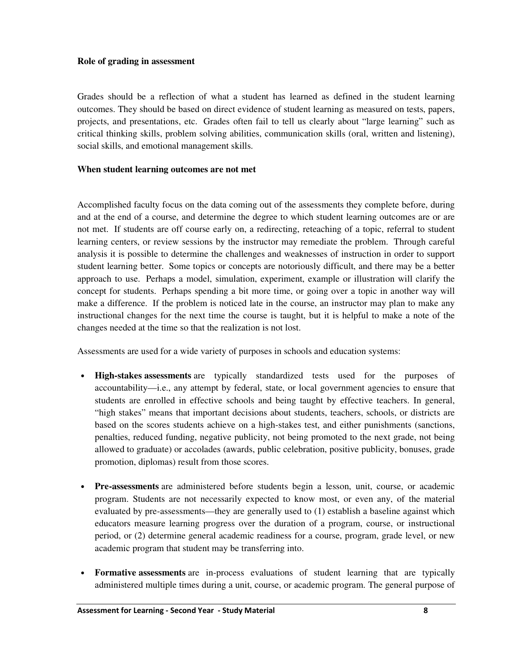## **Role of grading in assessment**

Grades should be a reflection of what a student has learned as defined in the student learning outcomes. They should be based on direct evidence of student learning as measured on tests, papers, projects, and presentations, etc. Grades often fail to tell us clearly about "large learning" such as critical thinking skills, problem solving abilities, communication skills (oral, written and listening), social skills, and emotional management skills.

## **When student learning outcomes are not met**

Accomplished faculty focus on the data coming out of the assessments they complete before, during and at the end of a course, and determine the degree to which student learning outcomes are or are not met. If students are off course early on, a redirecting, reteaching of a topic, referral to student learning centers, or review sessions by the instructor may remediate the problem. Through careful analysis it is possible to determine the challenges and weaknesses of instruction in order to support student learning better. Some topics or concepts are notoriously difficult, and there may be a better approach to use. Perhaps a model, simulation, experiment, example or illustration will clarify the concept for students. Perhaps spending a bit more time, or going over a topic in another way will make a difference. If the problem is noticed late in the course, an instructor may plan to make any instructional changes for the next time the course is taught, but it is helpful to make a note of the changes needed at the time so that the realization is not lost.

Assessments are used for a wide variety of purposes in schools and education systems:

- **High-stakes assessments** are typically standardized tests used for the purposes of accountability—i.e., any attempt by federal, state, or local government agencies to ensure that students are enrolled in effective schools and being taught by effective teachers. In general, "high stakes" means that important decisions about students, teachers, schools, or districts are based on the scores students achieve on a high-stakes test, and either punishments (sanctions, penalties, reduced funding, negative publicity, not being promoted to the next grade, not being allowed to graduate) or accolades (awards, public celebration, positive publicity, bonuses, grade promotion, diplomas) result from those scores.
- **Pre-assessments** are administered before students begin a lesson, unit, course, or academic program. Students are not necessarily expected to know most, or even any, of the material evaluated by pre-assessments—they are generally used to (1) establish a baseline against which educators measure learning progress over the duration of a program, course, or instructional period, or (2) determine general academic readiness for a course, program, grade level, or new academic program that student may be transferring into.
- **Formative assessments** are in-process evaluations of student learning that are typically administered multiple times during a unit, course, or academic program. The general purpose of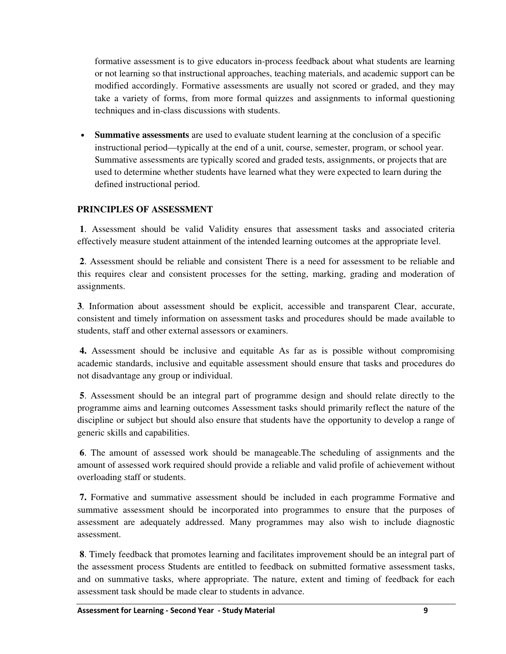formative assessment is to give educators in-process feedback about what students are learning or not learning so that instructional approaches, teaching materials, and academic support can be modified accordingly. Formative assessments are usually not scored or graded, and they may take a variety of forms, from more formal quizzes and assignments to informal questioning techniques and in-class discussions with students.

• **Summative assessments** are used to evaluate student learning at the conclusion of a specific instructional period—typically at the end of a unit, course, semester, program, or school year. Summative assessments are typically scored and graded tests, assignments, or projects that are used to determine whether students have learned what they were expected to learn during the defined instructional period.

# **PRINCIPLES OF ASSESSMENT**

 **1**. Assessment should be valid Validity ensures that assessment tasks and associated criteria effectively measure student attainment of the intended learning outcomes at the appropriate level.

 **2**. Assessment should be reliable and consistent There is a need for assessment to be reliable and this requires clear and consistent processes for the setting, marking, grading and moderation of assignments.

**3**. Information about assessment should be explicit, accessible and transparent Clear, accurate, consistent and timely information on assessment tasks and procedures should be made available to students, staff and other external assessors or examiners.

 **4.** Assessment should be inclusive and equitable As far as is possible without compromising academic standards, inclusive and equitable assessment should ensure that tasks and procedures do not disadvantage any group or individual.

 **5**. Assessment should be an integral part of programme design and should relate directly to the programme aims and learning outcomes Assessment tasks should primarily reflect the nature of the discipline or subject but should also ensure that students have the opportunity to develop a range of generic skills and capabilities.

 **6**. The amount of assessed work should be manageable.The scheduling of assignments and the amount of assessed work required should provide a reliable and valid profile of achievement without overloading staff or students.

 **7.** Formative and summative assessment should be included in each programme Formative and summative assessment should be incorporated into programmes to ensure that the purposes of assessment are adequately addressed. Many programmes may also wish to include diagnostic assessment.

 **8**. Timely feedback that promotes learning and facilitates improvement should be an integral part of the assessment process Students are entitled to feedback on submitted formative assessment tasks, and on summative tasks, where appropriate. The nature, extent and timing of feedback for each assessment task should be made clear to students in advance.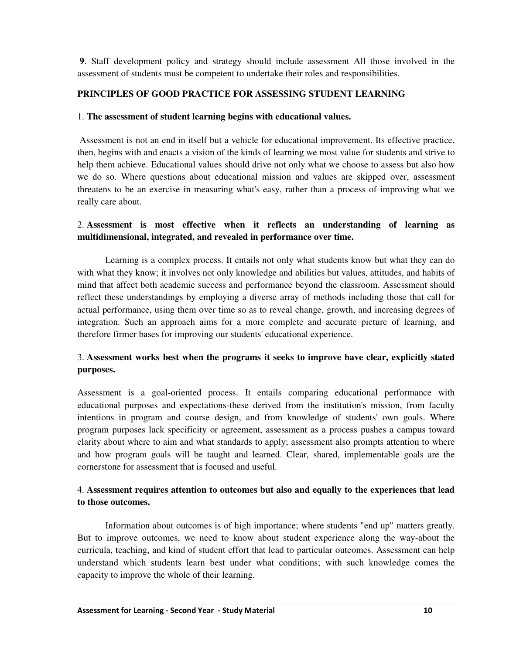**9**. Staff development policy and strategy should include assessment All those involved in the assessment of students must be competent to undertake their roles and responsibilities.

## **PRINCIPLES OF GOOD PRACTICE FOR ASSESSING STUDENT LEARNING**

## 1. **The assessment of student learning begins with educational values.**

 Assessment is not an end in itself but a vehicle for educational improvement. Its effective practice, then, begins with and enacts a vision of the kinds of learning we most value for students and strive to help them achieve. Educational values should drive not only what we choose to assess but also how we do so. Where questions about educational mission and values are skipped over, assessment threatens to be an exercise in measuring what's easy, rather than a process of improving what we really care about.

## 2. **Assessment is most effective when it reflects an understanding of learning as multidimensional, integrated, and revealed in performance over time.**

 Learning is a complex process. It entails not only what students know but what they can do with what they know; it involves not only knowledge and abilities but values, attitudes, and habits of mind that affect both academic success and performance beyond the classroom. Assessment should reflect these understandings by employing a diverse array of methods including those that call for actual performance, using them over time so as to reveal change, growth, and increasing degrees of integration. Such an approach aims for a more complete and accurate picture of learning, and therefore firmer bases for improving our students' educational experience.

# 3. **Assessment works best when the programs it seeks to improve have clear, explicitly stated purposes.**

Assessment is a goal-oriented process. It entails comparing educational performance with educational purposes and expectations-these derived from the institution's mission, from faculty intentions in program and course design, and from knowledge of students' own goals. Where program purposes lack specificity or agreement, assessment as a process pushes a campus toward clarity about where to aim and what standards to apply; assessment also prompts attention to where and how program goals will be taught and learned. Clear, shared, implementable goals are the cornerstone for assessment that is focused and useful.

# 4. **Assessment requires attention to outcomes but also and equally to the experiences that lead to those outcomes.**

 Information about outcomes is of high importance; where students "end up" matters greatly. But to improve outcomes, we need to know about student experience along the way-about the curricula, teaching, and kind of student effort that lead to particular outcomes. Assessment can help understand which students learn best under what conditions; with such knowledge comes the capacity to improve the whole of their learning.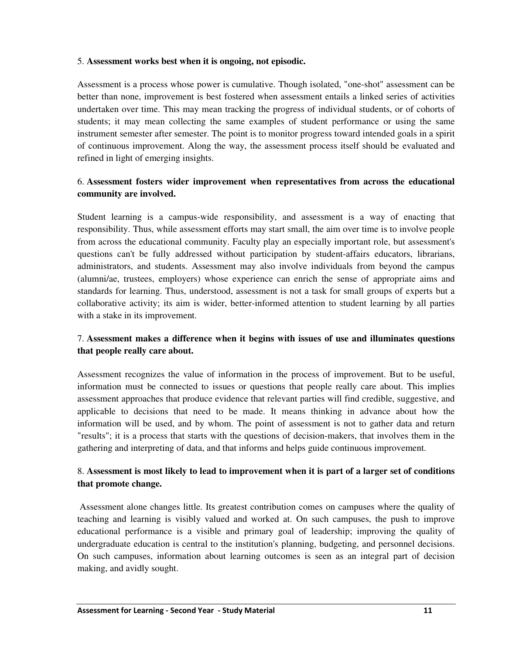## 5. **Assessment works best when it is ongoing, not episodic.**

Assessment is a process whose power is cumulative. Though isolated, "one-shot" assessment can be better than none, improvement is best fostered when assessment entails a linked series of activities undertaken over time. This may mean tracking the progress of individual students, or of cohorts of students; it may mean collecting the same examples of student performance or using the same instrument semester after semester. The point is to monitor progress toward intended goals in a spirit of continuous improvement. Along the way, the assessment process itself should be evaluated and refined in light of emerging insights.

# 6. **Assessment fosters wider improvement when representatives from across the educational community are involved.**

Student learning is a campus-wide responsibility, and assessment is a way of enacting that responsibility. Thus, while assessment efforts may start small, the aim over time is to involve people from across the educational community. Faculty play an especially important role, but assessment's questions can't be fully addressed without participation by student-affairs educators, librarians, administrators, and students. Assessment may also involve individuals from beyond the campus (alumni/ae, trustees, employers) whose experience can enrich the sense of appropriate aims and standards for learning. Thus, understood, assessment is not a task for small groups of experts but a collaborative activity; its aim is wider, better-informed attention to student learning by all parties with a stake in its improvement.

# 7. **Assessment makes a difference when it begins with issues of use and illuminates questions that people really care about.**

Assessment recognizes the value of information in the process of improvement. But to be useful, information must be connected to issues or questions that people really care about. This implies assessment approaches that produce evidence that relevant parties will find credible, suggestive, and applicable to decisions that need to be made. It means thinking in advance about how the information will be used, and by whom. The point of assessment is not to gather data and return "results"; it is a process that starts with the questions of decision-makers, that involves them in the gathering and interpreting of data, and that informs and helps guide continuous improvement.

# 8. **Assessment is most likely to lead to improvement when it is part of a larger set of conditions that promote change.**

 Assessment alone changes little. Its greatest contribution comes on campuses where the quality of teaching and learning is visibly valued and worked at. On such campuses, the push to improve educational performance is a visible and primary goal of leadership; improving the quality of undergraduate education is central to the institution's planning, budgeting, and personnel decisions. On such campuses, information about learning outcomes is seen as an integral part of decision making, and avidly sought.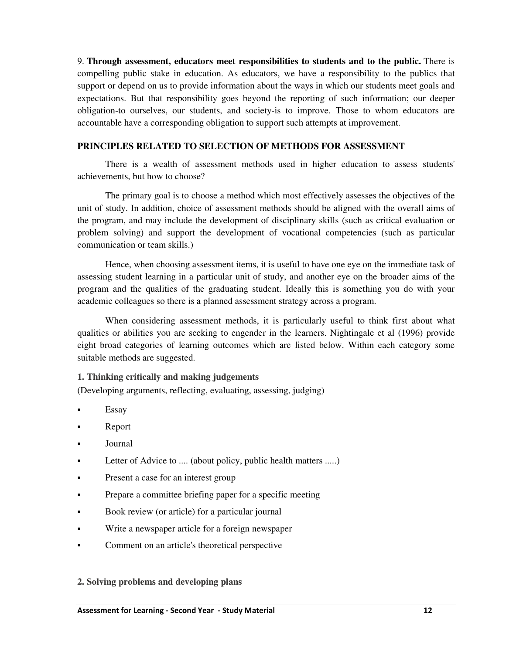9. **Through assessment, educators meet responsibilities to students and to the public.** There is compelling public stake in education. As educators, we have a responsibility to the publics that support or depend on us to provide information about the ways in which our students meet goals and expectations. But that responsibility goes beyond the reporting of such information; our deeper obligation-to ourselves, our students, and society-is to improve. Those to whom educators are accountable have a corresponding obligation to support such attempts at improvement.

## **PRINCIPLES RELATED TO SELECTION OF METHODS FOR ASSESSMENT**

There is a wealth of assessment methods used in higher education to assess students' achievements, but how to choose?

The primary goal is to choose a method which most effectively assesses the objectives of the unit of study. In addition, choice of assessment methods should be aligned with the overall aims of the program, and may include the development of disciplinary skills (such as critical evaluation or problem solving) and support the development of vocational competencies (such as particular communication or team skills.)

Hence, when choosing assessment items, it is useful to have one eye on the immediate task of assessing student learning in a particular unit of study, and another eye on the broader aims of the program and the qualities of the graduating student. Ideally this is something you do with your academic colleagues so there is a planned assessment strategy across a program.

When considering assessment methods, it is particularly useful to think first about what qualities or abilities you are seeking to engender in the learners. Nightingale et al (1996) provide eight broad categories of learning outcomes which are listed below. Within each category some suitable methods are suggested.

**1. Thinking critically and making judgements** 

(Developing arguments, reflecting, evaluating, assessing, judging)

- Essay
- Report
- Journal
- Letter of Advice to .... (about policy, public health matters .....)
- Present a case for an interest group
- Prepare a committee briefing paper for a specific meeting
- Book review (or article) for a particular journal
- Write a newspaper article for a foreign newspaper
- Comment on an article's theoretical perspective

## **2. Solving problems and developing plans**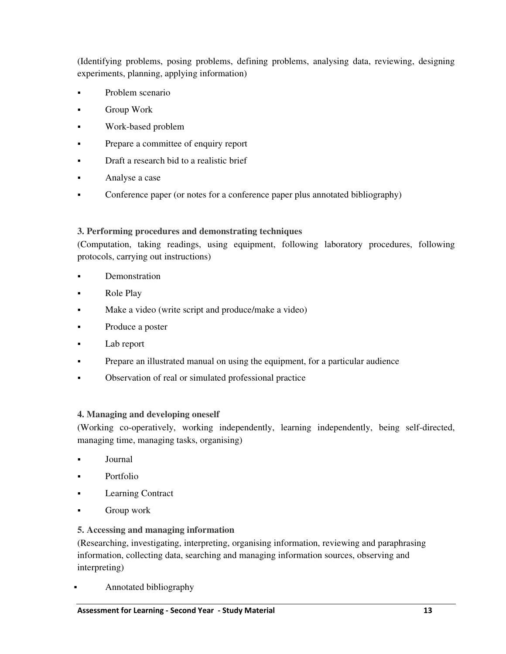(Identifying problems, posing problems, defining problems, analysing data, reviewing, designing experiments, planning, applying information)

- **Problem scenario**
- Group Work
- Work-based problem
- Prepare a committee of enquiry report
- **Draft a research bid to a realistic brief**
- Analyse a case
- Conference paper (or notes for a conference paper plus annotated bibliography)

## **3. Performing procedures and demonstrating techniques**

(Computation, taking readings, using equipment, following laboratory procedures, following protocols, carrying out instructions)

- Demonstration
- Role Play
- Make a video (write script and produce/make a video)
- Produce a poster
- Lab report
- Prepare an illustrated manual on using the equipment, for a particular audience
- Observation of real or simulated professional practice

## **4. Managing and developing oneself**

(Working co-operatively, working independently, learning independently, being self-directed, managing time, managing tasks, organising)

- Journal
- Portfolio
- **Learning Contract**
- Group work

## **5. Accessing and managing information**

(Researching, investigating, interpreting, organising information, reviewing and paraphrasing information, collecting data, searching and managing information sources, observing and interpreting)

Annotated bibliography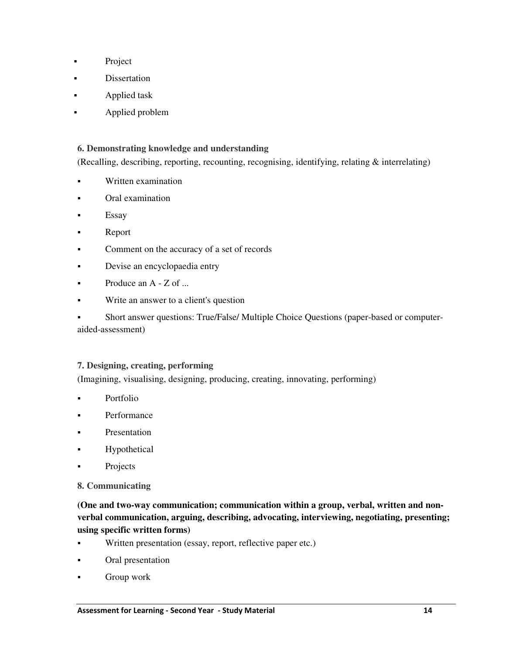- **Project**
- **Dissertation**
- **Applied task**
- Applied problem

## **6. Demonstrating knowledge and understanding**

(Recalling, describing, reporting, recounting, recognising, identifying, relating & interrelating)

- **Written examination**
- **•** Oral examination
- **Essay**
- Report
- Comment on the accuracy of a set of records
- **Devise an encyclopaedia entry**
- Produce an  $A Z$  of ...
- **Write an answer to a client's question**

 Short answer questions: True/False/ Multiple Choice Questions (paper-based or computeraided-assessment)

## **7. Designing, creating, performing**

(Imagining, visualising, designing, producing, creating, innovating, performing)

- Portfolio
- **Performance**
- **Presentation**
- Hypothetical
- Projects

## **8. Communicating**

**(One and two-way communication; communication within a group, verbal, written and nonverbal communication, arguing, describing, advocating, interviewing, negotiating, presenting; using specific written forms)** 

- Written presentation (essay, report, reflective paper etc.)
- Oral presentation
- Group work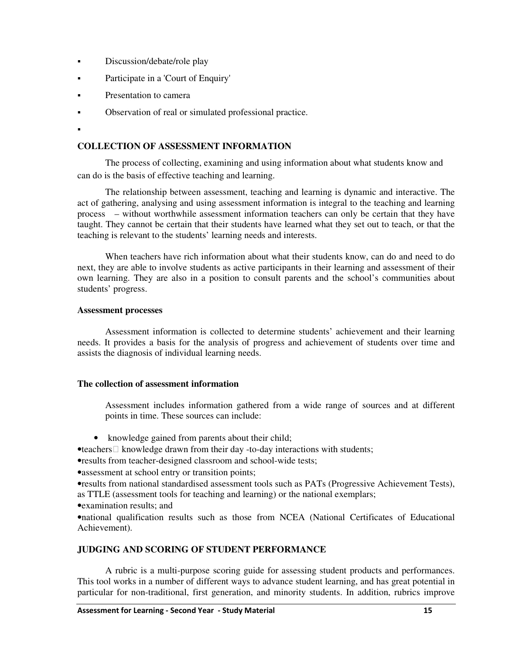- Discussion/debate/role play
- Participate in a 'Court of Enquiry'
- **Presentation to camera**
- Observation of real or simulated professional practice.
- .

## **COLLECTION OF ASSESSMENT INFORMATION**

The process of collecting, examining and using information about what students know and can do is the basis of effective teaching and learning.

The relationship between assessment, teaching and learning is dynamic and interactive. The act of gathering, analysing and using assessment information is integral to the teaching and learning process – without worthwhile assessment information teachers can only be certain that they have taught. They cannot be certain that their students have learned what they set out to teach, or that the teaching is relevant to the students' learning needs and interests.

When teachers have rich information about what their students know, can do and need to do next, they are able to involve students as active participants in their learning and assessment of their own learning. They are also in a position to consult parents and the school's communities about students' progress.

#### **Assessment processes**

Assessment information is collected to determine students' achievement and their learning needs. It provides a basis for the analysis of progress and achievement of students over time and assists the diagnosis of individual learning needs.

## **The collection of assessment information**

Assessment includes information gathered from a wide range of sources and at different points in time. These sources can include:

• knowledge gained from parents about their child;

 $\bullet$ teachers $\Box$  knowledge drawn from their day -to-day interactions with students;

•results from teacher-designed classroom and school-wide tests;

•assessment at school entry or transition points;

•results from national standardised assessment tools such as PATs (Progressive Achievement Tests), as TTLE (assessment tools for teaching and learning) or the national exemplars;

•examination results; and

•national qualification results such as those from NCEA (National Certificates of Educational Achievement).

## **JUDGING AND SCORING OF STUDENT PERFORMANCE**

 A rubric is a multi-purpose scoring guide for assessing student products and performances. This tool works in a number of different ways to advance student learning, and has great potential in particular for non-traditional, first generation, and minority students. In addition, rubrics improve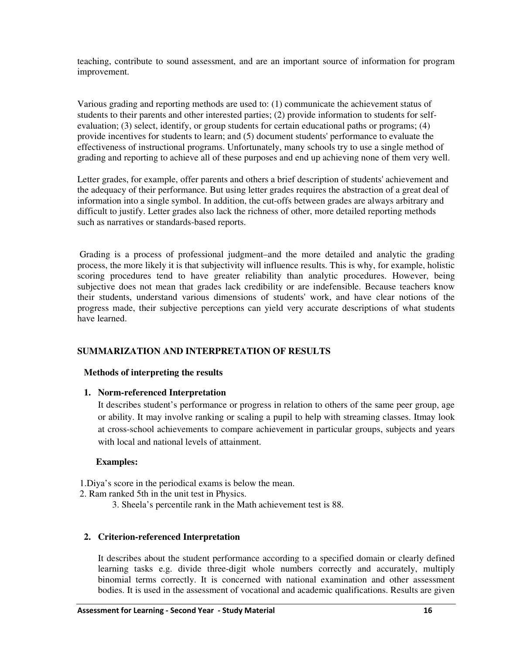teaching, contribute to sound assessment, and are an important source of information for program improvement.

Various grading and reporting methods are used to: (1) communicate the achievement status of students to their parents and other interested parties; (2) provide information to students for selfevaluation; (3) select, identify, or group students for certain educational paths or programs; (4) provide incentives for students to learn; and (5) document students' performance to evaluate the effectiveness of instructional programs. Unfortunately, many schools try to use a single method of grading and reporting to achieve all of these purposes and end up achieving none of them very well.

Letter grades, for example, offer parents and others a brief description of students' achievement and the adequacy of their performance. But using letter grades requires the abstraction of a great deal of information into a single symbol. In addition, the cut-offs between grades are always arbitrary and difficult to justify. Letter grades also lack the richness of other, more detailed reporting methods such as narratives or standards-based reports.

 Grading is a process of professional judgment–and the more detailed and analytic the grading process, the more likely it is that subjectivity will influence results. This is why, for example, holistic scoring procedures tend to have greater reliability than analytic procedures. However, being subjective does not mean that grades lack credibility or are indefensible. Because teachers know their students, understand various dimensions of students' work, and have clear notions of the progress made, their subjective perceptions can yield very accurate descriptions of what students have learned.

## **SUMMARIZATION AND INTERPRETATION OF RESULTS**

## **Methods of interpreting the results**

## **1. Norm-referenced Interpretation**

It describes student's performance or progress in relation to others of the same peer group, age or ability. It may involve ranking or scaling a pupil to help with streaming classes. Itmay look at cross-school achievements to compare achievement in particular groups, subjects and years with local and national levels of attainment.

## **Examples:**

1.Diya's score in the periodical exams is below the mean.

2. Ram ranked 5th in the unit test in Physics.

3. Sheela's percentile rank in the Math achievement test is 88.

## **2. Criterion-referenced Interpretation**

It describes about the student performance according to a specified domain or clearly defined learning tasks e.g. divide three-digit whole numbers correctly and accurately, multiply binomial terms correctly. It is concerned with national examination and other assessment bodies. It is used in the assessment of vocational and academic qualifications. Results are given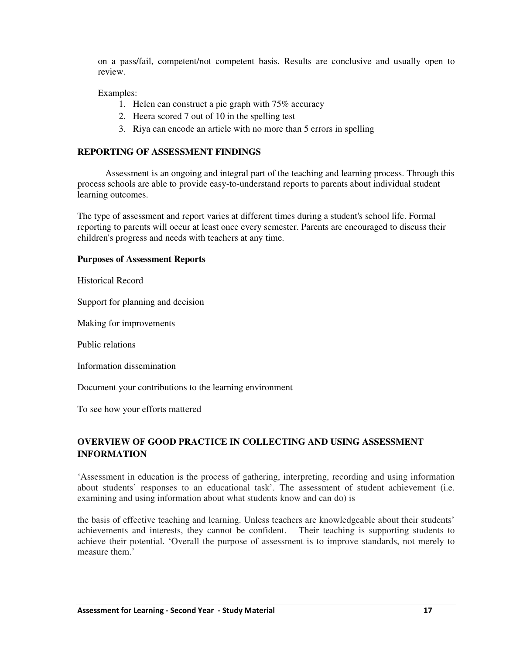on a pass/fail, competent/not competent basis. Results are conclusive and usually open to review.

## Examples:

- 1. Helen can construct a pie graph with 75% accuracy
- 2. Heera scored 7 out of 10 in the spelling test
- 3. Riya can encode an article with no more than 5 errors in spelling

## **REPORTING OF ASSESSMENT FINDINGS**

Assessment is an ongoing and integral part of the teaching and learning process. Through this process schools are able to provide easy-to-understand reports to parents about individual student learning outcomes.

The type of assessment and report varies at different times during a student's school life. Formal reporting to parents will occur at least once every semester. Parents are encouraged to discuss their children's progress and needs with teachers at any time.

## **Purposes of Assessment Reports**

Historical Record

Support for planning and decision

Making for improvements

Public relations

Information dissemination

Document your contributions to the learning environment

To see how your efforts mattered

## **OVERVIEW OF GOOD PRACTICE IN COLLECTING AND USING ASSESSMENT INFORMATION**

'Assessment in education is the process of gathering, interpreting, recording and using information about students' responses to an educational task'. The assessment of student achievement (i.e. examining and using information about what students know and can do) is

the basis of effective teaching and learning. Unless teachers are knowledgeable about their students' achievements and interests, they cannot be confident. Their teaching is supporting students to achieve their potential. 'Overall the purpose of assessment is to improve standards, not merely to measure them.'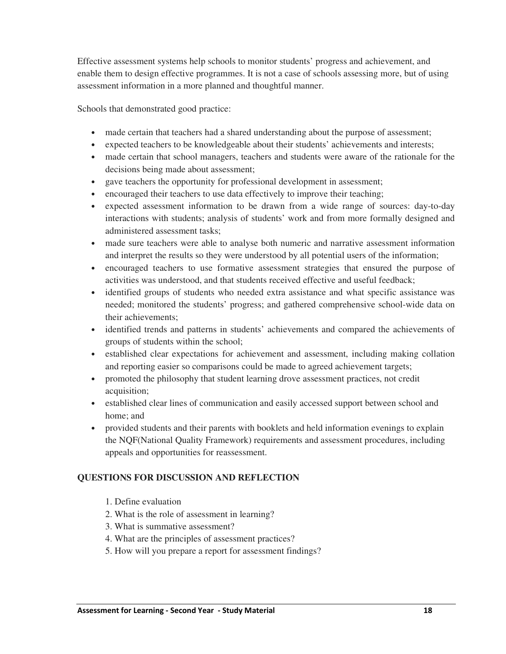Effective assessment systems help schools to monitor students' progress and achievement, and enable them to design effective programmes. It is not a case of schools assessing more, but of using assessment information in a more planned and thoughtful manner.

Schools that demonstrated good practice:

- made certain that teachers had a shared understanding about the purpose of assessment;
- expected teachers to be knowledgeable about their students' achievements and interests;
- made certain that school managers, teachers and students were aware of the rationale for the decisions being made about assessment;
- gave teachers the opportunity for professional development in assessment;
- encouraged their teachers to use data effectively to improve their teaching;
- expected assessment information to be drawn from a wide range of sources: day-to-day interactions with students; analysis of students' work and from more formally designed and administered assessment tasks;
- made sure teachers were able to analyse both numeric and narrative assessment information and interpret the results so they were understood by all potential users of the information;
- encouraged teachers to use formative assessment strategies that ensured the purpose of activities was understood, and that students received effective and useful feedback;
- identified groups of students who needed extra assistance and what specific assistance was needed; monitored the students' progress; and gathered comprehensive school-wide data on their achievements;
- identified trends and patterns in students' achievements and compared the achievements of groups of students within the school;
- established clear expectations for achievement and assessment, including making collation and reporting easier so comparisons could be made to agreed achievement targets;
- promoted the philosophy that student learning drove assessment practices, not credit acquisition;
- established clear lines of communication and easily accessed support between school and home; and
- provided students and their parents with booklets and held information evenings to explain the NQF(National Quality Framework) requirements and assessment procedures, including appeals and opportunities for reassessment.

## **QUESTIONS FOR DISCUSSION AND REFLECTION**

- 1. Define evaluation
- 2. What is the role of assessment in learning?
- 3. What is summative assessment?
- 4. What are the principles of assessment practices?
- 5. How will you prepare a report for assessment findings?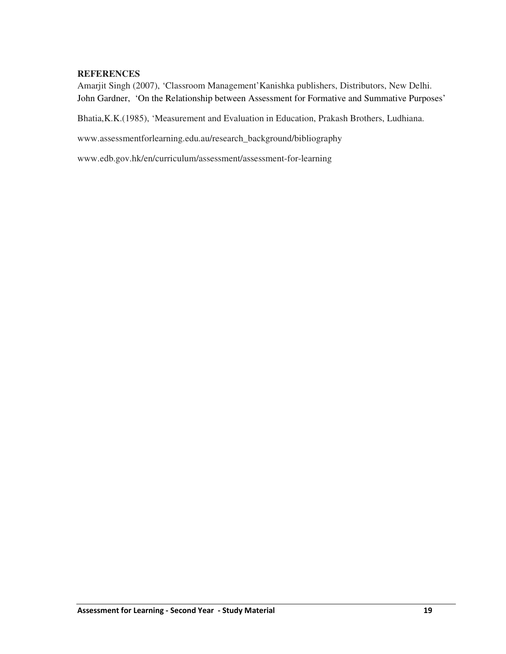## **REFERENCES**

Amarjit Singh (2007), 'Classroom Management'Kanishka publishers, Distributors, New Delhi. John Gardner, 'On the Relationship between Assessment for Formative and Summative Purposes'

Bhatia,K.K.(1985), 'Measurement and Evaluation in Education, Prakash Brothers, Ludhiana.

www.assessmentforlearning.edu.au/research\_background/bibliography

www.edb.gov.hk/en/curriculum/assessment/assessment-for-learning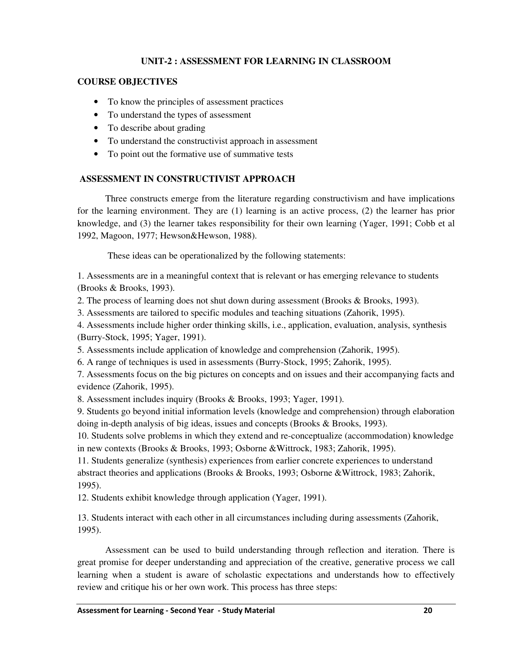## **UNIT-2 : ASSESSMENT FOR LEARNING IN CLASSROOM**

## **COURSE OBJECTIVES**

- To know the principles of assessment practices
- To understand the types of assessment
- To describe about grading
- To understand the constructivist approach in assessment
- To point out the formative use of summative tests

## **ASSESSMENT IN CONSTRUCTIVIST APPROACH**

Three constructs emerge from the literature regarding constructivism and have implications for the learning environment. They are (1) learning is an active process, (2) the learner has prior knowledge, and (3) the learner takes responsibility for their own learning (Yager, 1991; Cobb et al 1992, Magoon, 1977; Hewson&Hewson, 1988).

These ideas can be operationalized by the following statements:

1. Assessments are in a meaningful context that is relevant or has emerging relevance to students (Brooks & Brooks, 1993).

2. The process of learning does not shut down during assessment (Brooks & Brooks, 1993).

3. Assessments are tailored to specific modules and teaching situations (Zahorik, 1995).

4. Assessments include higher order thinking skills, i.e., application, evaluation, analysis, synthesis (Burry-Stock, 1995; Yager, 1991).

5. Assessments include application of knowledge and comprehension (Zahorik, 1995).

6. A range of techniques is used in assessments (Burry-Stock, 1995; Zahorik, 1995).

7. Assessments focus on the big pictures on concepts and on issues and their accompanying facts and evidence (Zahorik, 1995).

8. Assessment includes inquiry (Brooks & Brooks, 1993; Yager, 1991).

9. Students go beyond initial information levels (knowledge and comprehension) through elaboration doing in-depth analysis of big ideas, issues and concepts (Brooks & Brooks, 1993).

10. Students solve problems in which they extend and re-conceptualize (accommodation) knowledge in new contexts (Brooks & Brooks, 1993; Osborne &Wittrock, 1983; Zahorik, 1995).

11. Students generalize (synthesis) experiences from earlier concrete experiences to understand abstract theories and applications (Brooks & Brooks, 1993; Osborne &Wittrock, 1983; Zahorik, 1995).

12. Students exhibit knowledge through application (Yager, 1991).

13. Students interact with each other in all circumstances including during assessments (Zahorik, 1995).

Assessment can be used to build understanding through reflection and iteration. There is great promise for deeper understanding and appreciation of the creative, generative process we call learning when a student is aware of scholastic expectations and understands how to effectively review and critique his or her own work. This process has three steps: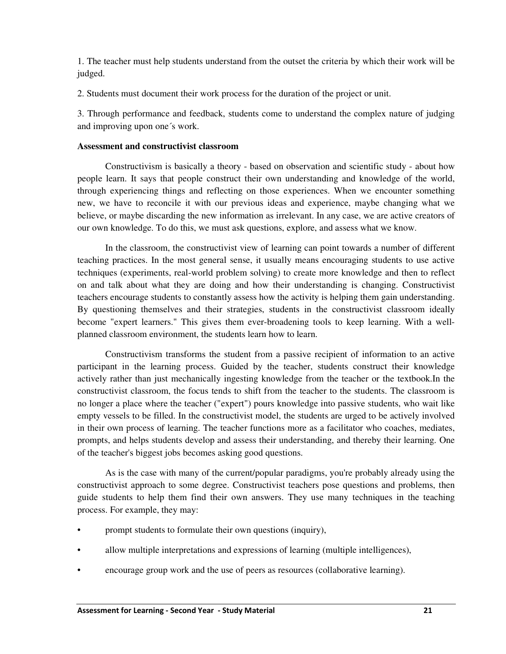1. The teacher must help students understand from the outset the criteria by which their work will be judged.

2. Students must document their work process for the duration of the project or unit.

3. Through performance and feedback, students come to understand the complex nature of judging and improving upon one´s work.

## **Assessment and constructivist classroom**

Constructivism is basically a theory - based on observation and scientific study - about how people learn. It says that people construct their own understanding and knowledge of the world, through experiencing things and reflecting on those experiences. When we encounter something new, we have to reconcile it with our previous ideas and experience, maybe changing what we believe, or maybe discarding the new information as irrelevant. In any case, we are active creators of our own knowledge. To do this, we must ask questions, explore, and assess what we know.

In the classroom, the constructivist view of learning can point towards a number of different teaching practices. In the most general sense, it usually means encouraging students to use active techniques (experiments, real-world problem solving) to create more knowledge and then to reflect on and talk about what they are doing and how their understanding is changing. Constructivist teachers encourage students to constantly assess how the activity is helping them gain understanding. By questioning themselves and their strategies, students in the constructivist classroom ideally become "expert learners." This gives them ever-broadening tools to keep learning. With a wellplanned classroom environment, the students learn how to learn.

Constructivism transforms the student from a passive recipient of information to an active participant in the learning process. Guided by the teacher, students construct their knowledge actively rather than just mechanically ingesting knowledge from the teacher or the textbook.In the constructivist classroom, the focus tends to shift from the teacher to the students. The classroom is no longer a place where the teacher ("expert") pours knowledge into passive students, who wait like empty vessels to be filled. In the constructivist model, the students are urged to be actively involved in their own process of learning. The teacher functions more as a facilitator who coaches, mediates, prompts, and helps students develop and assess their understanding, and thereby their learning. One of the teacher's biggest jobs becomes asking good questions.

As is the case with many of the current/popular paradigms, you're probably already using the constructivist approach to some degree. Constructivist teachers pose questions and problems, then guide students to help them find their own answers. They use many techniques in the teaching process. For example, they may:

- prompt students to formulate their own questions (inquiry),
- allow multiple interpretations and expressions of learning (multiple intelligences),
- encourage group work and the use of peers as resources (collaborative learning).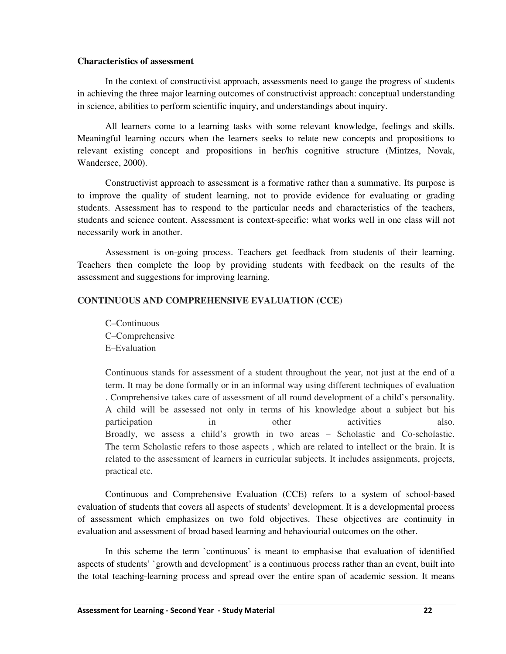#### **Characteristics of assessment**

In the context of constructivist approach, assessments need to gauge the progress of students in achieving the three major learning outcomes of constructivist approach: conceptual understanding in science, abilities to perform scientific inquiry, and understandings about inquiry.

All learners come to a learning tasks with some relevant knowledge, feelings and skills. Meaningful learning occurs when the learners seeks to relate new concepts and propositions to relevant existing concept and propositions in her/his cognitive structure (Mintzes, Novak, Wandersee, 2000).

Constructivist approach to assessment is a formative rather than a summative. Its purpose is to improve the quality of student learning, not to provide evidence for evaluating or grading students. Assessment has to respond to the particular needs and characteristics of the teachers, students and science content. Assessment is context-specific: what works well in one class will not necessarily work in another.

Assessment is on-going process. Teachers get feedback from students of their learning. Teachers then complete the loop by providing students with feedback on the results of the assessment and suggestions for improving learning.

## **CONTINUOUS AND COMPREHENSIVE EVALUATION (CCE)**

C–Continuous C–Comprehensive E–Evaluation

Continuous stands for assessment of a student throughout the year, not just at the end of a term. It may be done formally or in an informal way using different techniques of evaluation . Comprehensive takes care of assessment of all round development of a child's personality. A child will be assessed not only in terms of his knowledge about a subject but his participation in other activities also. Broadly, we assess a child's growth in two areas – Scholastic and Co-scholastic. The term Scholastic refers to those aspects , which are related to intellect or the brain. It is related to the assessment of learners in curricular subjects. It includes assignments, projects, practical etc.

Continuous and Comprehensive Evaluation (CCE) refers to a system of school-based evaluation of students that covers all aspects of students' development. It is a developmental process of assessment which emphasizes on two fold objectives. These objectives are continuity in evaluation and assessment of broad based learning and behaviourial outcomes on the other.

In this scheme the term `continuous' is meant to emphasise that evaluation of identified aspects of students' `growth and development' is a continuous process rather than an event, built into the total teaching-learning process and spread over the entire span of academic session. It means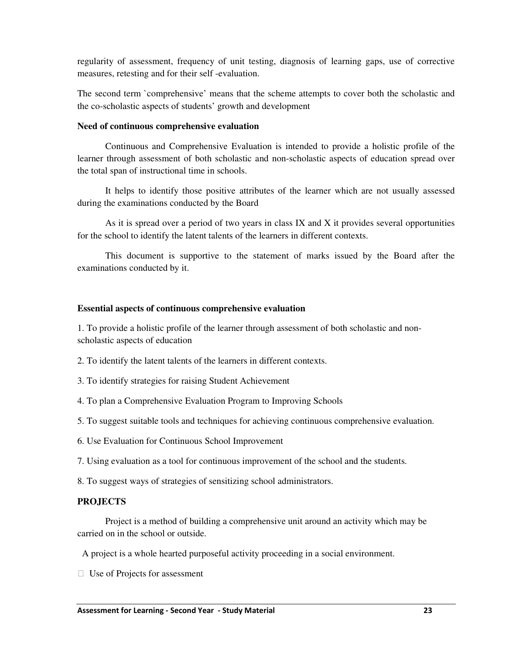regularity of assessment, frequency of unit testing, diagnosis of learning gaps, use of corrective measures, retesting and for their self -evaluation.

The second term `comprehensive' means that the scheme attempts to cover both the scholastic and the co-scholastic aspects of students' growth and development

#### **Need of continuous comprehensive evaluation**

Continuous and Comprehensive Evaluation is intended to provide a holistic profile of the learner through assessment of both scholastic and non-scholastic aspects of education spread over the total span of instructional time in schools.

It helps to identify those positive attributes of the learner which are not usually assessed during the examinations conducted by the Board

As it is spread over a period of two years in class IX and X it provides several opportunities for the school to identify the latent talents of the learners in different contexts.

This document is supportive to the statement of marks issued by the Board after the examinations conducted by it.

#### **Essential aspects of continuous comprehensive evaluation**

1. To provide a holistic profile of the learner through assessment of both scholastic and nonscholastic aspects of education

2. To identify the latent talents of the learners in different contexts.

- 3. To identify strategies for raising Student Achievement
- 4. To plan a Comprehensive Evaluation Program to Improving Schools
- 5. To suggest suitable tools and techniques for achieving continuous comprehensive evaluation.
- 6. Use Evaluation for Continuous School Improvement
- 7. Using evaluation as a tool for continuous improvement of the school and the students.
- 8. To suggest ways of strategies of sensitizing school administrators.

## **PROJECTS**

 Project is a method of building a comprehensive unit around an activity which may be carried on in the school or outside.

A project is a whole hearted purposeful activity proceeding in a social environment.

□ Use of Projects for assessment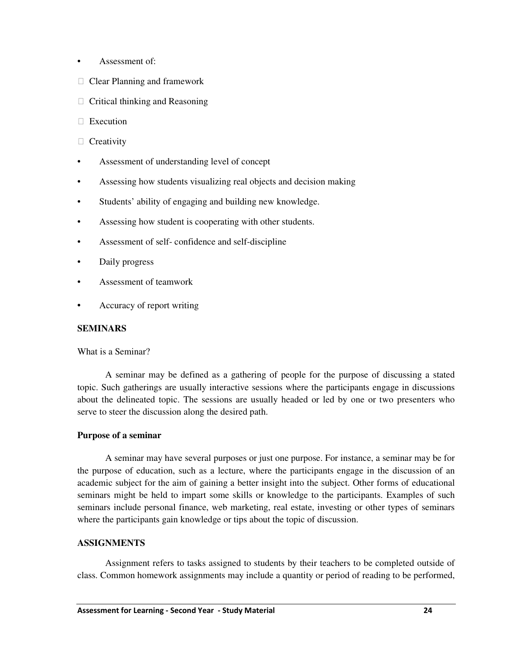- Assessment of:
- □ Clear Planning and framework
- $\Box$  Critical thinking and Reasoning
- □ Execution
- $\Box$  Creativity
- Assessment of understanding level of concept
- Assessing how students visualizing real objects and decision making
- Students' ability of engaging and building new knowledge.
- Assessing how student is cooperating with other students.
- Assessment of self-confidence and self-discipline
- Daily progress
- Assessment of teamwork
- Accuracy of report writing

## **SEMINARS**

What is a Seminar?

A seminar may be defined as a gathering of people for the purpose of discussing a stated topic. Such gatherings are usually interactive sessions where the participants engage in discussions about the delineated topic. The sessions are usually headed or led by one or two presenters who serve to steer the discussion along the desired path.

## **Purpose of a seminar**

A seminar may have several purposes or just one purpose. For instance, a seminar may be for the purpose of education, such as a lecture, where the participants engage in the discussion of an academic subject for the aim of gaining a better insight into the subject. Other forms of educational seminars might be held to impart some skills or knowledge to the participants. Examples of such seminars include personal finance, web marketing, real estate, investing or other types of seminars where the participants gain knowledge or tips about the topic of discussion.

## **ASSIGNMENTS**

 Assignment refers to tasks assigned to students by their teachers to be completed outside of class. Common homework assignments may include a quantity or period of reading to be performed,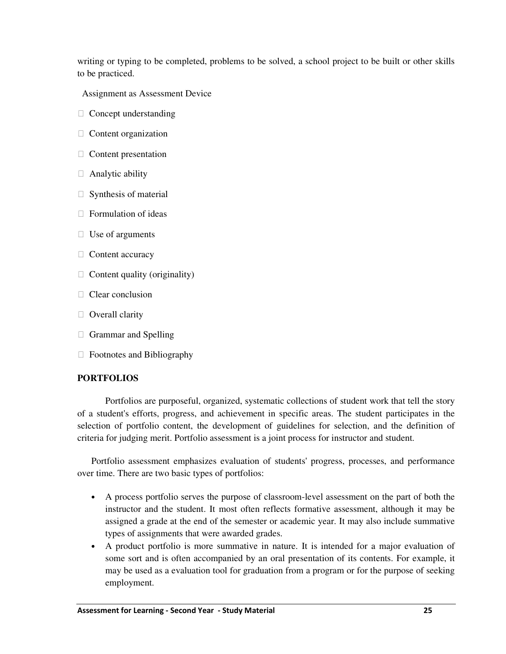writing or typing to be completed, problems to be solved, a school project to be built or other skills to be practiced.

Assignment as Assessment Device

- $\Box$  Concept understanding
- $\Box$  Content organization
- Content presentation
- $\Box$  Analytic ability
- $\Box$  Synthesis of material
- $\Box$  Formulation of ideas
- $\Box$  Use of arguments
- □ Content accuracy
- $\Box$  Content quality (originality)
- $\Box$  Clear conclusion
- $\Box$  Overall clarity
- Grammar and Spelling
- $\Box$  Footnotes and Bibliography

## **PORTFOLIOS**

Portfolios are purposeful, organized, systematic collections of student work that tell the story of a student's efforts, progress, and achievement in specific areas. The student participates in the selection of portfolio content, the development of guidelines for selection, and the definition of criteria for judging merit. Portfolio assessment is a joint process for instructor and student.

Portfolio assessment emphasizes evaluation of students' progress, processes, and performance over time. There are two basic types of portfolios:

- A process portfolio serves the purpose of classroom-level assessment on the part of both the instructor and the student. It most often reflects formative assessment, although it may be assigned a grade at the end of the semester or academic year. It may also include summative types of assignments that were awarded grades.
- A product portfolio is more summative in nature. It is intended for a major evaluation of some sort and is often accompanied by an oral presentation of its contents. For example, it may be used as a evaluation tool for graduation from a program or for the purpose of seeking employment.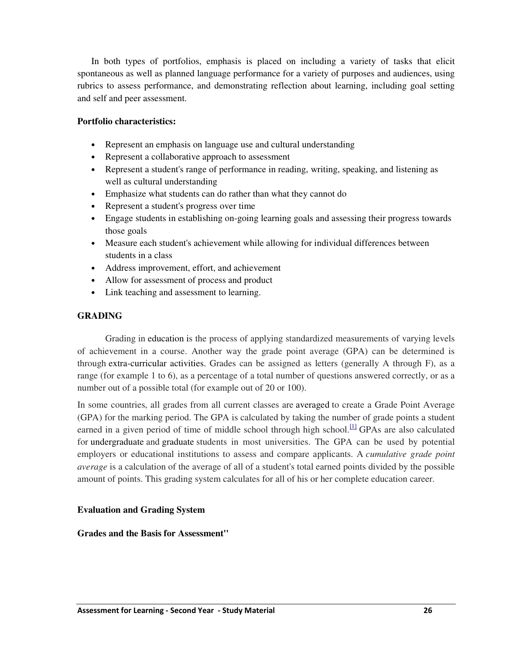In both types of portfolios, emphasis is placed on including a variety of tasks that elicit spontaneous as well as planned language performance for a variety of purposes and audiences, using rubrics to assess performance, and demonstrating reflection about learning, including goal setting and self and peer assessment.

## **Portfolio characteristics:**

- Represent an emphasis on language use and cultural understanding
- Represent a collaborative approach to assessment
- Represent a student's range of performance in reading, writing, speaking, and listening as well as cultural understanding
- Emphasize what students can do rather than what they cannot do
- Represent a student's progress over time
- Engage students in establishing on-going learning goals and assessing their progress towards those goals
- Measure each student's achievement while allowing for individual differences between students in a class
- Address improvement, effort, and achievement
- Allow for assessment of process and product
- Link teaching and assessment to learning.

## **GRADING**

Grading in education is the process of applying standardized measurements of varying levels of achievement in a course. Another way the grade point average (GPA) can be determined is through extra-curricular activities. Grades can be assigned as letters (generally A through F), as a range (for example 1 to 6), as a percentage of a total number of questions answered correctly, or as a number out of a possible total (for example out of 20 or 100).

In some countries, all grades from all current classes are averaged to create a Grade Point Average (GPA) for the marking period. The GPA is calculated by taking the number of grade points a student earned in a given period of time of middle school through high school.<sup>[1]</sup> GPAs are also calculated for undergraduate and graduate students in most universities. The GPA can be used by potential employers or educational institutions to assess and compare applicants. A *cumulative grade point average* is a calculation of the average of all of a student's total earned points divided by the possible amount of points. This grading system calculates for all of his or her complete education career.

## **Evaluation and Grading System**

**Grades and the Basis for Assessment''**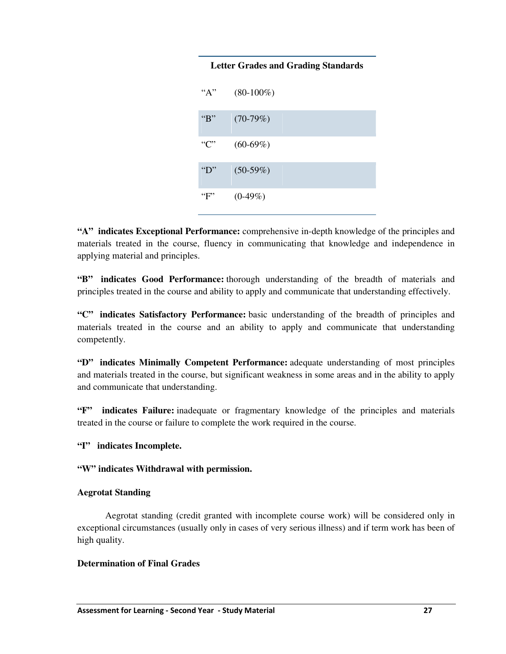## **Letter Grades and Grading Standards**



**"A" indicates Exceptional Performance:** comprehensive in-depth knowledge of the principles and materials treated in the course, fluency in communicating that knowledge and independence in applying material and principles.

**"B" indicates Good Performance:** thorough understanding of the breadth of materials and principles treated in the course and ability to apply and communicate that understanding effectively.

**"C" indicates Satisfactory Performance:** basic understanding of the breadth of principles and materials treated in the course and an ability to apply and communicate that understanding competently.

**"D" indicates Minimally Competent Performance:** adequate understanding of most principles and materials treated in the course, but significant weakness in some areas and in the ability to apply and communicate that understanding.

**"F" indicates Failure:** inadequate or fragmentary knowledge of the principles and materials treated in the course or failure to complete the work required in the course.

## **"I" indicates Incomplete.**

**"W" indicates Withdrawal with permission.**

## **Aegrotat Standing**

Aegrotat standing (credit granted with incomplete course work) will be considered only in exceptional circumstances (usually only in cases of very serious illness) and if term work has been of high quality.

# **Determination of Final Grades**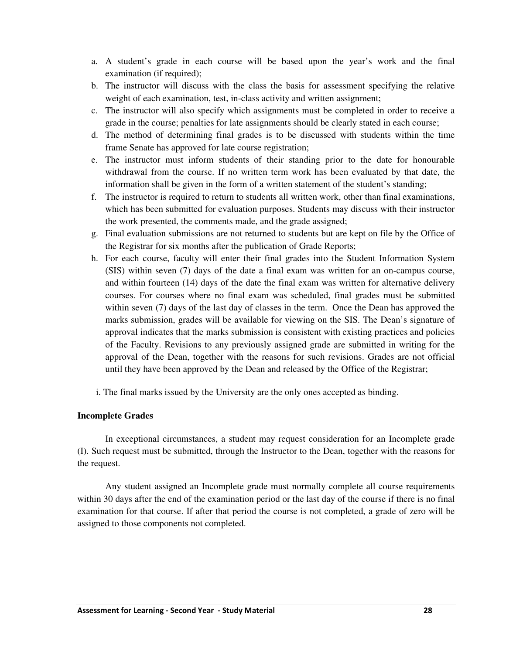- a. A student's grade in each course will be based upon the year's work and the final examination (if required);
- b. The instructor will discuss with the class the basis for assessment specifying the relative weight of each examination, test, in-class activity and written assignment;
- c. The instructor will also specify which assignments must be completed in order to receive a grade in the course; penalties for late assignments should be clearly stated in each course;
- d. The method of determining final grades is to be discussed with students within the time frame Senate has approved for late course registration;
- e. The instructor must inform students of their standing prior to the date for honourable withdrawal from the course. If no written term work has been evaluated by that date, the information shall be given in the form of a written statement of the student's standing;
- f. The instructor is required to return to students all written work, other than final examinations, which has been submitted for evaluation purposes. Students may discuss with their instructor the work presented, the comments made, and the grade assigned;
- g. Final evaluation submissions are not returned to students but are kept on file by the Office of the Registrar for six months after the publication of Grade Reports;
- h. For each course, faculty will enter their final grades into the Student Information System (SIS) within seven (7) days of the date a final exam was written for an on-campus course, and within fourteen (14) days of the date the final exam was written for alternative delivery courses. For courses where no final exam was scheduled, final grades must be submitted within seven (7) days of the last day of classes in the term. Once the Dean has approved the marks submission, grades will be available for viewing on the SIS. The Dean's signature of approval indicates that the marks submission is consistent with existing practices and policies of the Faculty. Revisions to any previously assigned grade are submitted in writing for the approval of the Dean, together with the reasons for such revisions. Grades are not official until they have been approved by the Dean and released by the Office of the Registrar;
- i. The final marks issued by the University are the only ones accepted as binding.

## **Incomplete Grades**

In exceptional circumstances, a student may request consideration for an Incomplete grade (I). Such request must be submitted, through the Instructor to the Dean, together with the reasons for the request.

Any student assigned an Incomplete grade must normally complete all course requirements within 30 days after the end of the examination period or the last day of the course if there is no final examination for that course. If after that period the course is not completed, a grade of zero will be assigned to those components not completed.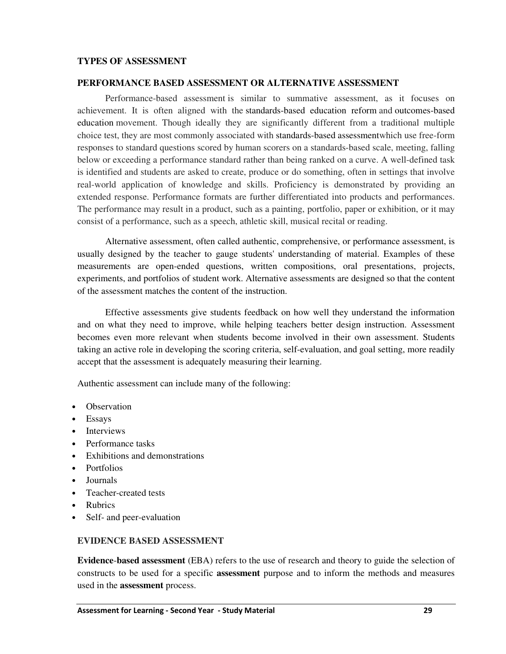## **TYPES OF ASSESSMENT**

#### **PERFORMANCE BASED ASSESSMENT OR ALTERNATIVE ASSESSMENT**

Performance-based assessment is similar to summative assessment, as it focuses on achievement. It is often aligned with the standards-based education reform and outcomes-based education movement. Though ideally they are significantly different from a traditional multiple choice test, they are most commonly associated with standards-based assessmentwhich use free-form responses to standard questions scored by human scorers on a standards-based scale, meeting, falling below or exceeding a performance standard rather than being ranked on a curve. A well-defined task is identified and students are asked to create, produce or do something, often in settings that involve real-world application of knowledge and skills. Proficiency is demonstrated by providing an extended response. Performance formats are further differentiated into products and performances. The performance may result in a product, such as a painting, portfolio, paper or exhibition, or it may consist of a performance, such as a speech, athletic skill, musical recital or reading.

Alternative assessment, often called authentic, comprehensive, or performance assessment, is usually designed by the teacher to gauge students' understanding of material. Examples of these measurements are open-ended questions, written compositions, oral presentations, projects, experiments, and portfolios of student work. Alternative assessments are designed so that the content of the assessment matches the content of the instruction.

Effective assessments give students feedback on how well they understand the information and on what they need to improve, while helping teachers better design instruction. Assessment becomes even more relevant when students become involved in their own assessment. Students taking an active role in developing the scoring criteria, self-evaluation, and goal setting, more readily accept that the assessment is adequately measuring their learning.

Authentic assessment can include many of the following:

- Observation
- Essays
- Interviews
- Performance tasks
- Exhibitions and demonstrations
- Portfolios
- Journals
- Teacher-created tests
- Rubrics
- Self- and peer-evaluation

## **EVIDENCE BASED ASSESSMENT**

**Evidence**-**based assessment** (EBA) refers to the use of research and theory to guide the selection of constructs to be used for a specific **assessment** purpose and to inform the methods and measures used in the **assessment** process.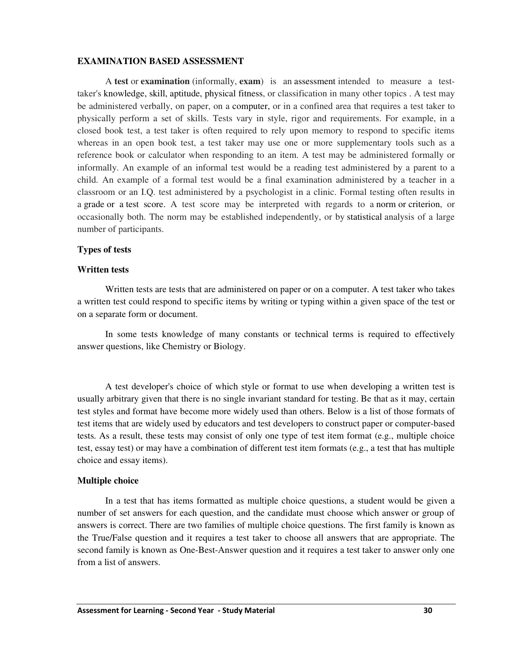#### **EXAMINATION BASED ASSESSMENT**

A **test** or **examination** (informally, **exam**) is an assessment intended to measure a testtaker's knowledge, skill, aptitude, physical fitness, or classification in many other topics . A test may be administered verbally, on paper, on a computer, or in a confined area that requires a test taker to physically perform a set of skills. Tests vary in style, rigor and requirements. For example, in a closed book test, a test taker is often required to rely upon memory to respond to specific items whereas in an open book test, a test taker may use one or more supplementary tools such as a reference book or calculator when responding to an item. A test may be administered formally or informally. An example of an informal test would be a reading test administered by a parent to a child. An example of a formal test would be a final examination administered by a teacher in a classroom or an I.Q. test administered by a psychologist in a clinic. Formal testing often results in a grade or a test score. A test score may be interpreted with regards to a norm or criterion, or occasionally both. The norm may be established independently, or by statistical analysis of a large number of participants.

## **Types of tests**

#### **Written tests**

Written tests are tests that are administered on paper or on a computer. A test taker who takes a written test could respond to specific items by writing or typing within a given space of the test or on a separate form or document.

In some tests knowledge of many constants or technical terms is required to effectively answer questions, like Chemistry or Biology.

A test developer's choice of which style or format to use when developing a written test is usually arbitrary given that there is no single invariant standard for testing. Be that as it may, certain test styles and format have become more widely used than others. Below is a list of those formats of test items that are widely used by educators and test developers to construct paper or computer-based tests. As a result, these tests may consist of only one type of test item format (e.g., multiple choice test, essay test) or may have a combination of different test item formats (e.g., a test that has multiple choice and essay items).

#### **Multiple choice**

In a test that has items formatted as multiple choice questions, a student would be given a number of set answers for each question, and the candidate must choose which answer or group of answers is correct. There are two families of multiple choice questions. The first family is known as the True/False question and it requires a test taker to choose all answers that are appropriate. The second family is known as One-Best-Answer question and it requires a test taker to answer only one from a list of answers.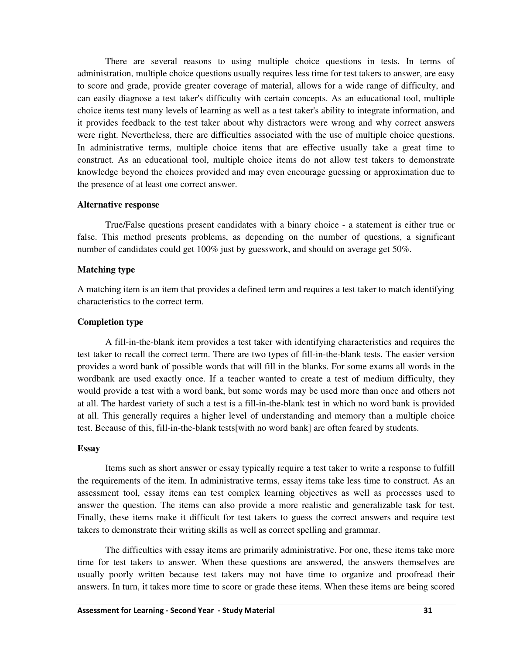There are several reasons to using multiple choice questions in tests. In terms of administration, multiple choice questions usually requires less time for test takers to answer, are easy to score and grade, provide greater coverage of material, allows for a wide range of difficulty, and can easily diagnose a test taker's difficulty with certain concepts. As an educational tool, multiple choice items test many levels of learning as well as a test taker's ability to integrate information, and it provides feedback to the test taker about why distractors were wrong and why correct answers were right. Nevertheless, there are difficulties associated with the use of multiple choice questions. In administrative terms, multiple choice items that are effective usually take a great time to construct. As an educational tool, multiple choice items do not allow test takers to demonstrate knowledge beyond the choices provided and may even encourage guessing or approximation due to the presence of at least one correct answer.

#### **Alternative response**

True/False questions present candidates with a binary choice - a statement is either true or false. This method presents problems, as depending on the number of questions, a significant number of candidates could get 100% just by guesswork, and should on average get 50%.

## **Matching type**

A matching item is an item that provides a defined term and requires a test taker to match identifying characteristics to the correct term.

#### **Completion type**

A fill-in-the-blank item provides a test taker with identifying characteristics and requires the test taker to recall the correct term. There are two types of fill-in-the-blank tests. The easier version provides a word bank of possible words that will fill in the blanks. For some exams all words in the wordbank are used exactly once. If a teacher wanted to create a test of medium difficulty, they would provide a test with a word bank, but some words may be used more than once and others not at all. The hardest variety of such a test is a fill-in-the-blank test in which no word bank is provided at all. This generally requires a higher level of understanding and memory than a multiple choice test. Because of this, fill-in-the-blank tests[with no word bank] are often feared by students.

#### **Essay**

Items such as short answer or essay typically require a test taker to write a response to fulfill the requirements of the item. In administrative terms, essay items take less time to construct. As an assessment tool, essay items can test complex learning objectives as well as processes used to answer the question. The items can also provide a more realistic and generalizable task for test. Finally, these items make it difficult for test takers to guess the correct answers and require test takers to demonstrate their writing skills as well as correct spelling and grammar.

The difficulties with essay items are primarily administrative. For one, these items take more time for test takers to answer. When these questions are answered, the answers themselves are usually poorly written because test takers may not have time to organize and proofread their answers. In turn, it takes more time to score or grade these items. When these items are being scored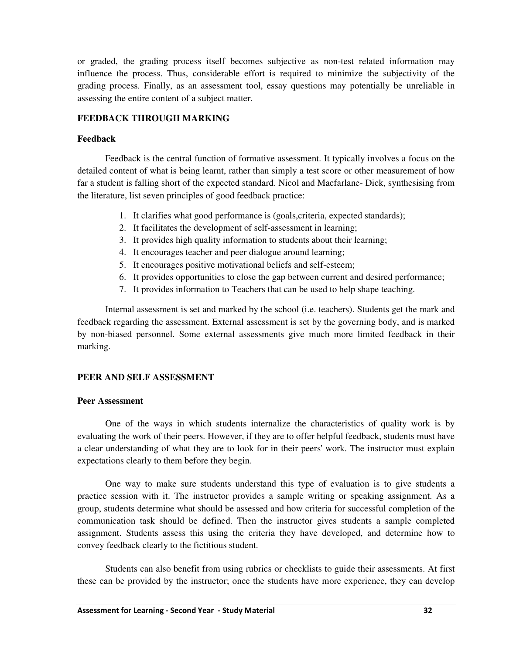or graded, the grading process itself becomes subjective as non-test related information may influence the process. Thus, considerable effort is required to minimize the subjectivity of the grading process. Finally, as an assessment tool, essay questions may potentially be unreliable in assessing the entire content of a subject matter.

## **FEEDBACK THROUGH MARKING**

#### **Feedback**

 Feedback is the central function of formative assessment. It typically involves a focus on the detailed content of what is being learnt, rather than simply a test score or other measurement of how far a student is falling short of the expected standard. Nicol and Macfarlane- Dick, synthesising from the literature, list seven principles of good feedback practice:

- 1. It clarifies what good performance is (goals,criteria, expected standards);
- 2. It facilitates the development of self-assessment in learning;
- 3. It provides high quality information to students about their learning;
- 4. It encourages teacher and peer dialogue around learning;
- 5. It encourages positive motivational beliefs and self-esteem;
- 6. It provides opportunities to close the gap between current and desired performance;
- 7. It provides information to Teachers that can be used to help shape teaching.

Internal assessment is set and marked by the school (i.e. teachers). Students get the mark and feedback regarding the assessment. External assessment is set by the governing body, and is marked by non-biased personnel. Some external assessments give much more limited feedback in their marking.

## **PEER AND SELF ASSESSMENT**

#### **Peer Assessment**

One of the ways in which students internalize the characteristics of quality work is by evaluating the work of their peers. However, if they are to offer helpful feedback, students must have a clear understanding of what they are to look for in their peers' work. The instructor must explain expectations clearly to them before they begin.

One way to make sure students understand this type of evaluation is to give students a practice session with it. The instructor provides a sample writing or speaking assignment. As a group, students determine what should be assessed and how criteria for successful completion of the communication task should be defined. Then the instructor gives students a sample completed assignment. Students assess this using the criteria they have developed, and determine how to convey feedback clearly to the fictitious student.

Students can also benefit from using rubrics or checklists to guide their assessments. At first these can be provided by the instructor; once the students have more experience, they can develop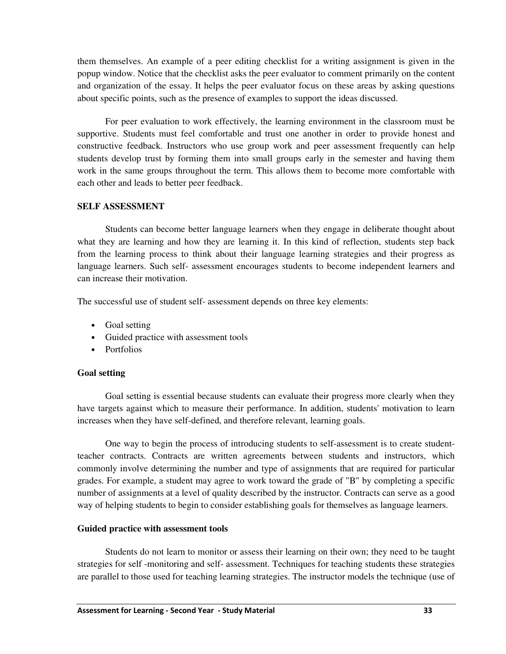them themselves. An example of a peer editing checklist for a writing assignment is given in the popup window. Notice that the checklist asks the peer evaluator to comment primarily on the content and organization of the essay. It helps the peer evaluator focus on these areas by asking questions about specific points, such as the presence of examples to support the ideas discussed.

For peer evaluation to work effectively, the learning environment in the classroom must be supportive. Students must feel comfortable and trust one another in order to provide honest and constructive feedback. Instructors who use group work and peer assessment frequently can help students develop trust by forming them into small groups early in the semester and having them work in the same groups throughout the term. This allows them to become more comfortable with each other and leads to better peer feedback.

## **SELF ASSESSMENT**

Students can become better language learners when they engage in deliberate thought about what they are learning and how they are learning it. In this kind of reflection, students step back from the learning process to think about their language learning strategies and their progress as language learners. Such self- assessment encourages students to become independent learners and can increase their motivation.

The successful use of student self- assessment depends on three key elements:

- Goal setting
- Guided practice with assessment tools
- Portfolios

## **Goal setting**

Goal setting is essential because students can evaluate their progress more clearly when they have targets against which to measure their performance. In addition, students' motivation to learn increases when they have self-defined, and therefore relevant, learning goals.

One way to begin the process of introducing students to self-assessment is to create studentteacher contracts. Contracts are written agreements between students and instructors, which commonly involve determining the number and type of assignments that are required for particular grades. For example, a student may agree to work toward the grade of "B" by completing a specific number of assignments at a level of quality described by the instructor. Contracts can serve as a good way of helping students to begin to consider establishing goals for themselves as language learners.

## **Guided practice with assessment tools**

Students do not learn to monitor or assess their learning on their own; they need to be taught strategies for self -monitoring and self- assessment. Techniques for teaching students these strategies are parallel to those used for teaching learning strategies. The instructor models the technique (use of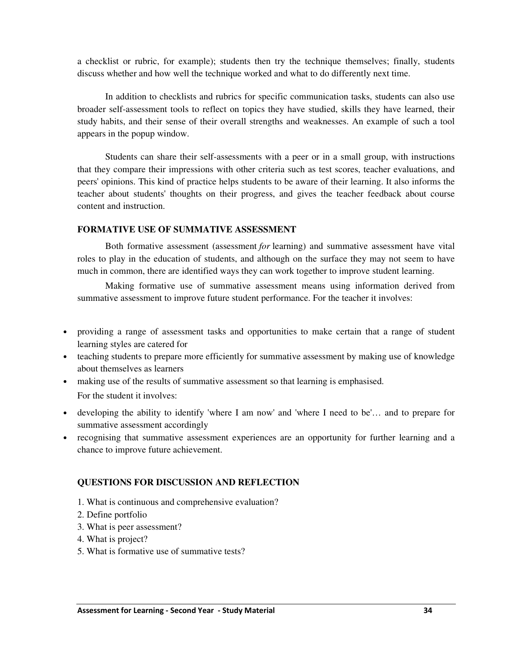a checklist or rubric, for example); students then try the technique themselves; finally, students discuss whether and how well the technique worked and what to do differently next time.

In addition to checklists and rubrics for specific communication tasks, students can also use broader self-assessment tools to reflect on topics they have studied, skills they have learned, their study habits, and their sense of their overall strengths and weaknesses. An example of such a tool appears in the popup window.

Students can share their self-assessments with a peer or in a small group, with instructions that they compare their impressions with other criteria such as test scores, teacher evaluations, and peers' opinions. This kind of practice helps students to be aware of their learning. It also informs the teacher about students' thoughts on their progress, and gives the teacher feedback about course content and instruction.

## **FORMATIVE USE OF SUMMATIVE ASSESSMENT**

Both formative assessment (assessment *for* learning) and summative assessment have vital roles to play in the education of students, and although on the surface they may not seem to have much in common, there are identified ways they can work together to improve student learning.

Making formative use of summative assessment means using information derived from summative assessment to improve future student performance. For the teacher it involves:

- providing a range of assessment tasks and opportunities to make certain that a range of student learning styles are catered for
- teaching students to prepare more efficiently for summative assessment by making use of knowledge about themselves as learners
- making use of the results of summative assessment so that learning is emphasised. For the student it involves:
- developing the ability to identify 'where I am now' and 'where I need to be'… and to prepare for summative assessment accordingly
- recognising that summative assessment experiences are an opportunity for further learning and a chance to improve future achievement.

## **QUESTIONS FOR DISCUSSION AND REFLECTION**

- 1. What is continuous and comprehensive evaluation?
- 2. Define portfolio
- 3. What is peer assessment?
- 4. What is project?
- 5. What is formative use of summative tests?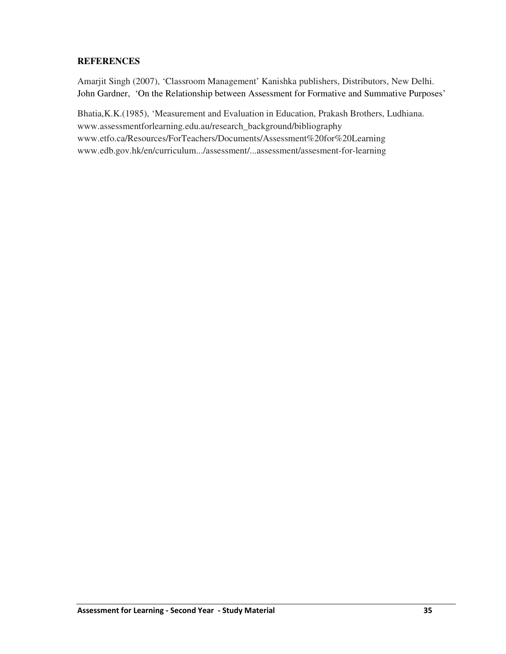# **REFERENCES**

Amarjit Singh (2007), 'Classroom Management' Kanishka publishers, Distributors, New Delhi. John Gardner, 'On the Relationship between Assessment for Formative and Summative Purposes'

Bhatia,K.K.(1985), 'Measurement and Evaluation in Education, Prakash Brothers, Ludhiana. www.assessmentforlearning.edu.au/research\_background/bibliography www.etfo.ca/Resources/ForTeachers/Documents/Assessment%20for%20Learning www.edb.gov.hk/en/curriculum.../assessment/...assessment/assesment-for-learning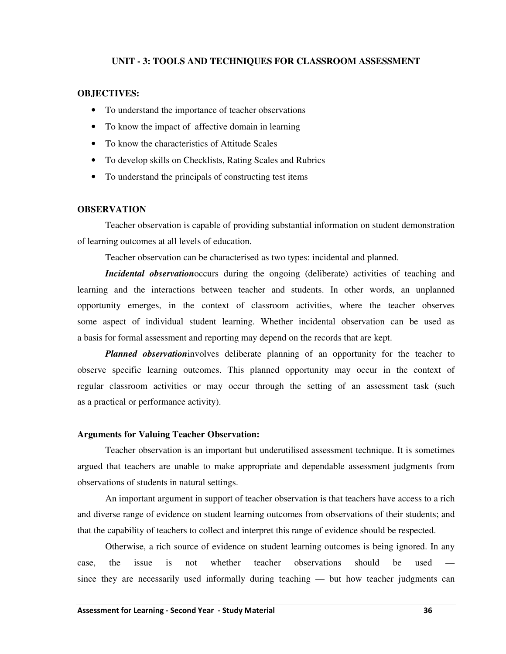#### **UNIT - 3: TOOLS AND TECHNIQUES FOR CLASSROOM ASSESSMENT**

#### **OBJECTIVES:**

- To understand the importance of teacher observations
- To know the impact of affective domain in learning
- To know the characteristics of Attitude Scales
- To develop skills on Checklists, Rating Scales and Rubrics
- To understand the principals of constructing test items

#### **OBSERVATION**

Teacher observation is capable of providing substantial information on student demonstration of learning outcomes at all levels of education.

Teacher observation can be characterised as two types: incidental and planned.

*Incidental observation* occurs during the ongoing (deliberate) activities of teaching and learning and the interactions between teacher and students. In other words, an unplanned opportunity emerges, in the context of classroom activities, where the teacher observes some aspect of individual student learning. Whether incidental observation can be used as a basis for formal assessment and reporting may depend on the records that are kept.

*Planned observation*involves deliberate planning of an opportunity for the teacher to observe specific learning outcomes. This planned opportunity may occur in the context of regular classroom activities or may occur through the setting of an assessment task (such as a practical or performance activity).

#### **Arguments for Valuing Teacher Observation:**

Teacher observation is an important but underutilised assessment technique. It is sometimes argued that teachers are unable to make appropriate and dependable assessment judgments from observations of students in natural settings.

An important argument in support of teacher observation is that teachers have access to a rich and diverse range of evidence on student learning outcomes from observations of their students; and that the capability of teachers to collect and interpret this range of evidence should be respected.

Otherwise, a rich source of evidence on student learning outcomes is being ignored. In any case, the issue is not whether teacher observations should be used since they are necessarily used informally during teaching — but how teacher judgments can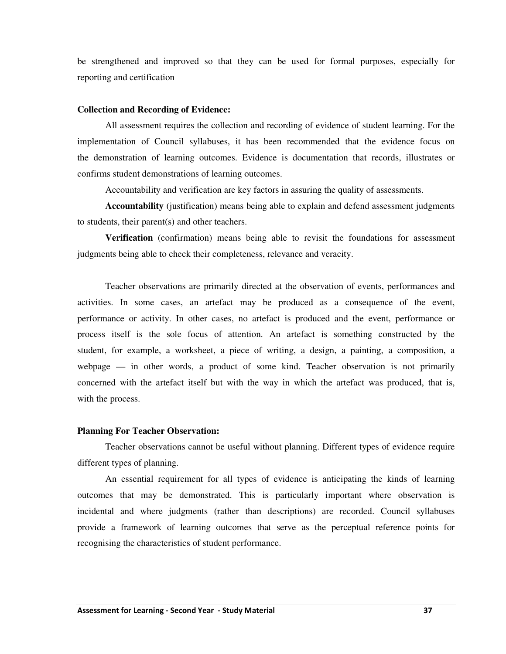be strengthened and improved so that they can be used for formal purposes, especially for reporting and certification

#### **Collection and Recording of Evidence:**

 All assessment requires the collection and recording of evidence of student learning. For the implementation of Council syllabuses, it has been recommended that the evidence focus on the demonstration of learning outcomes. Evidence is documentation that records, illustrates or confirms student demonstrations of learning outcomes.

Accountability and verification are key factors in assuring the quality of assessments.

 **Accountability** (justification) means being able to explain and defend assessment judgments to students, their parent(s) and other teachers.

 **Verification** (confirmation) means being able to revisit the foundations for assessment judgments being able to check their completeness, relevance and veracity.

Teacher observations are primarily directed at the observation of events, performances and activities. In some cases, an artefact may be produced as a consequence of the event, performance or activity. In other cases, no artefact is produced and the event, performance or process itself is the sole focus of attention. An artefact is something constructed by the student, for example, a worksheet, a piece of writing, a design, a painting, a composition, a webpage — in other words, a product of some kind. Teacher observation is not primarily concerned with the artefact itself but with the way in which the artefact was produced, that is, with the process.

#### **Planning For Teacher Observation:**

 Teacher observations cannot be useful without planning. Different types of evidence require different types of planning.

An essential requirement for all types of evidence is anticipating the kinds of learning outcomes that may be demonstrated. This is particularly important where observation is incidental and where judgments (rather than descriptions) are recorded. Council syllabuses provide a framework of learning outcomes that serve as the perceptual reference points for recognising the characteristics of student performance.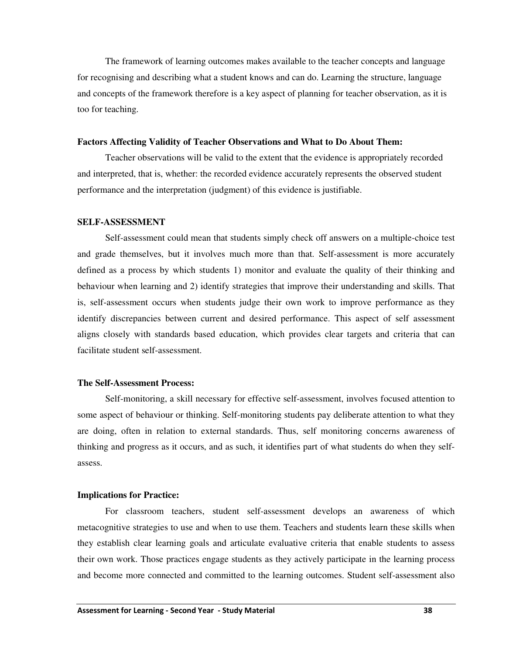The framework of learning outcomes makes available to the teacher concepts and language for recognising and describing what a student knows and can do. Learning the structure, language and concepts of the framework therefore is a key aspect of planning for teacher observation, as it is too for teaching.

#### **Factors Affecting Validity of Teacher Observations and What to Do About Them:**

 Teacher observations will be valid to the extent that the evidence is appropriately recorded and interpreted, that is, whether: the recorded evidence accurately represents the observed student performance and the interpretation (judgment) of this evidence is justifiable.

#### **SELF-ASSESSMENT**

Self-assessment could mean that students simply check off answers on a multiple-choice test and grade themselves, but it involves much more than that. Self-assessment is more accurately defined as a process by which students 1) monitor and evaluate the quality of their thinking and behaviour when learning and 2) identify strategies that improve their understanding and skills. That is, self-assessment occurs when students judge their own work to improve performance as they identify discrepancies between current and desired performance. This aspect of self assessment aligns closely with standards based education, which provides clear targets and criteria that can facilitate student self-assessment.

#### **The Self-Assessment Process:**

Self-monitoring, a skill necessary for effective self-assessment, involves focused attention to some aspect of behaviour or thinking. Self-monitoring students pay deliberate attention to what they are doing, often in relation to external standards. Thus, self monitoring concerns awareness of thinking and progress as it occurs, and as such, it identifies part of what students do when they selfassess.

#### **Implications for Practice:**

For classroom teachers, student self-assessment develops an awareness of which metacognitive strategies to use and when to use them. Teachers and students learn these skills when they establish clear learning goals and articulate evaluative criteria that enable students to assess their own work. Those practices engage students as they actively participate in the learning process and become more connected and committed to the learning outcomes. Student self-assessment also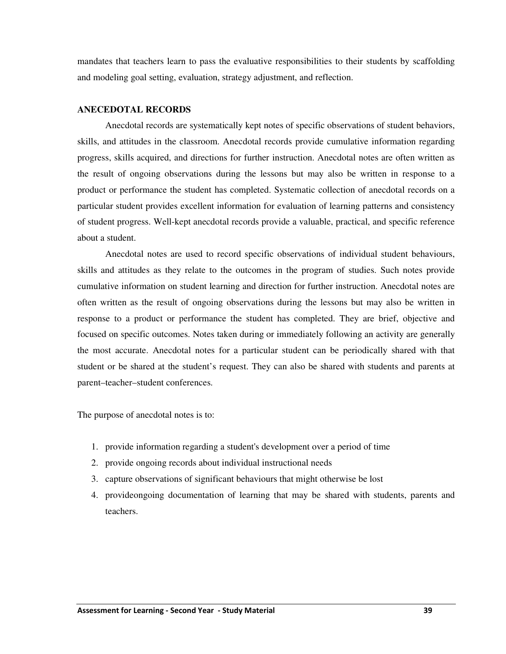mandates that teachers learn to pass the evaluative responsibilities to their students by scaffolding and modeling goal setting, evaluation, strategy adjustment, and reflection.

#### **ANECEDOTAL RECORDS**

Anecdotal records are systematically kept notes of specific observations of student behaviors, skills, and attitudes in the classroom. Anecdotal records provide cumulative information regarding progress, skills acquired, and directions for further instruction. Anecdotal notes are often written as the result of ongoing observations during the lessons but may also be written in response to a product or performance the student has completed. Systematic collection of anecdotal records on a particular student provides excellent information for evaluation of learning patterns and consistency of student progress. Well-kept anecdotal records provide a valuable, practical, and specific reference about a student.

Anecdotal notes are used to record specific observations of individual student behaviours, skills and attitudes as they relate to the outcomes in the program of studies. Such notes provide cumulative information on student learning and direction for further instruction. Anecdotal notes are often written as the result of ongoing observations during the lessons but may also be written in response to a product or performance the student has completed. They are brief, objective and focused on specific outcomes. Notes taken during or immediately following an activity are generally the most accurate. Anecdotal notes for a particular student can be periodically shared with that student or be shared at the student's request. They can also be shared with students and parents at parent–teacher–student conferences.

The purpose of anecdotal notes is to:

- 1. provide information regarding a student's development over a period of time
- 2. provide ongoing records about individual instructional needs
- 3. capture observations of significant behaviours that might otherwise be lost
- 4. provideongoing documentation of learning that may be shared with students, parents and teachers.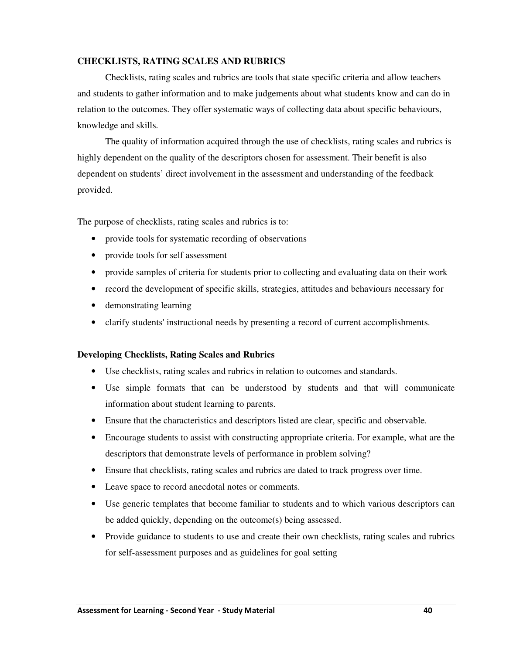#### **CHECKLISTS, RATING SCALES AND RUBRICS**

Checklists, rating scales and rubrics are tools that state specific criteria and allow teachers and students to gather information and to make judgements about what students know and can do in relation to the outcomes. They offer systematic ways of collecting data about specific behaviours, knowledge and skills.

The quality of information acquired through the use of checklists, rating scales and rubrics is highly dependent on the quality of the descriptors chosen for assessment. Their benefit is also dependent on students' direct involvement in the assessment and understanding of the feedback provided.

The purpose of checklists, rating scales and rubrics is to:

- provide tools for systematic recording of observations
- provide tools for self assessment
- provide samples of criteria for students prior to collecting and evaluating data on their work
- record the development of specific skills, strategies, attitudes and behaviours necessary for
- demonstrating learning
- clarify students' instructional needs by presenting a record of current accomplishments.

## **Developing Checklists, Rating Scales and Rubrics**

- Use checklists, rating scales and rubrics in relation to outcomes and standards.
- Use simple formats that can be understood by students and that will communicate information about student learning to parents.
- Ensure that the characteristics and descriptors listed are clear, specific and observable.
- Encourage students to assist with constructing appropriate criteria. For example, what are the descriptors that demonstrate levels of performance in problem solving?
- Ensure that checklists, rating scales and rubrics are dated to track progress over time.
- Leave space to record anecdotal notes or comments.
- Use generic templates that become familiar to students and to which various descriptors can be added quickly, depending on the outcome(s) being assessed.
- Provide guidance to students to use and create their own checklists, rating scales and rubrics for self-assessment purposes and as guidelines for goal setting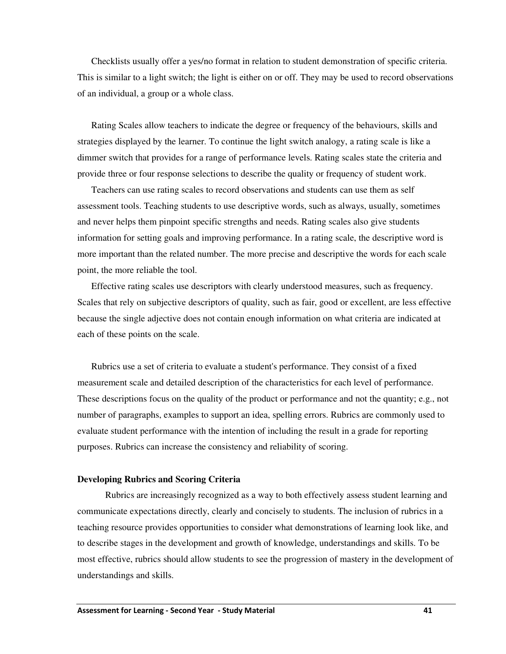Checklists usually offer a yes/no format in relation to student demonstration of specific criteria. This is similar to a light switch; the light is either on or off. They may be used to record observations of an individual, a group or a whole class.

Rating Scales allow teachers to indicate the degree or frequency of the behaviours, skills and strategies displayed by the learner. To continue the light switch analogy, a rating scale is like a dimmer switch that provides for a range of performance levels. Rating scales state the criteria and provide three or four response selections to describe the quality or frequency of student work.

Teachers can use rating scales to record observations and students can use them as self assessment tools. Teaching students to use descriptive words, such as always, usually, sometimes and never helps them pinpoint specific strengths and needs. Rating scales also give students information for setting goals and improving performance. In a rating scale, the descriptive word is more important than the related number. The more precise and descriptive the words for each scale point, the more reliable the tool.

Effective rating scales use descriptors with clearly understood measures, such as frequency. Scales that rely on subjective descriptors of quality, such as fair, good or excellent, are less effective because the single adjective does not contain enough information on what criteria are indicated at each of these points on the scale.

Rubrics use a set of criteria to evaluate a student's performance. They consist of a fixed measurement scale and detailed description of the characteristics for each level of performance. These descriptions focus on the quality of the product or performance and not the quantity; e.g., not number of paragraphs, examples to support an idea, spelling errors. Rubrics are commonly used to evaluate student performance with the intention of including the result in a grade for reporting purposes. Rubrics can increase the consistency and reliability of scoring.

#### **Developing Rubrics and Scoring Criteria**

Rubrics are increasingly recognized as a way to both effectively assess student learning and communicate expectations directly, clearly and concisely to students. The inclusion of rubrics in a teaching resource provides opportunities to consider what demonstrations of learning look like, and to describe stages in the development and growth of knowledge, understandings and skills. To be most effective, rubrics should allow students to see the progression of mastery in the development of understandings and skills.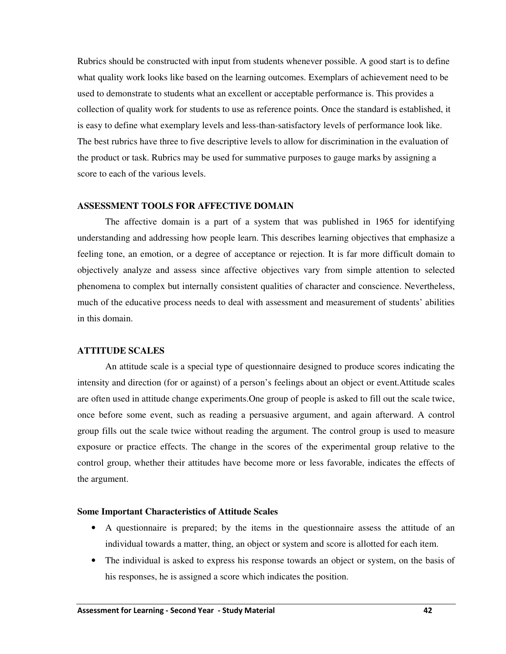Rubrics should be constructed with input from students whenever possible. A good start is to define what quality work looks like based on the learning outcomes. Exemplars of achievement need to be used to demonstrate to students what an excellent or acceptable performance is. This provides a collection of quality work for students to use as reference points. Once the standard is established, it is easy to define what exemplary levels and less-than-satisfactory levels of performance look like. The best rubrics have three to five descriptive levels to allow for discrimination in the evaluation of the product or task. Rubrics may be used for summative purposes to gauge marks by assigning a score to each of the various levels.

#### **ASSESSMENT TOOLS FOR AFFECTIVE DOMAIN**

The affective domain is a part of a system that was published in 1965 for identifying understanding and addressing how people learn. This describes learning objectives that emphasize a feeling tone, an emotion, or a degree of acceptance or rejection. It is far more difficult domain to objectively analyze and assess since affective objectives vary from simple attention to selected phenomena to complex but internally consistent qualities of character and conscience. Nevertheless, much of the educative process needs to deal with assessment and measurement of students' abilities in this domain.

### **ATTITUDE SCALES**

An attitude scale is a special type of questionnaire designed to produce scores indicating the intensity and direction (for or against) of a person's feelings about an object or event.Attitude scales are often used in attitude change experiments.One group of people is asked to fill out the scale twice, once before some event, such as reading a persuasive argument, and again afterward. A control group fills out the scale twice without reading the argument. The control group is used to measure exposure or practice effects. The change in the scores of the experimental group relative to the control group, whether their attitudes have become more or less favorable, indicates the effects of the argument.

#### **Some Important Characteristics of Attitude Scales**

- A questionnaire is prepared; by the items in the questionnaire assess the attitude of an individual towards a matter, thing, an object or system and score is allotted for each item.
- The individual is asked to express his response towards an object or system, on the basis of his responses, he is assigned a score which indicates the position.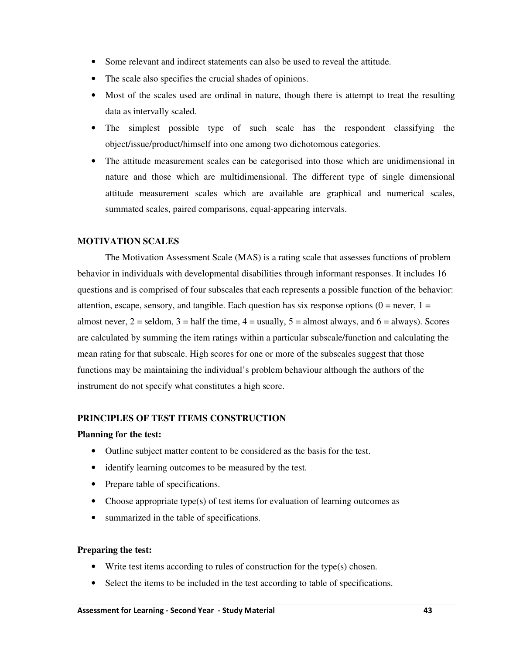- Some relevant and indirect statements can also be used to reveal the attitude.
- The scale also specifies the crucial shades of opinions.
- Most of the scales used are ordinal in nature, though there is attempt to treat the resulting data as intervally scaled.
- The simplest possible type of such scale has the respondent classifying the object/issue/product/himself into one among two dichotomous categories.
- The attitude measurement scales can be categorised into those which are unidimensional in nature and those which are multidimensional. The different type of single dimensional attitude measurement scales which are available are graphical and numerical scales, summated scales, paired comparisons, equal-appearing intervals.

## **MOTIVATION SCALES**

The Motivation Assessment Scale (MAS) is a rating scale that assesses functions of problem behavior in individuals with developmental disabilities through informant responses. It includes 16 questions and is comprised of four subscales that each represents a possible function of the behavior: attention, escape, sensory, and tangible. Each question has six response options  $(0 = never, 1 =$ almost never,  $2 =$  seldom,  $3 =$  half the time,  $4 =$  usually,  $5 =$  almost always, and  $6 =$  always). Scores are calculated by summing the item ratings within a particular subscale/function and calculating the mean rating for that subscale. High scores for one or more of the subscales suggest that those functions may be maintaining the individual's problem behaviour although the authors of the instrument do not specify what constitutes a high score.

## **PRINCIPLES OF TEST ITEMS CONSTRUCTION**

## **Planning for the test:**

- Outline subject matter content to be considered as the basis for the test.
- identify learning outcomes to be measured by the test.
- Prepare table of specifications.
- Choose appropriate type(s) of test items for evaluation of learning outcomes as
- summarized in the table of specifications.

#### **Preparing the test:**

- Write test items according to rules of construction for the type(s) chosen.
- Select the items to be included in the test according to table of specifications.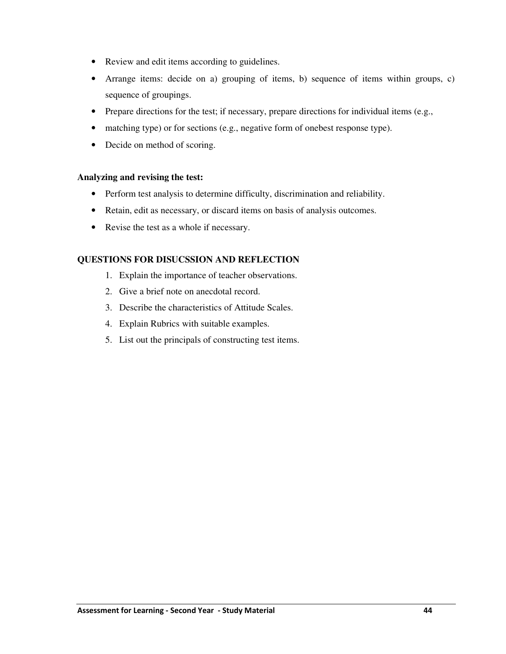- Review and edit items according to guidelines.
- Arrange items: decide on a) grouping of items, b) sequence of items within groups, c) sequence of groupings.
- Prepare directions for the test; if necessary, prepare directions for individual items (e.g.,
- matching type) or for sections (e.g., negative form of onebest response type).
- Decide on method of scoring.

### **Analyzing and revising the test:**

- Perform test analysis to determine difficulty, discrimination and reliability.
- Retain, edit as necessary, or discard items on basis of analysis outcomes.
- Revise the test as a whole if necessary.

## **QUESTIONS FOR DISUCSSION AND REFLECTION**

- 1. Explain the importance of teacher observations.
- 2. Give a brief note on anecdotal record.
- 3. Describe the characteristics of Attitude Scales.
- 4. Explain Rubrics with suitable examples.
- 5. List out the principals of constructing test items.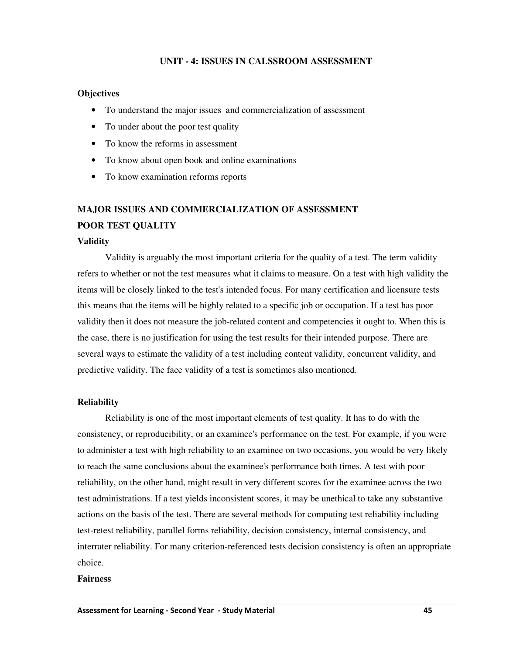#### **UNIT - 4: ISSUES IN CALSSROOM ASSESSMENT**

#### **Objectives**

- To understand the major issues and commercialization of assessment
- To under about the poor test quality
- To know the reforms in assessment
- To know about open book and online examinations
- To know examination reforms reports

# **MAJOR ISSUES AND COMMERCIALIZATION OF ASSESSMENT POOR TEST QUALITY**

#### **Validity**

Validity is arguably the most important criteria for the quality of a test. The term validity refers to whether or not the test measures what it claims to measure. On a test with high validity the items will be closely linked to the test's intended focus. For many certification and licensure tests this means that the items will be highly related to a specific job or occupation. If a test has poor validity then it does not measure the job-related content and competencies it ought to. When this is the case, there is no justification for using the test results for their intended purpose. There are several ways to estimate the validity of a test including content validity, concurrent validity, and predictive validity. The face validity of a test is sometimes also mentioned.

#### **Reliability**

Reliability is one of the most important elements of test quality. It has to do with the consistency, or reproducibility, or an examinee's performance on the test. For example, if you were to administer a test with high reliability to an examinee on two occasions, you would be very likely to reach the same conclusions about the examinee's performance both times. A test with poor reliability, on the other hand, might result in very different scores for the examinee across the two test administrations. If a test yields inconsistent scores, it may be unethical to take any substantive actions on the basis of the test. There are several methods for computing test reliability including test-retest reliability, parallel forms reliability, decision consistency, internal consistency, and interrater reliability. For many criterion-referenced tests decision consistency is often an appropriate choice.

#### **Fairness**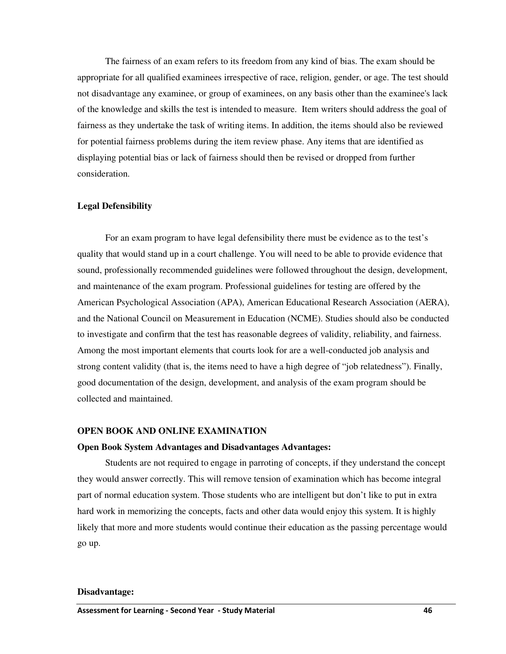The fairness of an exam refers to its freedom from any kind of bias. The exam should be appropriate for all qualified examinees irrespective of race, religion, gender, or age. The test should not disadvantage any examinee, or group of examinees, on any basis other than the examinee's lack of the knowledge and skills the test is intended to measure. Item writers should address the goal of fairness as they undertake the task of writing items. In addition, the items should also be reviewed for potential fairness problems during the item review phase. Any items that are identified as displaying potential bias or lack of fairness should then be revised or dropped from further consideration.

#### **Legal Defensibility**

For an exam program to have legal defensibility there must be evidence as to the test's quality that would stand up in a court challenge. You will need to be able to provide evidence that sound, professionally recommended guidelines were followed throughout the design, development, and maintenance of the exam program. Professional guidelines for testing are offered by the American Psychological Association (APA), American Educational Research Association (AERA), and the National Council on Measurement in Education (NCME). Studies should also be conducted to investigate and confirm that the test has reasonable degrees of validity, reliability, and fairness. Among the most important elements that courts look for are a well-conducted job analysis and strong content validity (that is, the items need to have a high degree of "job relatedness"). Finally, good documentation of the design, development, and analysis of the exam program should be collected and maintained.

#### **OPEN BOOK AND ONLINE EXAMINATION**

#### **Open Book System Advantages and Disadvantages Advantages:**

Students are not required to engage in parroting of concepts, if they understand the concept they would answer correctly. This will remove tension of examination which has become integral part of normal education system. Those students who are intelligent but don't like to put in extra hard work in memorizing the concepts, facts and other data would enjoy this system. It is highly likely that more and more students would continue their education as the passing percentage would go up.

#### **Disadvantage:**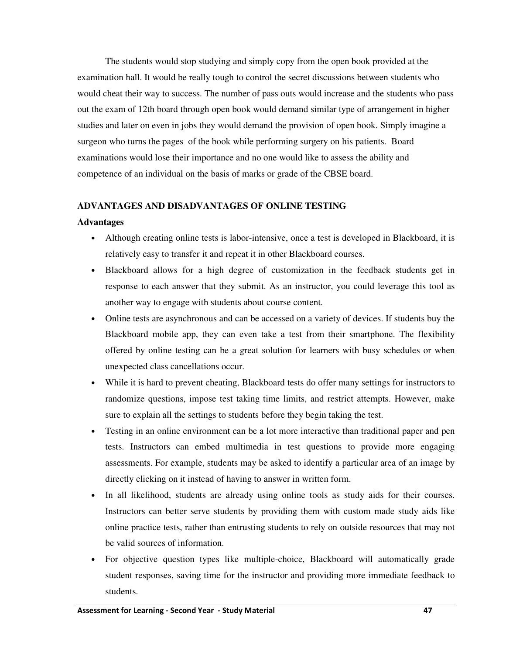The students would stop studying and simply copy from the open book provided at the examination hall. It would be really tough to control the secret discussions between students who would cheat their way to success. The number of pass outs would increase and the students who pass out the exam of 12th board through open book would demand similar type of arrangement in higher studies and later on even in jobs they would demand the provision of open book. Simply imagine a surgeon who turns the pages of the book while performing surgery on his patients. Board examinations would lose their importance and no one would like to assess the ability and competence of an individual on the basis of marks or grade of the CBSE board.

### **ADVANTAGES AND DISADVANTAGES OF ONLINE TESTING**

#### **Advantages**

- Although creating online tests is labor-intensive, once a test is developed in Blackboard, it is relatively easy to transfer it and repeat it in other Blackboard courses.
- Blackboard allows for a high degree of customization in the feedback students get in response to each answer that they submit. As an instructor, you could leverage this tool as another way to engage with students about course content.
- Online tests are asynchronous and can be accessed on a variety of devices. If students buy the Blackboard mobile app, they can even take a test from their smartphone. The flexibility offered by online testing can be a great solution for learners with busy schedules or when unexpected class cancellations occur.
- While it is hard to prevent cheating, Blackboard tests do offer many settings for instructors to randomize questions, impose test taking time limits, and restrict attempts. However, make sure to explain all the settings to students before they begin taking the test.
- Testing in an online environment can be a lot more interactive than traditional paper and pen tests. Instructors can embed multimedia in test questions to provide more engaging assessments. For example, students may be asked to identify a particular area of an image by directly clicking on it instead of having to answer in written form.
- In all likelihood, students are already using online tools as study aids for their courses. Instructors can better serve students by providing them with custom made study aids like online practice tests, rather than entrusting students to rely on outside resources that may not be valid sources of information.
- For objective question types like multiple-choice, Blackboard will automatically grade student responses, saving time for the instructor and providing more immediate feedback to students.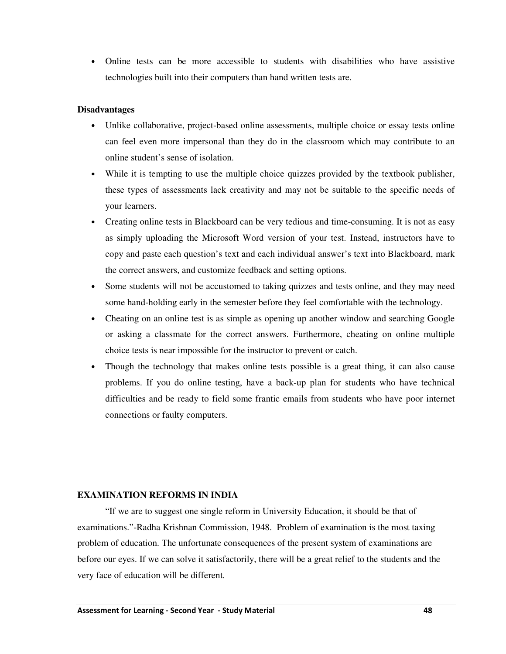• Online tests can be more accessible to students with disabilities who have assistive technologies built into their computers than hand written tests are.

### **Disadvantages**

- Unlike collaborative, project-based online assessments, multiple choice or essay tests online can feel even more impersonal than they do in the classroom which may contribute to an online student's sense of isolation.
- While it is tempting to use the multiple choice quizzes provided by the textbook publisher, these types of assessments lack creativity and may not be suitable to the specific needs of your learners.
- Creating online tests in Blackboard can be very tedious and time-consuming. It is not as easy as simply uploading the Microsoft Word version of your test. Instead, instructors have to copy and paste each question's text and each individual answer's text into Blackboard, mark the correct answers, and customize feedback and setting options.
- Some students will not be accustomed to taking quizzes and tests online, and they may need some hand-holding early in the semester before they feel comfortable with the technology.
- Cheating on an online test is as simple as opening up another window and searching Google or asking a classmate for the correct answers. Furthermore, cheating on online multiple choice tests is near impossible for the instructor to prevent or catch.
- Though the technology that makes online tests possible is a great thing, it can also cause problems. If you do online testing, have a back-up plan for students who have technical difficulties and be ready to field some frantic emails from students who have poor internet connections or faulty computers.

## **EXAMINATION REFORMS IN INDIA**

 "If we are to suggest one single reform in University Education, it should be that of examinations."-Radha Krishnan Commission, 1948. Problem of examination is the most taxing problem of education. The unfortunate consequences of the present system of examinations are before our eyes. If we can solve it satisfactorily, there will be a great relief to the students and the very face of education will be different.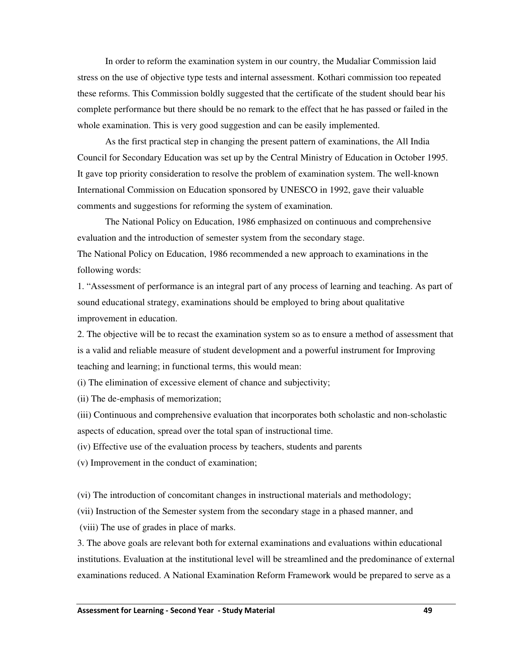In order to reform the examination system in our country, the Mudaliar Commission laid stress on the use of objective type tests and internal assessment. Kothari commission too repeated these reforms. This Commission boldly suggested that the certificate of the student should bear his complete performance but there should be no remark to the effect that he has passed or failed in the whole examination. This is very good suggestion and can be easily implemented.

 As the first practical step in changing the present pattern of examinations, the All India Council for Secondary Education was set up by the Central Ministry of Education in October 1995. It gave top priority consideration to resolve the problem of examination system. The well-known International Commission on Education sponsored by UNESCO in 1992, gave their valuable comments and suggestions for reforming the system of examination.

 The National Policy on Education, 1986 emphasized on continuous and comprehensive evaluation and the introduction of semester system from the secondary stage.

The National Policy on Education, 1986 recommended a new approach to examinations in the following words:

1. "Assessment of performance is an integral part of any process of learning and teaching. As part of sound educational strategy, examinations should be employed to bring about qualitative improvement in education.

2. The objective will be to recast the examination system so as to ensure a method of assessment that is a valid and reliable measure of student development and a powerful instrument for Improving teaching and learning; in functional terms, this would mean:

(i) The elimination of excessive element of chance and subjectivity;

(ii) The de-emphasis of memorization;

(iii) Continuous and comprehensive evaluation that incorporates both scholastic and non-scholastic aspects of education, spread over the total span of instructional time.

(iv) Effective use of the evaluation process by teachers, students and parents

(v) Improvement in the conduct of examination;

(vi) The introduction of concomitant changes in instructional materials and methodology;

(vii) Instruction of the Semester system from the secondary stage in a phased manner, and

(viii) The use of grades in place of marks.

3. The above goals are relevant both for external examinations and evaluations within educational institutions. Evaluation at the institutional level will be streamlined and the predominance of external examinations reduced. A National Examination Reform Framework would be prepared to serve as a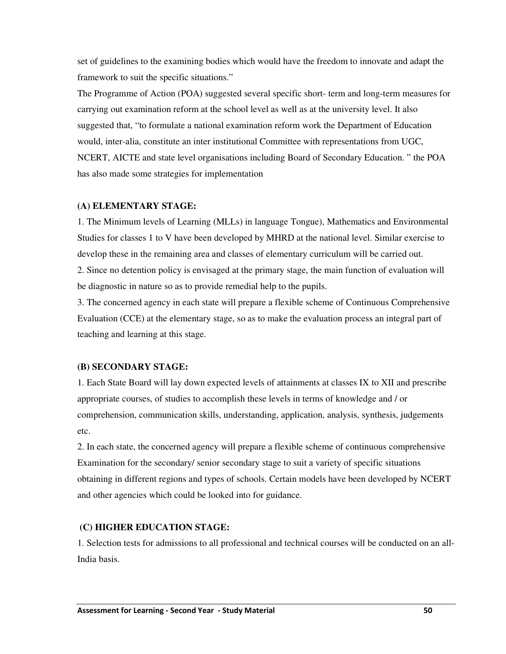set of guidelines to the examining bodies which would have the freedom to innovate and adapt the framework to suit the specific situations."

The Programme of Action (POA) suggested several specific short- term and long-term measures for carrying out examination reform at the school level as well as at the university level. It also suggested that, "to formulate a national examination reform work the Department of Education would, inter-alia, constitute an inter institutional Committee with representations from UGC, NCERT, AICTE and state level organisations including Board of Secondary Education. " the POA has also made some strategies for implementation

### **(A) ELEMENTARY STAGE:**

1. The Minimum levels of Learning (MLLs) in language Tongue), Mathematics and Environmental Studies for classes 1 to V have been developed by MHRD at the national level. Similar exercise to develop these in the remaining area and classes of elementary curriculum will be carried out. 2. Since no detention policy is envisaged at the primary stage, the main function of evaluation will be diagnostic in nature so as to provide remedial help to the pupils.

3. The concerned agency in each state will prepare a flexible scheme of Continuous Comprehensive Evaluation (CCE) at the elementary stage, so as to make the evaluation process an integral part of teaching and learning at this stage.

## **(B) SECONDARY STAGE:**

1. Each State Board will lay down expected levels of attainments at classes IX to XII and prescribe appropriate courses, of studies to accomplish these levels in terms of knowledge and / or comprehension, communication skills, understanding, application, analysis, synthesis, judgements etc.

2. In each state, the concerned agency will prepare a flexible scheme of continuous comprehensive Examination for the secondary/ senior secondary stage to suit a variety of specific situations obtaining in different regions and types of schools. Certain models have been developed by NCERT and other agencies which could be looked into for guidance.

## **(C) HIGHER EDUCATION STAGE:**

1. Selection tests for admissions to all professional and technical courses will be conducted on an all-India basis.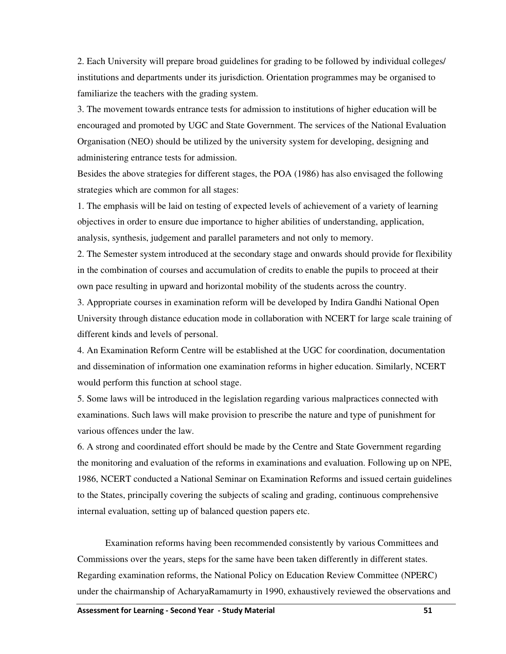2. Each University will prepare broad guidelines for grading to be followed by individual colleges/ institutions and departments under its jurisdiction. Orientation programmes may be organised to familiarize the teachers with the grading system.

3. The movement towards entrance tests for admission to institutions of higher education will be encouraged and promoted by UGC and State Government. The services of the National Evaluation Organisation (NEO) should be utilized by the university system for developing, designing and administering entrance tests for admission.

Besides the above strategies for different stages, the POA (1986) has also envisaged the following strategies which are common for all stages:

1. The emphasis will be laid on testing of expected levels of achievement of a variety of learning objectives in order to ensure due importance to higher abilities of understanding, application, analysis, synthesis, judgement and parallel parameters and not only to memory.

2. The Semester system introduced at the secondary stage and onwards should provide for flexibility in the combination of courses and accumulation of credits to enable the pupils to proceed at their own pace resulting in upward and horizontal mobility of the students across the country.

3. Appropriate courses in examination reform will be developed by Indira Gandhi National Open University through distance education mode in collaboration with NCERT for large scale training of different kinds and levels of personal.

4. An Examination Reform Centre will be established at the UGC for coordination, documentation and dissemination of information one examination reforms in higher education. Similarly, NCERT would perform this function at school stage.

5. Some laws will be introduced in the legislation regarding various malpractices connected with examinations. Such laws will make provision to prescribe the nature and type of punishment for various offences under the law.

6. A strong and coordinated effort should be made by the Centre and State Government regarding the monitoring and evaluation of the reforms in examinations and evaluation. Following up on NPE, 1986, NCERT conducted a National Seminar on Examination Reforms and issued certain guidelines to the States, principally covering the subjects of scaling and grading, continuous comprehensive internal evaluation, setting up of balanced question papers etc.

 Examination reforms having been recommended consistently by various Committees and Commissions over the years, steps for the same have been taken differently in different states. Regarding examination reforms, the National Policy on Education Review Committee (NPERC) under the chairmanship of AcharyaRamamurty in 1990, exhaustively reviewed the observations and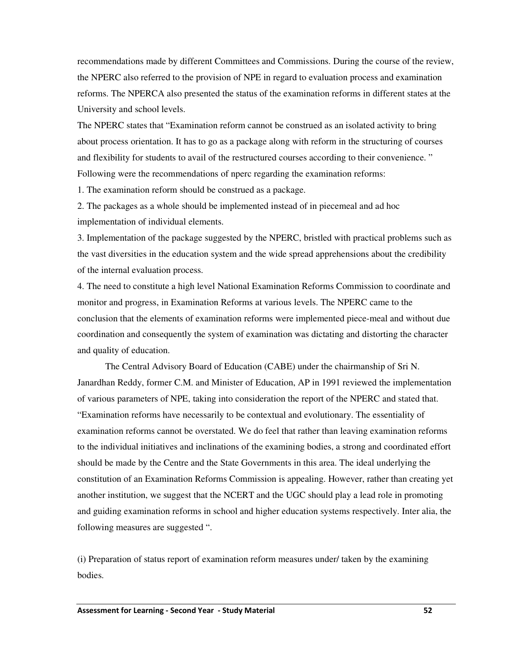recommendations made by different Committees and Commissions. During the course of the review, the NPERC also referred to the provision of NPE in regard to evaluation process and examination reforms. The NPERCA also presented the status of the examination reforms in different states at the University and school levels.

The NPERC states that "Examination reform cannot be construed as an isolated activity to bring about process orientation. It has to go as a package along with reform in the structuring of courses and flexibility for students to avail of the restructured courses according to their convenience. " Following were the recommendations of nperc regarding the examination reforms:

1. The examination reform should be construed as a package.

2. The packages as a whole should be implemented instead of in piecemeal and ad hoc implementation of individual elements.

3. Implementation of the package suggested by the NPERC, bristled with practical problems such as the vast diversities in the education system and the wide spread apprehensions about the credibility of the internal evaluation process.

4. The need to constitute a high level National Examination Reforms Commission to coordinate and monitor and progress, in Examination Reforms at various levels. The NPERC came to the conclusion that the elements of examination reforms were implemented piece-meal and without due coordination and consequently the system of examination was dictating and distorting the character and quality of education.

 The Central Advisory Board of Education (CABE) under the chairmanship of Sri N. Janardhan Reddy, former C.M. and Minister of Education, AP in 1991 reviewed the implementation of various parameters of NPE, taking into consideration the report of the NPERC and stated that. "Examination reforms have necessarily to be contextual and evolutionary. The essentiality of examination reforms cannot be overstated. We do feel that rather than leaving examination reforms to the individual initiatives and inclinations of the examining bodies, a strong and coordinated effort should be made by the Centre and the State Governments in this area. The ideal underlying the constitution of an Examination Reforms Commission is appealing. However, rather than creating yet another institution, we suggest that the NCERT and the UGC should play a lead role in promoting and guiding examination reforms in school and higher education systems respectively. Inter alia, the following measures are suggested ".

(i) Preparation of status report of examination reform measures under/ taken by the examining bodies.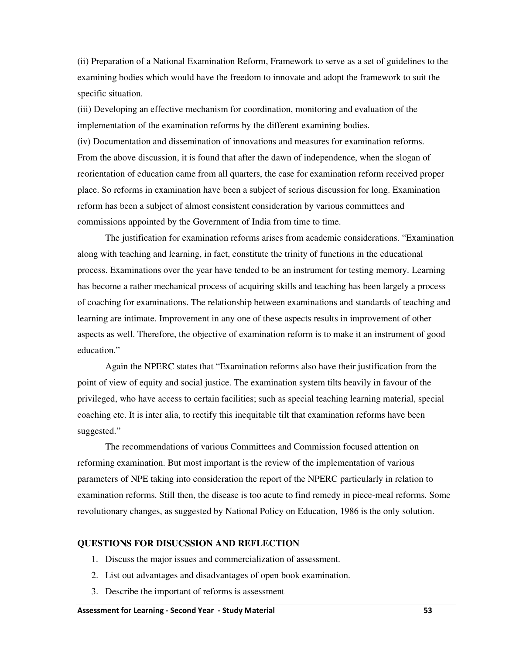(ii) Preparation of a National Examination Reform, Framework to serve as a set of guidelines to the examining bodies which would have the freedom to innovate and adopt the framework to suit the specific situation.

(iii) Developing an effective mechanism for coordination, monitoring and evaluation of the implementation of the examination reforms by the different examining bodies.

(iv) Documentation and dissemination of innovations and measures for examination reforms. From the above discussion, it is found that after the dawn of independence, when the slogan of reorientation of education came from all quarters, the case for examination reform received proper place. So reforms in examination have been a subject of serious discussion for long. Examination reform has been a subject of almost consistent consideration by various committees and commissions appointed by the Government of India from time to time.

 The justification for examination reforms arises from academic considerations. "Examination along with teaching and learning, in fact, constitute the trinity of functions in the educational process. Examinations over the year have tended to be an instrument for testing memory. Learning has become a rather mechanical process of acquiring skills and teaching has been largely a process of coaching for examinations. The relationship between examinations and standards of teaching and learning are intimate. Improvement in any one of these aspects results in improvement of other aspects as well. Therefore, the objective of examination reform is to make it an instrument of good education."

 Again the NPERC states that "Examination reforms also have their justification from the point of view of equity and social justice. The examination system tilts heavily in favour of the privileged, who have access to certain facilities; such as special teaching learning material, special coaching etc. It is inter alia, to rectify this inequitable tilt that examination reforms have been suggested."

 The recommendations of various Committees and Commission focused attention on reforming examination. But most important is the review of the implementation of various parameters of NPE taking into consideration the report of the NPERC particularly in relation to examination reforms. Still then, the disease is too acute to find remedy in piece-meal reforms. Some revolutionary changes, as suggested by National Policy on Education, 1986 is the only solution.

#### **QUESTIONS FOR DISUCSSION AND REFLECTION**

- 1. Discuss the major issues and commercialization of assessment.
- 2. List out advantages and disadvantages of open book examination.
- 3. Describe the important of reforms is assessment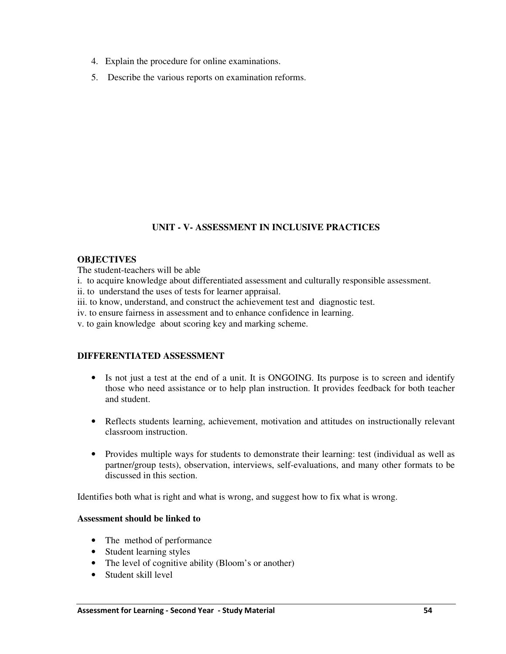- 4. Explain the procedure for online examinations.
- 5. Describe the various reports on examination reforms.

## **UNIT - V- ASSESSMENT IN INCLUSIVE PRACTICES**

#### **OBJECTIVES**

The student-teachers will be able

i. to acquire knowledge about differentiated assessment and culturally responsible assessment.

ii. to understand the uses of tests for learner appraisal.

iii. to know, understand, and construct the achievement test and diagnostic test.

iv. to ensure fairness in assessment and to enhance confidence in learning.

v. to gain knowledge about scoring key and marking scheme.

## **DIFFERENTIATED ASSESSMENT**

- Is not just a test at the end of a unit. It is ONGOING. Its purpose is to screen and identify those who need assistance or to help plan instruction. It provides feedback for both teacher and student.
- Reflects students learning, achievement, motivation and attitudes on instructionally relevant classroom instruction.
- Provides multiple ways for students to demonstrate their learning: test (individual as well as partner/group tests), observation, interviews, self-evaluations, and many other formats to be discussed in this section.

Identifies both what is right and what is wrong, and suggest how to fix what is wrong.

#### **Assessment should be linked to**

- The method of performance
- Student learning styles
- The level of cognitive ability (Bloom's or another)
- Student skill level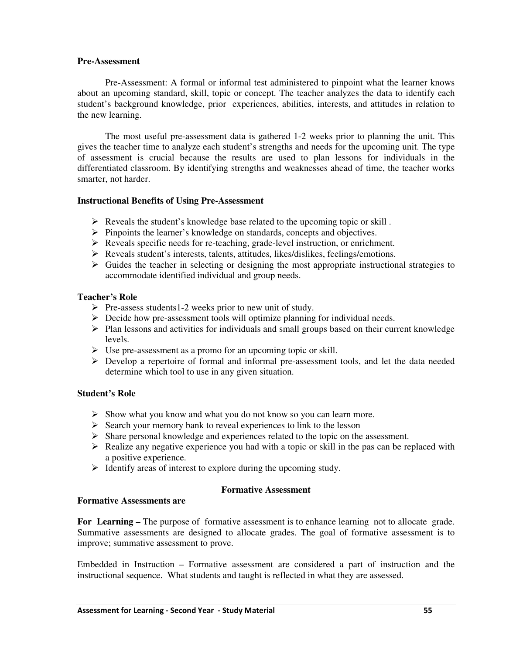#### **Pre-Assessment**

Pre-Assessment: A formal or informal test administered to pinpoint what the learner knows about an upcoming standard, skill, topic or concept. The teacher analyzes the data to identify each student's background knowledge, prior experiences, abilities, interests, and attitudes in relation to the new learning.

The most useful pre-assessment data is gathered 1-2 weeks prior to planning the unit. This gives the teacher time to analyze each student's strengths and needs for the upcoming unit. The type of assessment is crucial because the results are used to plan lessons for individuals in the differentiated classroom. By identifying strengths and weaknesses ahead of time, the teacher works smarter, not harder.

### **Instructional Benefits of Using Pre-Assessment**

- > Reveals the student's knowledge base related to the upcoming topic or skill.
- > Pinpoints the learner's knowledge on standards, concepts and objectives.
- Reveals specific needs for re-teaching, grade-level instruction, or enrichment.
- Reveals student's interests, talents, attitudes, likes/dislikes, feelings/emotions.
- > Guides the teacher in selecting or designing the most appropriate instructional strategies to accommodate identified individual and group needs.

### **Teacher's Role**

- Pre-assess students1-2 weeks prior to new unit of study.
- > Decide how pre-assessment tools will optimize planning for individual needs.
- > Plan lessons and activities for individuals and small groups based on their current knowledge levels.
- > Use pre-assessment as a promo for an upcoming topic or skill.
- > Develop a repertoire of formal and informal pre-assessment tools, and let the data needed determine which tool to use in any given situation.

#### **Student's Role**

- Show what you know and what you do not know so you can learn more.
- > Search your memory bank to reveal experiences to link to the lesson
- > Share personal knowledge and experiences related to the topic on the assessment.
- > Realize any negative experience you had with a topic or skill in the pas can be replaced with a positive experience.
- > Identify areas of interest to explore during the upcoming study.

#### **Formative Assessment**

#### **Formative Assessments are**

**For Learning –** The purpose of formative assessment is to enhance learning not to allocate grade. Summative assessments are designed to allocate grades. The goal of formative assessment is to improve; summative assessment to prove.

Embedded in Instruction – Formative assessment are considered a part of instruction and the instructional sequence. What students and taught is reflected in what they are assessed.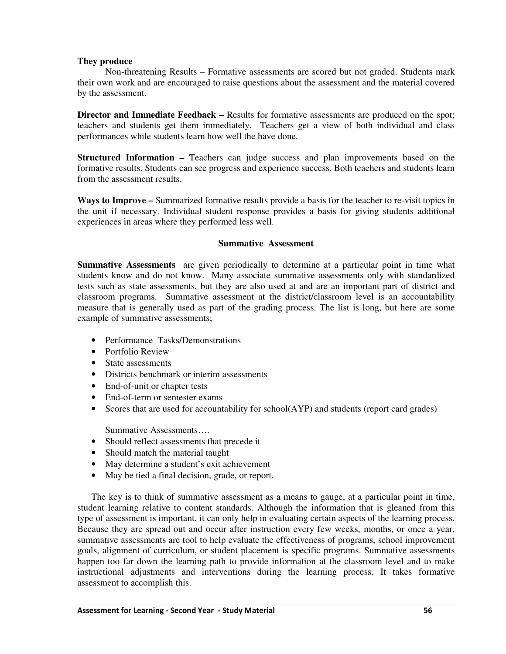#### **They produce**

Non-threatening Results – Formative assessments are scored but not graded. Students mark their own work and are encouraged to raise questions about the assessment and the material covered by the assessment.

**Director and Immediate Feedback – Results for formative assessments are produced on the spot;** teachers and students get them immediately, Teachers get a view of both individual and class performances while students learn how well the have done.

**Structured Information –** Teachers can judge success and plan improvements based on the formative results. Students can see progress and experience success. Both teachers and students learn from the assessment results.

**Ways to Improve –** Summarized formative results provide a basis for the teacher to re-visit topics in the unit if necessary. Individual student response provides a basis for giving students additional experiences in areas where they performed less well.

#### **Summative Assessment**

**Summative Assessments** are given periodically to determine at a particular point in time what students know and do not know. Many associate summative assessments only with standardized tests such as state assessments, but they are also used at and are an important part of district and classroom programs. Summative assessment at the district/classroom level is an accountability measure that is generally used as part of the grading process. The list is long, but here are some example of summative assessments;

- Performance Tasks/Demonstrations
- Portfolio Review
- State assessments
- Districts benchmark or interim assessments
- End-of-unit or chapter tests
- End-of-term or semester exams
- Scores that are used for accountability for school(AYP) and students (report card grades)

Summative Assessments….

- Should reflect assessments that precede it
- Should match the material taught
- May determine a student's exit achievement
- May be tied a final decision, grade, or report.

The key is to think of summative assessment as a means to gauge, at a particular point in time, student learning relative to content standards. Although the information that is gleaned from this type of assessment is important, it can only help in evaluating certain aspects of the learning process. Because they are spread out and occur after instruction every few weeks, months, or once a year, summative assessments are tool to help evaluate the effectiveness of programs, school improvement goals, alignment of curriculum, or student placement is specific programs. Summative assessments happen too far down the learning path to provide information at the classroom level and to make instructional adjustments and interventions during the learning process. It takes formative assessment to accomplish this.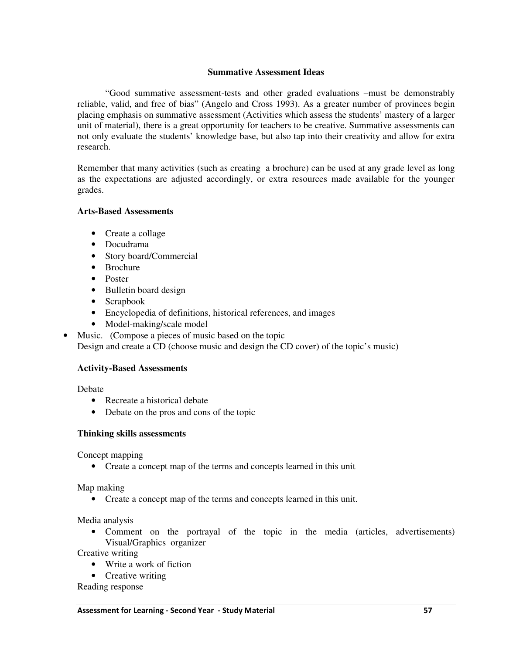#### **Summative Assessment Ideas**

"Good summative assessment-tests and other graded evaluations –must be demonstrably reliable, valid, and free of bias" (Angelo and Cross 1993). As a greater number of provinces begin placing emphasis on summative assessment (Activities which assess the students' mastery of a larger unit of material), there is a great opportunity for teachers to be creative. Summative assessments can not only evaluate the students' knowledge base, but also tap into their creativity and allow for extra research.

Remember that many activities (such as creating a brochure) can be used at any grade level as long as the expectations are adjusted accordingly, or extra resources made available for the younger grades.

### **Arts-Based Assessments**

- Create a collage
- Docudrama
- Story board/Commercial
- Brochure
- Poster
- Bulletin board design
- Scrapbook
- Encyclopedia of definitions, historical references, and images
- Model-making/scale model
- Music. (Compose a pieces of music based on the topic

Design and create a CD (choose music and design the CD cover) of the topic's music)

#### **Activity-Based Assessments**

Debate

- Recreate a historical debate
- Debate on the pros and cons of the topic

#### **Thinking skills assessments**

Concept mapping

• Create a concept map of the terms and concepts learned in this unit

Map making

• Create a concept map of the terms and concepts learned in this unit.

Media analysis

• Comment on the portrayal of the topic in the media (articles, advertisements) Visual/Graphics organizer

Creative writing

- Write a work of fiction
- Creative writing

Reading response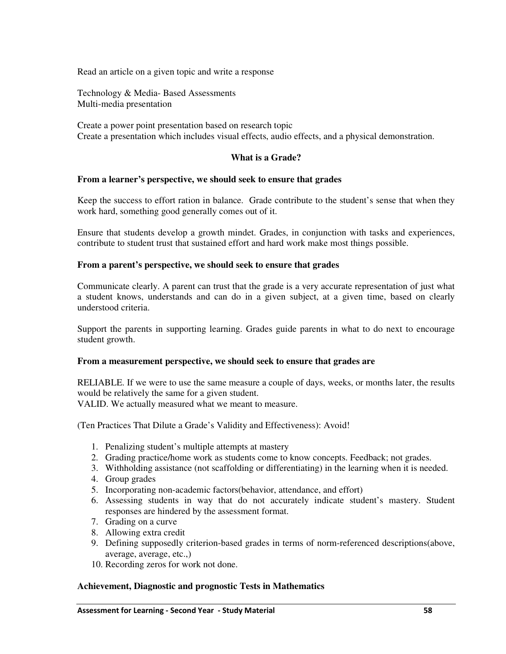Read an article on a given topic and write a response

Technology & Media- Based Assessments Multi-media presentation

Create a power point presentation based on research topic Create a presentation which includes visual effects, audio effects, and a physical demonstration.

### **What is a Grade?**

#### **From a learner's perspective, we should seek to ensure that grades**

Keep the success to effort ration in balance. Grade contribute to the student's sense that when they work hard, something good generally comes out of it.

Ensure that students develop a growth mindet. Grades, in conjunction with tasks and experiences, contribute to student trust that sustained effort and hard work make most things possible.

#### **From a parent's perspective, we should seek to ensure that grades**

Communicate clearly. A parent can trust that the grade is a very accurate representation of just what a student knows, understands and can do in a given subject, at a given time, based on clearly understood criteria.

Support the parents in supporting learning. Grades guide parents in what to do next to encourage student growth.

#### **From a measurement perspective, we should seek to ensure that grades are**

RELIABLE. If we were to use the same measure a couple of days, weeks, or months later, the results would be relatively the same for a given student.

VALID. We actually measured what we meant to measure.

(Ten Practices That Dilute a Grade's Validity and Effectiveness): Avoid!

- 1. Penalizing student's multiple attempts at mastery
- 2. Grading practice/home work as students come to know concepts. Feedback; not grades.
- 3. Withholding assistance (not scaffolding or differentiating) in the learning when it is needed.
- 4. Group grades
- 5. Incorporating non-academic factors(behavior, attendance, and effort)
- 6. Assessing students in way that do not accurately indicate student's mastery. Student responses are hindered by the assessment format.
- 7. Grading on a curve
- 8. Allowing extra credit
- 9. Defining supposedly criterion-based grades in terms of norm-referenced descriptions(above, average, average, etc.,)
- 10. Recording zeros for work not done.

#### **Achievement, Diagnostic and prognostic Tests in Mathematics**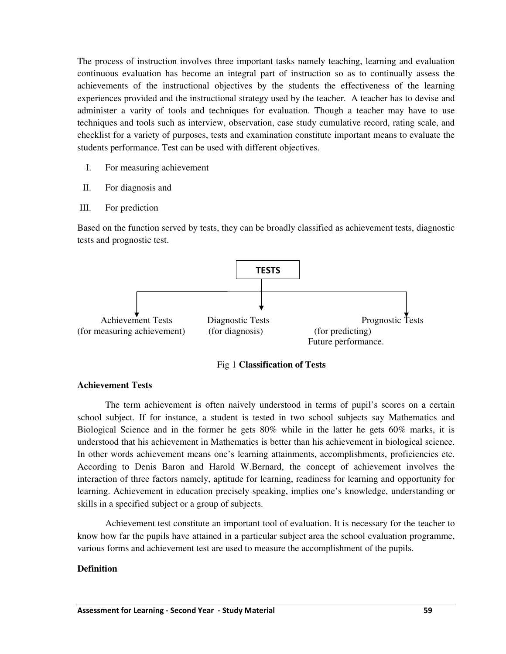The process of instruction involves three important tasks namely teaching, learning and evaluation continuous evaluation has become an integral part of instruction so as to continually assess the achievements of the instructional objectives by the students the effectiveness of the learning experiences provided and the instructional strategy used by the teacher. A teacher has to devise and administer a varity of tools and techniques for evaluation. Though a teacher may have to use techniques and tools such as interview, observation, case study cumulative record, rating scale, and checklist for a variety of purposes, tests and examination constitute important means to evaluate the students performance. Test can be used with different objectives.

- I. For measuring achievement
- II. For diagnosis and
- III. For prediction

Based on the function served by tests, they can be broadly classified as achievement tests, diagnostic tests and prognostic test.



Fig 1 **Classification of Tests** 

#### **Achievement Tests**

The term achievement is often naively understood in terms of pupil's scores on a certain school subject. If for instance, a student is tested in two school subjects say Mathematics and Biological Science and in the former he gets 80% while in the latter he gets 60% marks, it is understood that his achievement in Mathematics is better than his achievement in biological science. In other words achievement means one's learning attainments, accomplishments, proficiencies etc. According to Denis Baron and Harold W.Bernard, the concept of achievement involves the interaction of three factors namely, aptitude for learning, readiness for learning and opportunity for learning. Achievement in education precisely speaking, implies one's knowledge, understanding or skills in a specified subject or a group of subjects.

Achievement test constitute an important tool of evaluation. It is necessary for the teacher to know how far the pupils have attained in a particular subject area the school evaluation programme, various forms and achievement test are used to measure the accomplishment of the pupils.

#### **Definition**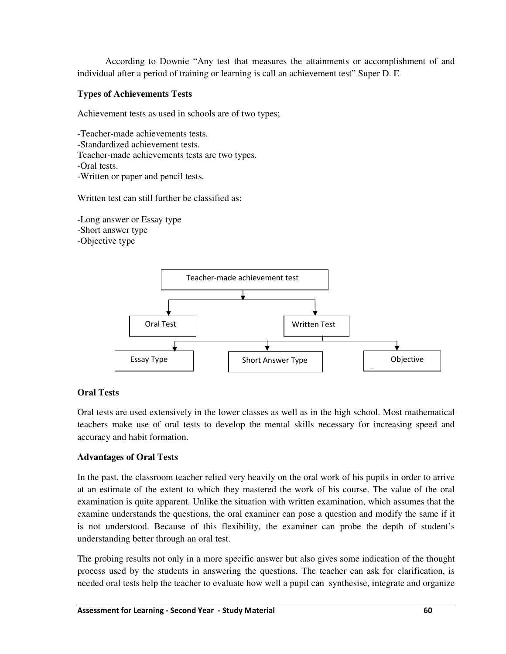According to Downie "Any test that measures the attainments or accomplishment of and individual after a period of training or learning is call an achievement test" Super D. E

### **Types of Achievements Tests**

Achievement tests as used in schools are of two types;

-Teacher-made achievements tests. -Standardized achievement tests. Teacher-made achievements tests are two types. -Oral tests. -Written or paper and pencil tests.

Written test can still further be classified as:

-Long answer or Essay type

-Short answer type

-Objective type



## **Oral Tests**

Oral tests are used extensively in the lower classes as well as in the high school. Most mathematical teachers make use of oral tests to develop the mental skills necessary for increasing speed and accuracy and habit formation.

## **Advantages of Oral Tests**

In the past, the classroom teacher relied very heavily on the oral work of his pupils in order to arrive at an estimate of the extent to which they mastered the work of his course. The value of the oral examination is quite apparent. Unlike the situation with written examination, which assumes that the examine understands the questions, the oral examiner can pose a question and modify the same if it is not understood. Because of this flexibility, the examiner can probe the depth of student's understanding better through an oral test.

The probing results not only in a more specific answer but also gives some indication of the thought process used by the students in answering the questions. The teacher can ask for clarification, is needed oral tests help the teacher to evaluate how well a pupil can synthesise, integrate and organize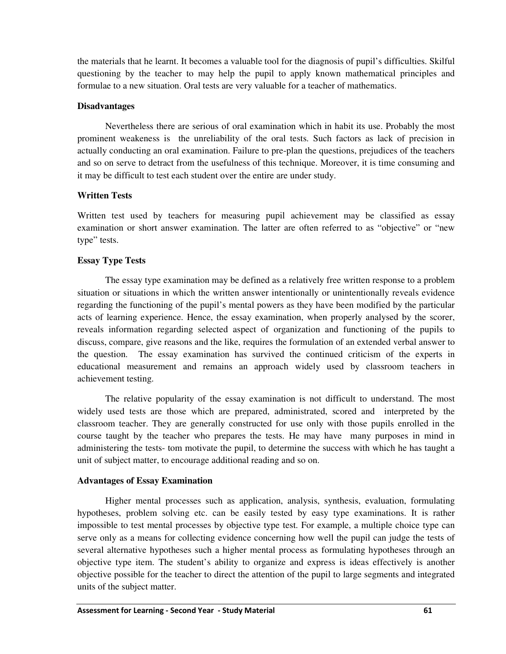the materials that he learnt. It becomes a valuable tool for the diagnosis of pupil's difficulties. Skilful questioning by the teacher to may help the pupil to apply known mathematical principles and formulae to a new situation. Oral tests are very valuable for a teacher of mathematics.

### **Disadvantages**

Nevertheless there are serious of oral examination which in habit its use. Probably the most prominent weakeness is the unreliability of the oral tests. Such factors as lack of precision in actually conducting an oral examination. Failure to pre-plan the questions, prejudices of the teachers and so on serve to detract from the usefulness of this technique. Moreover, it is time consuming and it may be difficult to test each student over the entire are under study.

## **Written Tests**

Written test used by teachers for measuring pupil achievement may be classified as essay examination or short answer examination. The latter are often referred to as "objective" or "new type" tests.

## **Essay Type Tests**

The essay type examination may be defined as a relatively free written response to a problem situation or situations in which the written answer intentionally or unintentionally reveals evidence regarding the functioning of the pupil's mental powers as they have been modified by the particular acts of learning experience. Hence, the essay examination, when properly analysed by the scorer, reveals information regarding selected aspect of organization and functioning of the pupils to discuss, compare, give reasons and the like, requires the formulation of an extended verbal answer to the question. The essay examination has survived the continued criticism of the experts in educational measurement and remains an approach widely used by classroom teachers in achievement testing.

The relative popularity of the essay examination is not difficult to understand. The most widely used tests are those which are prepared, administrated, scored and interpreted by the classroom teacher. They are generally constructed for use only with those pupils enrolled in the course taught by the teacher who prepares the tests. He may have many purposes in mind in administering the tests- tom motivate the pupil, to determine the success with which he has taught a unit of subject matter, to encourage additional reading and so on.

## **Advantages of Essay Examination**

Higher mental processes such as application, analysis, synthesis, evaluation, formulating hypotheses, problem solving etc. can be easily tested by easy type examinations. It is rather impossible to test mental processes by objective type test. For example, a multiple choice type can serve only as a means for collecting evidence concerning how well the pupil can judge the tests of several alternative hypotheses such a higher mental process as formulating hypotheses through an objective type item. The student's ability to organize and express is ideas effectively is another objective possible for the teacher to direct the attention of the pupil to large segments and integrated units of the subject matter.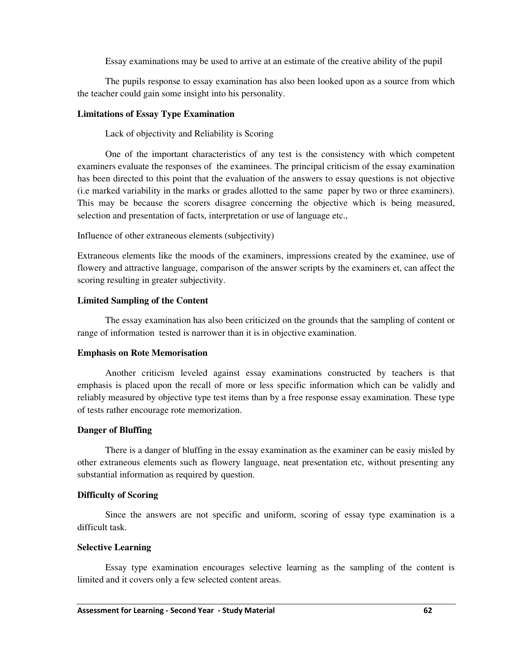Essay examinations may be used to arrive at an estimate of the creative ability of the pupil

The pupils response to essay examination has also been looked upon as a source from which the teacher could gain some insight into his personality.

### **Limitations of Essay Type Examination**

Lack of objectivity and Reliability is Scoring

One of the important characteristics of any test is the consistency with which competent examiners evaluate the responses of the examinees. The principal criticism of the essay examination has been directed to this point that the evaluation of the answers to essay questions is not objective (i.e marked variability in the marks or grades allotted to the same paper by two or three examiners). This may be because the scorers disagree concerning the objective which is being measured, selection and presentation of facts, interpretation or use of language etc.,

Influence of other extraneous elements (subjectivity)

Extraneous elements like the moods of the examiners, impressions created by the examinee, use of flowery and attractive language, comparison of the answer scripts by the examiners et, can affect the scoring resulting in greater subjectivity.

### **Limited Sampling of the Content**

The essay examination has also been criticized on the grounds that the sampling of content or range of information tested is narrower than it is in objective examination.

#### **Emphasis on Rote Memorisation**

Another criticism leveled against essay examinations constructed by teachers is that emphasis is placed upon the recall of more or less specific information which can be validly and reliably measured by objective type test items than by a free response essay examination. These type of tests rather encourage rote memorization.

#### **Danger of Bluffing**

There is a danger of bluffing in the essay examination as the examiner can be easiy misled by other extraneous elements such as flowery language, neat presentation etc, without presenting any substantial information as required by question.

## **Difficulty of Scoring**

Since the answers are not specific and uniform, scoring of essay type examination is a difficult task.

#### **Selective Learning**

Essay type examination encourages selective learning as the sampling of the content is limited and it covers only a few selected content areas.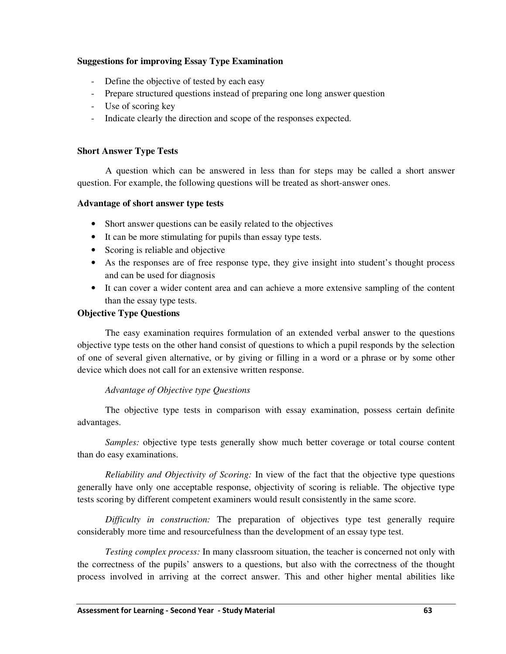### **Suggestions for improving Essay Type Examination**

- Define the objective of tested by each easy
- Prepare structured questions instead of preparing one long answer question
- Use of scoring key
- Indicate clearly the direction and scope of the responses expected.

## **Short Answer Type Tests**

A question which can be answered in less than for steps may be called a short answer question. For example, the following questions will be treated as short-answer ones.

#### **Advantage of short answer type tests**

- Short answer questions can be easily related to the objectives
- It can be more stimulating for pupils than essay type tests.
- Scoring is reliable and objective
- As the responses are of free response type, they give insight into student's thought process and can be used for diagnosis
- It can cover a wider content area and can achieve a more extensive sampling of the content than the essay type tests.

## **Objective Type Questions**

The easy examination requires formulation of an extended verbal answer to the questions objective type tests on the other hand consist of questions to which a pupil responds by the selection of one of several given alternative, or by giving or filling in a word or a phrase or by some other device which does not call for an extensive written response.

#### *Advantage of Objective type Questions*

The objective type tests in comparison with essay examination, possess certain definite advantages.

*Samples:* objective type tests generally show much better coverage or total course content than do easy examinations.

*Reliability and Objectivity of Scoring:* In view of the fact that the objective type questions generally have only one acceptable response, objectivity of scoring is reliable. The objective type tests scoring by different competent examiners would result consistently in the same score.

*Difficulty in construction:* The preparation of objectives type test generally require considerably more time and resourcefulness than the development of an essay type test.

*Testing complex process:* In many classroom situation, the teacher is concerned not only with the correctness of the pupils' answers to a questions, but also with the correctness of the thought process involved in arriving at the correct answer. This and other higher mental abilities like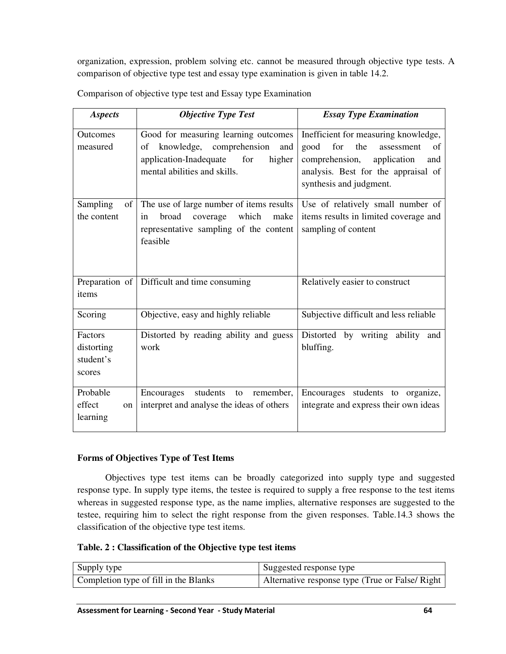organization, expression, problem solving etc. cannot be measured through objective type tests. A comparison of objective type test and essay type examination is given in table 14.2.

| <b>Aspects</b>                               | <b>Objective Type Test</b>                                                                                                                               | <b>Essay Type Examination</b>                                                                                                                                                            |
|----------------------------------------------|----------------------------------------------------------------------------------------------------------------------------------------------------------|------------------------------------------------------------------------------------------------------------------------------------------------------------------------------------------|
| <b>Outcomes</b><br>measured                  | Good for measuring learning outcomes<br>knowledge, comprehension<br>οf<br>and<br>application-Inadequate<br>higher<br>for<br>mental abilities and skills. | Inefficient for measuring knowledge,<br>for<br>the<br>good<br>assessment<br>of<br>comprehension,<br>application<br>and<br>analysis. Best for the appraisal of<br>synthesis and judgment. |
| Sampling<br>of <sub>1</sub><br>the content   | The use of large number of items results<br>broad<br>coverage<br>which<br>in<br>make<br>representative sampling of the content<br>feasible               | Use of relatively small number of<br>items results in limited coverage and<br>sampling of content                                                                                        |
| items                                        | Preparation of Difficult and time consuming                                                                                                              | Relatively easier to construct                                                                                                                                                           |
| Scoring                                      | Objective, easy and highly reliable                                                                                                                      | Subjective difficult and less reliable                                                                                                                                                   |
| Factors<br>distorting<br>student's<br>scores | Distorted by reading ability and guess<br>work                                                                                                           | Distorted by writing ability and<br>bluffing.                                                                                                                                            |
| Probable<br>effect<br>on<br>learning         | students<br>remember,<br>Encourages<br>to<br>interpret and analyse the ideas of others                                                                   | Encourages students to organize,<br>integrate and express their own ideas                                                                                                                |

Comparison of objective type test and Essay type Examination

## **Forms of Objectives Type of Test Items**

Objectives type test items can be broadly categorized into supply type and suggested response type. In supply type items, the testee is required to supply a free response to the test items whereas in suggested response type, as the name implies, alternative responses are suggested to the testee, requiring him to select the right response from the given responses. Table.14.3 shows the classification of the objective type test items.

| Supply type                           | Suggested response type                         |
|---------------------------------------|-------------------------------------------------|
| Completion type of fill in the Blanks | Alternative response type (True or False/Right) |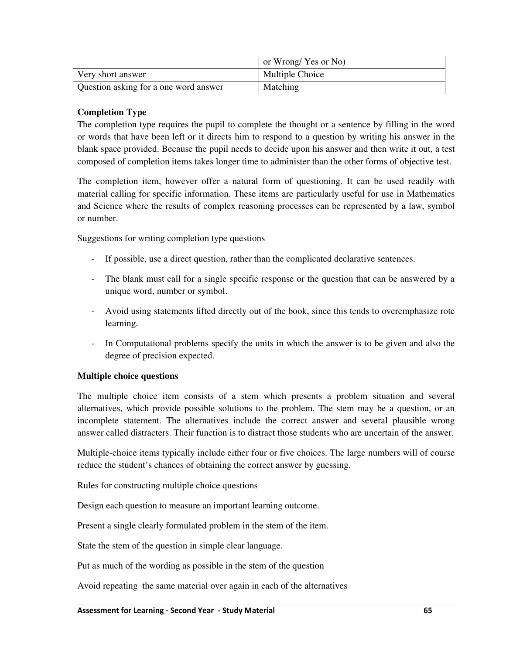|                                       | or Wrong/Yes or No)    |
|---------------------------------------|------------------------|
| Very short answer                     | <b>Multiple Choice</b> |
| Question asking for a one word answer | Matching               |

## **Completion Type**

The completion type requires the pupil to complete the thought or a sentence by filling in the word or words that have been left or it directs him to respond to a question by writing his answer in the blank space provided. Because the pupil needs to decide upon his answer and then write it out, a test composed of completion items takes longer time to administer than the other forms of objective test.

The completion item, however offer a natural form of questioning. It can be used readily with material calling for specific information. These items are particularly useful for use in Mathematics and Science where the results of complex reasoning processes can be represented by a law, symbol or number.

Suggestions for writing completion type questions

- If possible, use a direct question, rather than the complicated declarative sentences.
- The blank must call for a single specific response or the question that can be answered by a unique word, number or symbol.
- Avoid using statements lifted directly out of the book, since this tends to overemphasize rote learning.
- In Computational problems specify the units in which the answer is to be given and also the degree of precision expected.

## **Multiple choice questions**

The multiple choice item consists of a stem which presents a problem situation and several alternatives, which provide possible solutions to the problem. The stem may be a question, or an incomplete statement. The alternatives include the correct answer and several plausible wrong answer called distracters. Their function is to distract those students who are uncertain of the answer.

Multiple-choice items typically include either four or five choices. The large numbers will of course reduce the student's chances of obtaining the correct answer by guessing.

Rules for constructing multiple choice questions

Design each question to measure an important learning outcome.

Present a single clearly formulated problem in the stem of the item.

State the stem of the question in simple clear language.

Put as much of the wording as possible in the stem of the question

Avoid repeating the same material over again in each of the alternatives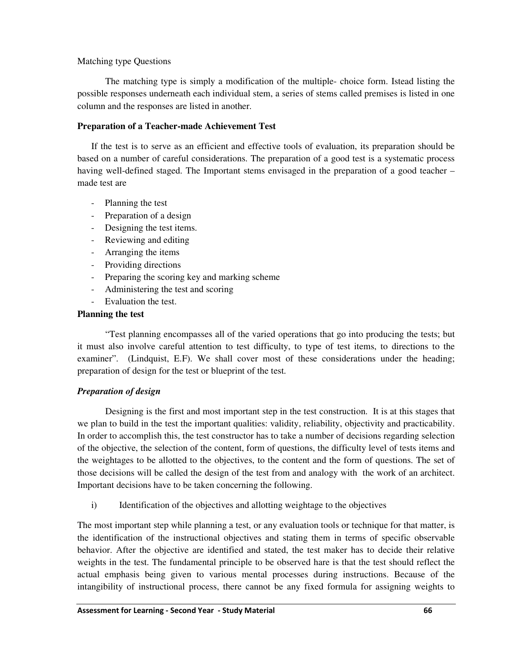### Matching type Questions

 The matching type is simply a modification of the multiple- choice form. Istead listing the possible responses underneath each individual stem, a series of stems called premises is listed in one column and the responses are listed in another.

### **Preparation of a Teacher-made Achievement Test**

If the test is to serve as an efficient and effective tools of evaluation, its preparation should be based on a number of careful considerations. The preparation of a good test is a systematic process having well-defined staged. The Important stems envisaged in the preparation of a good teacher – made test are

- Planning the test
- Preparation of a design
- Designing the test items.
- Reviewing and editing
- Arranging the items
- Providing directions
- Preparing the scoring key and marking scheme
- Administering the test and scoring
- Evaluation the test.

### **Planning the test**

"Test planning encompasses all of the varied operations that go into producing the tests; but it must also involve careful attention to test difficulty, to type of test items, to directions to the examiner". (Lindquist, E.F). We shall cover most of these considerations under the heading; preparation of design for the test or blueprint of the test.

## *Preparation of design*

Designing is the first and most important step in the test construction. It is at this stages that we plan to build in the test the important qualities: validity, reliability, objectivity and practicability. In order to accomplish this, the test constructor has to take a number of decisions regarding selection of the objective, the selection of the content, form of questions, the difficulty level of tests items and the weightages to be allotted to the objectives, to the content and the form of questions. The set of those decisions will be called the design of the test from and analogy with the work of an architect. Important decisions have to be taken concerning the following.

i) Identification of the objectives and allotting weightage to the objectives

The most important step while planning a test, or any evaluation tools or technique for that matter, is the identification of the instructional objectives and stating them in terms of specific observable behavior. After the objective are identified and stated, the test maker has to decide their relative weights in the test. The fundamental principle to be observed hare is that the test should reflect the actual emphasis being given to various mental processes during instructions. Because of the intangibility of instructional process, there cannot be any fixed formula for assigning weights to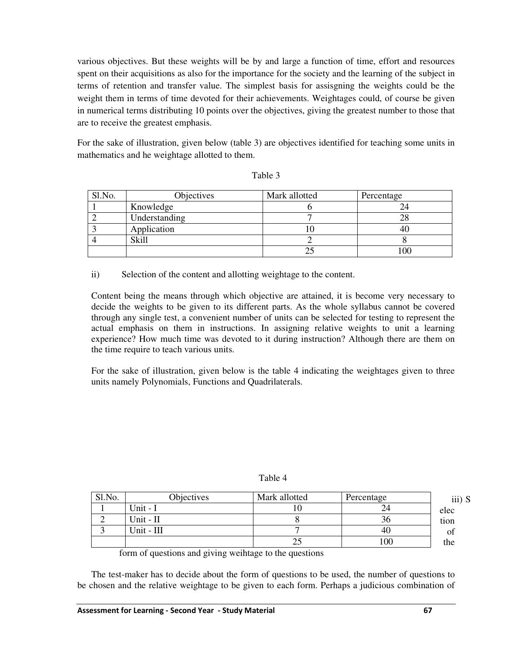various objectives. But these weights will be by and large a function of time, effort and resources spent on their acquisitions as also for the importance for the society and the learning of the subject in terms of retention and transfer value. The simplest basis for assisgning the weights could be the weight them in terms of time devoted for their achievements. Weightages could, of course be given in numerical terms distributing 10 points over the objectives, giving the greatest number to those that are to receive the greatest emphasis.

For the sake of illustration, given below (table 3) are objectives identified for teaching some units in mathematics and he weightage allotted to them.

| Sl.No. | Objectives    | Mark allotted | Percentage |
|--------|---------------|---------------|------------|
|        | Knowledge     |               |            |
|        | Understanding |               |            |
|        | Application   |               |            |
|        | Skill         |               |            |
|        |               |               |            |

| anie |  |
|------|--|
|------|--|

ii) Selection of the content and allotting weightage to the content.

Content being the means through which objective are attained, it is become very necessary to decide the weights to be given to its different parts. As the whole syllabus cannot be covered through any single test, a convenient number of units can be selected for testing to represent the actual emphasis on them in instructions. In assigning relative weights to unit a learning experience? How much time was devoted to it during instruction? Although there are them on the time require to teach various units.

For the sake of illustration, given below is the table 4 indicating the weightages given to three units namely Polynomials, Functions and Quadrilaterals.

| Table |  |
|-------|--|
|-------|--|

| Sl.No. | Objectives     | Mark allotted | Percentage | iii) S |
|--------|----------------|---------------|------------|--------|
|        | Unit - I       |               | 24         | elec   |
|        | Unit - $\prod$ |               | 30         | tion   |
|        | Unit - III     |               | 40         |        |
|        |                |               | 100        | the    |

form of questions and giving weihtage to the questions

The test-maker has to decide about the form of questions to be used, the number of questions to be chosen and the relative weightage to be given to each form. Perhaps a judicious combination of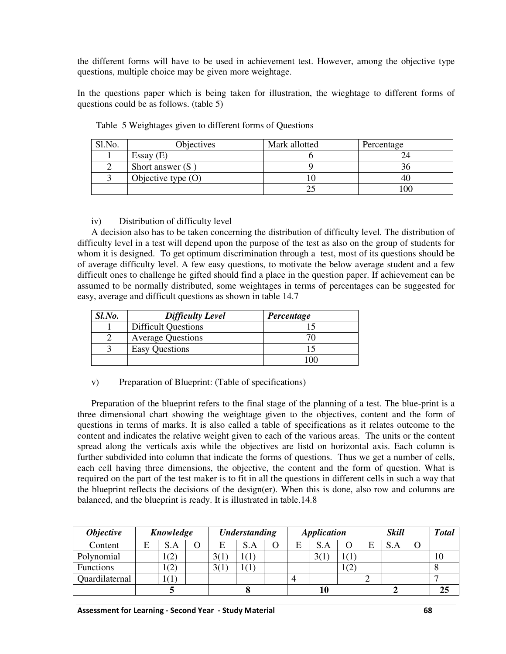the different forms will have to be used in achievement test. However, among the objective type questions, multiple choice may be given more weightage.

In the questions paper which is being taken for illustration, the wieghtage to different forms of questions could be as follows. (table 5)

| Sl.No. | Objectives           | Mark allotted | Percentage |
|--------|----------------------|---------------|------------|
|        | Essay $(E)$          |               |            |
|        | Short answer $(S)$   |               |            |
|        | Objective type $(O)$ |               |            |
|        |                      |               | LOC        |

Table 5 Weightages given to different forms of Questions

## iv) Distribution of difficulty level

A decision also has to be taken concerning the distribution of difficulty level. The distribution of difficulty level in a test will depend upon the purpose of the test as also on the group of students for whom it is designed. To get optimum discrimination through a test, most of its questions should be of average difficulty level. A few easy questions, to motivate the below average student and a few difficult ones to challenge he gifted should find a place in the question paper. If achievement can be assumed to be normally distributed, some weightages in terms of percentages can be suggested for easy, average and difficult questions as shown in table 14.7

| Sl.No. | <b>Difficulty Level</b>    | Percentage |
|--------|----------------------------|------------|
|        | <b>Difficult Questions</b> |            |
|        | <b>Average Questions</b>   |            |
|        | <b>Easy Questions</b>      |            |
|        |                            |            |

v) Preparation of Blueprint: (Table of specifications)

Preparation of the blueprint refers to the final stage of the planning of a test. The blue-print is a three dimensional chart showing the weightage given to the objectives, content and the form of questions in terms of marks. It is also called a table of specifications as it relates outcome to the content and indicates the relative weight given to each of the various areas. The units or the content spread along the verticals axis while the objectives are listd on horizontal axis. Each column is further subdivided into column that indicate the forms of questions. Thus we get a number of cells, each cell having three dimensions, the objective, the content and the form of question. What is required on the part of the test maker is to fit in all the questions in different cells in such a way that the blueprint reflects the decisions of the design(er). When this is done, also row and columns are balanced, and the blueprint is ready. It is illustrated in table.14.8

| <i><b>Objective</b></i> |   | Knowledge |  |      | <b>Understanding</b> |  |   | <b>Application</b> |      |    | <b>Skill</b> |  | <b>Total</b> |
|-------------------------|---|-----------|--|------|----------------------|--|---|--------------------|------|----|--------------|--|--------------|
| Content                 | E | S.A       |  | Ε    | S.A                  |  | Е | S.A                |      | E  | S.A          |  |              |
| Polynomial              |   | (2)       |  | 3(1) |                      |  |   | 3(1)               |      |    |              |  | 1 ∪          |
| <b>Functions</b>        |   | (2)       |  | 3(1) | $\mathbf{1}$         |  |   |                    | 1(2) |    |              |  |              |
| Quardilaternal          |   |           |  |      |                      |  | 4 |                    |      |    |              |  |              |
|                         |   |           |  |      |                      |  |   |                    |      | 25 |              |  |              |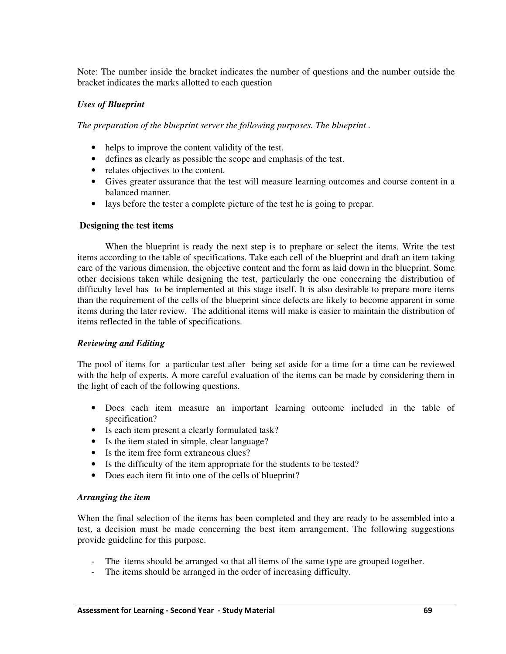Note: The number inside the bracket indicates the number of questions and the number outside the bracket indicates the marks allotted to each question

### *Uses of Blueprint*

*The preparation of the blueprint server the following purposes. The blueprint .* 

- helps to improve the content validity of the test.
- defines as clearly as possible the scope and emphasis of the test.
- relates objectives to the content.
- Gives greater assurance that the test will measure learning outcomes and course content in a balanced manner.
- lays before the tester a complete picture of the test he is going to prepar.

#### **Designing the test items**

When the blueprint is ready the next step is to prephare or select the items. Write the test items according to the table of specifications. Take each cell of the blueprint and draft an item taking care of the various dimension, the objective content and the form as laid down in the blueprint. Some other decisions taken while designing the test, particularly the one concerning the distribution of difficulty level has to be implemented at this stage itself. It is also desirable to prepare more items than the requirement of the cells of the blueprint since defects are likely to become apparent in some items during the later review. The additional items will make is easier to maintain the distribution of items reflected in the table of specifications.

#### *Reviewing and Editing*

The pool of items for a particular test after being set aside for a time for a time can be reviewed with the help of experts. A more careful evaluation of the items can be made by considering them in the light of each of the following questions.

- Does each item measure an important learning outcome included in the table of specification?
- Is each item present a clearly formulated task?
- Is the item stated in simple, clear language?
- Is the item free form extraneous clues?
- Is the difficulty of the item appropriate for the students to be tested?
- Does each item fit into one of the cells of blueprint?

#### *Arranging the item*

When the final selection of the items has been completed and they are ready to be assembled into a test, a decision must be made concerning the best item arrangement. The following suggestions provide guideline for this purpose.

- The items should be arranged so that all items of the same type are grouped together.
- The items should be arranged in the order of increasing difficulty.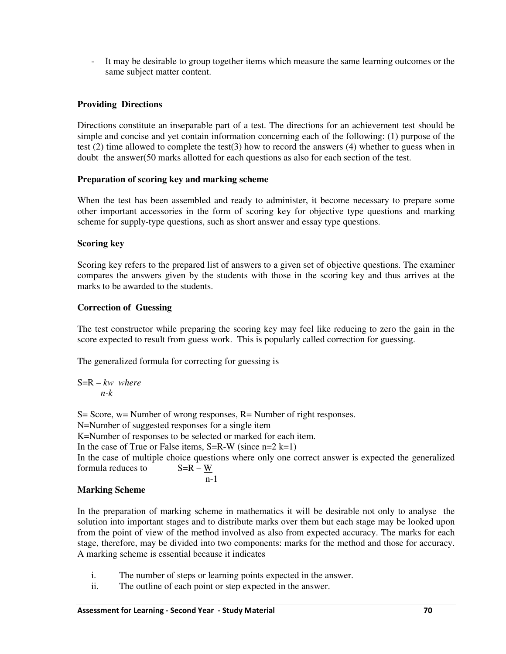It may be desirable to group together items which measure the same learning outcomes or the same subject matter content.

## **Providing Directions**

Directions constitute an inseparable part of a test. The directions for an achievement test should be simple and concise and yet contain information concerning each of the following: (1) purpose of the test (2) time allowed to complete the test(3) how to record the answers (4) whether to guess when in doubt the answer(50 marks allotted for each questions as also for each section of the test.

## **Preparation of scoring key and marking scheme**

When the test has been assembled and ready to administer, it become necessary to prepare some other important accessories in the form of scoring key for objective type questions and marking scheme for supply-type questions, such as short answer and essay type questions.

### **Scoring key**

Scoring key refers to the prepared list of answers to a given set of objective questions. The examiner compares the answers given by the students with those in the scoring key and thus arrives at the marks to be awarded to the students.

### **Correction of Guessing**

The test constructor while preparing the scoring key may feel like reducing to zero the gain in the score expected to result from guess work. This is popularly called correction for guessing.

The generalized formula for correcting for guessing is

S=R – *kw where n-k* 

S= Score, w= Number of wrong responses, R= Number of right responses. N=Number of suggested responses for a single item K=Number of responses to be selected or marked for each item. In the case of True or False items,  $S=R-W$  (since  $n=2$  k=1) In the case of multiple choice questions where only one correct answer is expected the generalized formula reduces to  $S=R-W$ n-1

## **Marking Scheme**

In the preparation of marking scheme in mathematics it will be desirable not only to analyse the solution into important stages and to distribute marks over them but each stage may be looked upon from the point of view of the method involved as also from expected accuracy. The marks for each stage, therefore, may be divided into two components: marks for the method and those for accuracy. A marking scheme is essential because it indicates

- i. The number of steps or learning points expected in the answer.
- ii. The outline of each point or step expected in the answer.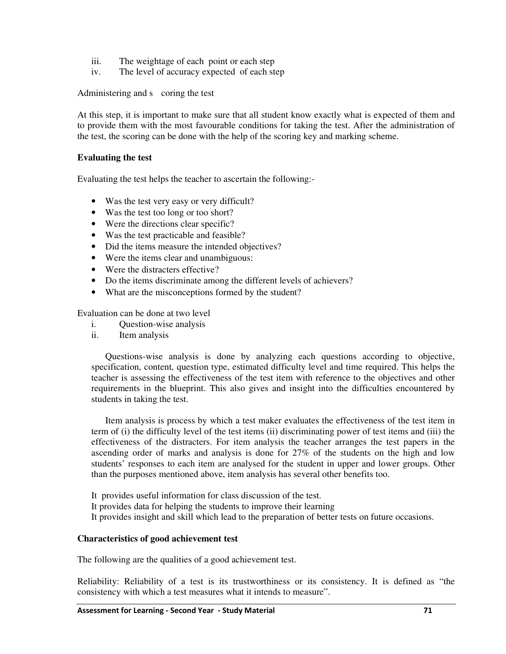- iii. The weightage of each point or each step
- iv. The level of accuracy expected of each step

Administering and s coring the test

At this step, it is important to make sure that all student know exactly what is expected of them and to provide them with the most favourable conditions for taking the test. After the administration of the test, the scoring can be done with the help of the scoring key and marking scheme.

### **Evaluating the test**

Evaluating the test helps the teacher to ascertain the following:-

- Was the test very easy or very difficult?
- Was the test too long or too short?
- Were the directions clear specific?
- Was the test practicable and feasible?
- Did the items measure the intended objectives?
- Were the items clear and unambiguous:
- Were the distracters effective?
- Do the items discriminate among the different levels of achievers?
- What are the misconceptions formed by the student?

Evaluation can be done at two level

- i. Question-wise analysis
- ii. Item analysis

Questions-wise analysis is done by analyzing each questions according to objective, specification, content, question type, estimated difficulty level and time required. This helps the teacher is assessing the effectiveness of the test item with reference to the objectives and other requirements in the blueprint. This also gives and insight into the difficulties encountered by students in taking the test.

Item analysis is process by which a test maker evaluates the effectiveness of the test item in term of (i) the difficulty level of the test items (ii) discriminating power of test items and (iii) the effectiveness of the distracters. For item analysis the teacher arranges the test papers in the ascending order of marks and analysis is done for 27% of the students on the high and low students' responses to each item are analysed for the student in upper and lower groups. Other than the purposes mentioned above, item analysis has several other benefits too.

It provides useful information for class discussion of the test.

It provides data for helping the students to improve their learning

It provides insight and skill which lead to the preparation of better tests on future occasions.

#### **Characteristics of good achievement test**

The following are the qualities of a good achievement test.

Reliability: Reliability of a test is its trustworthiness or its consistency. It is defined as "the consistency with which a test measures what it intends to measure".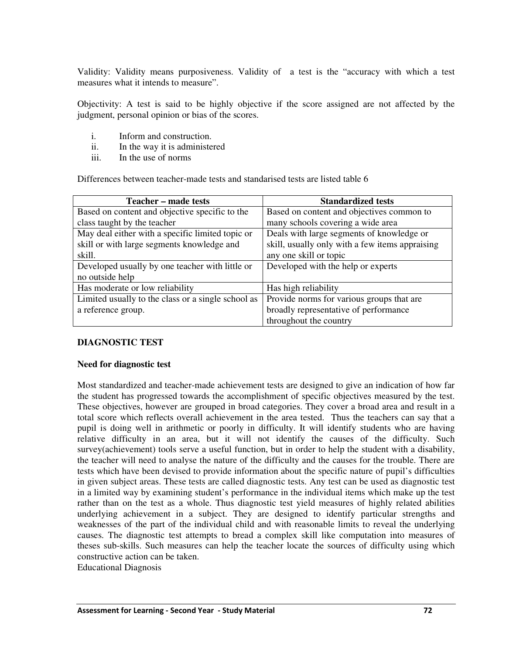Validity: Validity means purposiveness. Validity of a test is the "accuracy with which a test measures what it intends to measure".

Objectivity: A test is said to be highly objective if the score assigned are not affected by the judgment, personal opinion or bias of the scores.

- i. Inform and construction.
- ii. In the way it is administered
- iii. In the use of norms

Differences between teacher-made tests and standarised tests are listed table 6

| <b>Teacher – made tests</b>                        | <b>Standardized tests</b>                       |
|----------------------------------------------------|-------------------------------------------------|
| Based on content and objective specific to the     | Based on content and objectives common to       |
| class taught by the teacher                        | many schools covering a wide area               |
| May deal either with a specific limited topic or   | Deals with large segments of knowledge or       |
| skill or with large segments knowledge and         | skill, usually only with a few items appraising |
| skill.                                             | any one skill or topic                          |
| Developed usually by one teacher with little or    | Developed with the help or experts              |
| no outside help                                    |                                                 |
| Has moderate or low reliability                    | Has high reliability                            |
| Limited usually to the class or a single school as | Provide norms for various groups that are       |
| a reference group.                                 | broadly representative of performance           |
|                                                    | throughout the country                          |

## **DIAGNOSTIC TEST**

#### **Need for diagnostic test**

Most standardized and teacher-made achievement tests are designed to give an indication of how far the student has progressed towards the accomplishment of specific objectives measured by the test. These objectives, however are grouped in broad categories. They cover a broad area and result in a total score which reflects overall achievement in the area tested. Thus the teachers can say that a pupil is doing well in arithmetic or poorly in difficulty. It will identify students who are having relative difficulty in an area, but it will not identify the causes of the difficulty. Such survey(achievement) tools serve a useful function, but in order to help the student with a disability, the teacher will need to analyse the nature of the difficulty and the causes for the trouble. There are tests which have been devised to provide information about the specific nature of pupil's difficulties in given subject areas. These tests are called diagnostic tests. Any test can be used as diagnostic test in a limited way by examining student's performance in the individual items which make up the test rather than on the test as a whole. Thus diagnostic test yield measures of highly related abilities underlying achievement in a subject. They are designed to identify particular strengths and weaknesses of the part of the individual child and with reasonable limits to reveal the underlying causes. The diagnostic test attempts to bread a complex skill like computation into measures of theses sub-skills. Such measures can help the teacher locate the sources of difficulty using which constructive action can be taken.

Educational Diagnosis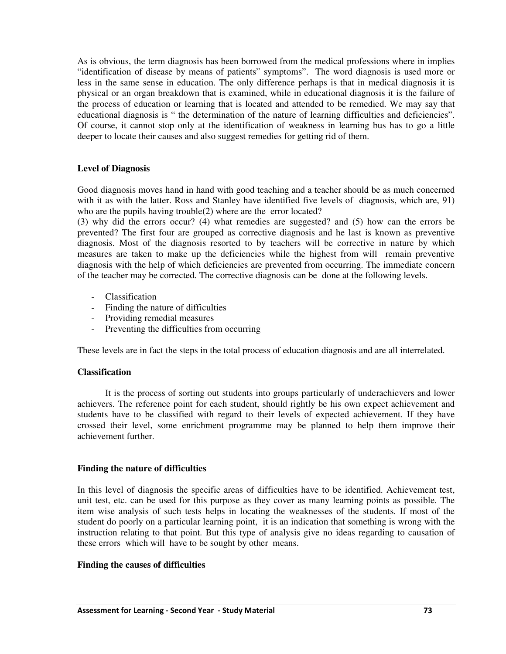As is obvious, the term diagnosis has been borrowed from the medical professions where in implies "identification of disease by means of patients" symptoms". The word diagnosis is used more or less in the same sense in education. The only difference perhaps is that in medical diagnosis it is physical or an organ breakdown that is examined, while in educational diagnosis it is the failure of the process of education or learning that is located and attended to be remedied. We may say that educational diagnosis is " the determination of the nature of learning difficulties and deficiencies". Of course, it cannot stop only at the identification of weakness in learning bus has to go a little deeper to locate their causes and also suggest remedies for getting rid of them.

## **Level of Diagnosis**

Good diagnosis moves hand in hand with good teaching and a teacher should be as much concerned with it as with the latter. Ross and Stanley have identified five levels of diagnosis, which are, 91) who are the pupils having trouble(2) where are the error located?

(3) why did the errors occur? (4) what remedies are suggested? and (5) how can the errors be prevented? The first four are grouped as corrective diagnosis and he last is known as preventive diagnosis. Most of the diagnosis resorted to by teachers will be corrective in nature by which measures are taken to make up the deficiencies while the highest from will remain preventive diagnosis with the help of which deficiencies are prevented from occurring. The immediate concern of the teacher may be corrected. The corrective diagnosis can be done at the following levels.

- Classification
- Finding the nature of difficulties
- Providing remedial measures
- Preventing the difficulties from occurring

These levels are in fact the steps in the total process of education diagnosis and are all interrelated.

## **Classification**

 It is the process of sorting out students into groups particularly of underachievers and lower achievers. The reference point for each student, should rightly be his own expect achievement and students have to be classified with regard to their levels of expected achievement. If they have crossed their level, some enrichment programme may be planned to help them improve their achievement further.

## **Finding the nature of difficulties**

In this level of diagnosis the specific areas of difficulties have to be identified. Achievement test, unit test, etc. can be used for this purpose as they cover as many learning points as possible. The item wise analysis of such tests helps in locating the weaknesses of the students. If most of the student do poorly on a particular learning point, it is an indication that something is wrong with the instruction relating to that point. But this type of analysis give no ideas regarding to causation of these errors which will have to be sought by other means.

## **Finding the causes of difficulties**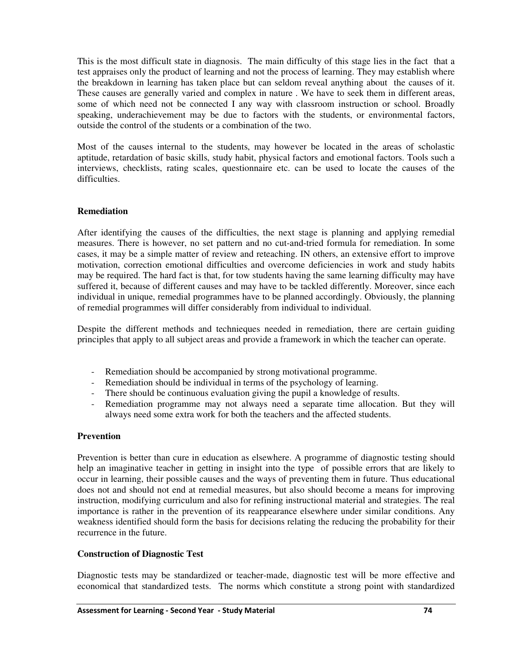This is the most difficult state in diagnosis. The main difficulty of this stage lies in the fact that a test appraises only the product of learning and not the process of learning. They may establish where the breakdown in learning has taken place but can seldom reveal anything about the causes of it. These causes are generally varied and complex in nature . We have to seek them in different areas, some of which need not be connected I any way with classroom instruction or school. Broadly speaking, underachievement may be due to factors with the students, or environmental factors, outside the control of the students or a combination of the two.

Most of the causes internal to the students, may however be located in the areas of scholastic aptitude, retardation of basic skills, study habit, physical factors and emotional factors. Tools such a interviews, checklists, rating scales, questionnaire etc. can be used to locate the causes of the difficulties.

## **Remediation**

After identifying the causes of the difficulties, the next stage is planning and applying remedial measures. There is however, no set pattern and no cut-and-tried formula for remediation. In some cases, it may be a simple matter of review and reteaching. IN others, an extensive effort to improve motivation, correction emotional difficulties and overcome deficiencies in work and study habits may be required. The hard fact is that, for tow students having the same learning difficulty may have suffered it, because of different causes and may have to be tackled differently. Moreover, since each individual in unique, remedial programmes have to be planned accordingly. Obviously, the planning of remedial programmes will differ considerably from individual to individual.

Despite the different methods and technieques needed in remediation, there are certain guiding principles that apply to all subject areas and provide a framework in which the teacher can operate.

- Remediation should be accompanied by strong motivational programme.
- Remediation should be individual in terms of the psychology of learning.
- There should be continuous evaluation giving the pupil a knowledge of results.
- Remediation programme may not always need a separate time allocation. But they will always need some extra work for both the teachers and the affected students.

### **Prevention**

Prevention is better than cure in education as elsewhere. A programme of diagnostic testing should help an imaginative teacher in getting in insight into the type of possible errors that are likely to occur in learning, their possible causes and the ways of preventing them in future. Thus educational does not and should not end at remedial measures, but also should become a means for improving instruction, modifying curriculum and also for refining instructional material and strategies. The real importance is rather in the prevention of its reappearance elsewhere under similar conditions. Any weakness identified should form the basis for decisions relating the reducing the probability for their recurrence in the future.

### **Construction of Diagnostic Test**

Diagnostic tests may be standardized or teacher-made, diagnostic test will be more effective and economical that standardized tests. The norms which constitute a strong point with standardized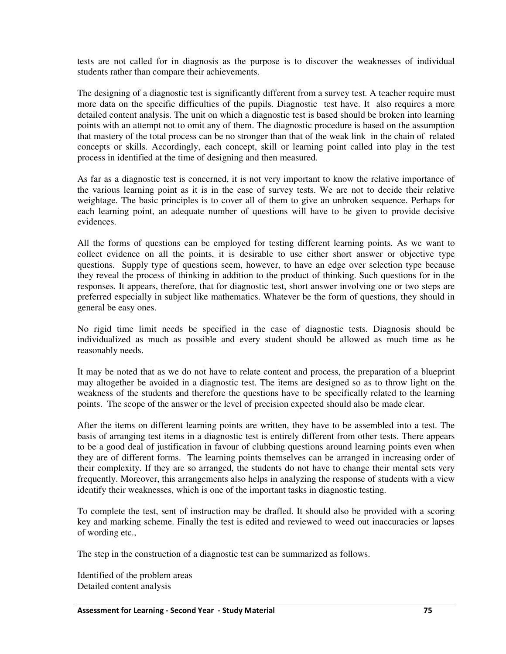tests are not called for in diagnosis as the purpose is to discover the weaknesses of individual students rather than compare their achievements.

The designing of a diagnostic test is significantly different from a survey test. A teacher require must more data on the specific difficulties of the pupils. Diagnostic test have. It also requires a more detailed content analysis. The unit on which a diagnostic test is based should be broken into learning points with an attempt not to omit any of them. The diagnostic procedure is based on the assumption that mastery of the total process can be no stronger than that of the weak link in the chain of related concepts or skills. Accordingly, each concept, skill or learning point called into play in the test process in identified at the time of designing and then measured.

As far as a diagnostic test is concerned, it is not very important to know the relative importance of the various learning point as it is in the case of survey tests. We are not to decide their relative weightage. The basic principles is to cover all of them to give an unbroken sequence. Perhaps for each learning point, an adequate number of questions will have to be given to provide decisive evidences.

All the forms of questions can be employed for testing different learning points. As we want to collect evidence on all the points, it is desirable to use either short answer or objective type questions. Supply type of questions seem, however, to have an edge over selection type because they reveal the process of thinking in addition to the product of thinking. Such questions for in the responses. It appears, therefore, that for diagnostic test, short answer involving one or two steps are preferred especially in subject like mathematics. Whatever be the form of questions, they should in general be easy ones.

No rigid time limit needs be specified in the case of diagnostic tests. Diagnosis should be individualized as much as possible and every student should be allowed as much time as he reasonably needs.

It may be noted that as we do not have to relate content and process, the preparation of a blueprint may altogether be avoided in a diagnostic test. The items are designed so as to throw light on the weakness of the students and therefore the questions have to be specifically related to the learning points. The scope of the answer or the level of precision expected should also be made clear.

After the items on different learning points are written, they have to be assembled into a test. The basis of arranging test items in a diagnostic test is entirely different from other tests. There appears to be a good deal of justification in favour of clubbing questions around learning points even when they are of different forms. The learning points themselves can be arranged in increasing order of their complexity. If they are so arranged, the students do not have to change their mental sets very frequently. Moreover, this arrangements also helps in analyzing the response of students with a view identify their weaknesses, which is one of the important tasks in diagnostic testing.

To complete the test, sent of instruction may be drafled. It should also be provided with a scoring key and marking scheme. Finally the test is edited and reviewed to weed out inaccuracies or lapses of wording etc.,

The step in the construction of a diagnostic test can be summarized as follows.

Identified of the problem areas Detailed content analysis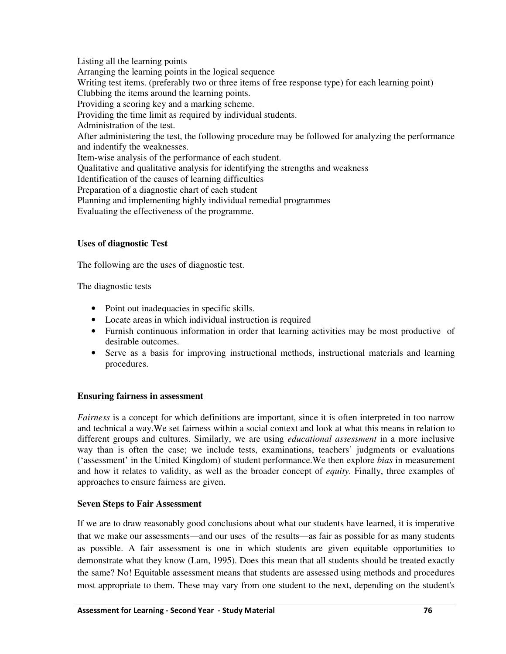Listing all the learning points Arranging the learning points in the logical sequence Writing test items. (preferably two or three items of free response type) for each learning point) Clubbing the items around the learning points. Providing a scoring key and a marking scheme. Providing the time limit as required by individual students. Administration of the test. After administering the test, the following procedure may be followed for analyzing the performance and indentify the weaknesses. Item-wise analysis of the performance of each student. Qualitative and qualitative analysis for identifying the strengths and weakness Identification of the causes of learning difficulties Preparation of a diagnostic chart of each student Planning and implementing highly individual remedial programmes Evaluating the effectiveness of the programme.

## **Uses of diagnostic Test**

The following are the uses of diagnostic test.

The diagnostic tests

- Point out inadequacies in specific skills.
- Locate areas in which individual instruction is required
- Furnish continuous information in order that learning activities may be most productive of desirable outcomes.
- Serve as a basis for improving instructional methods, instructional materials and learning procedures.

### **Ensuring fairness in assessment**

*Fairness* is a concept for which definitions are important, since it is often interpreted in too narrow and technical a way.We set fairness within a social context and look at what this means in relation to different groups and cultures. Similarly, we are using *educational assessment* in a more inclusive way than is often the case; we include tests, examinations, teachers' judgments or evaluations ('assessment' in the United Kingdom) of student performance.We then explore *bias* in measurement and how it relates to validity, as well as the broader concept of *equity*. Finally, three examples of approaches to ensure fairness are given.

### **Seven Steps to Fair Assessment**

If we are to draw reasonably good conclusions about what our students have learned, it is imperative that we make our assessments—and our uses of the results—as fair as possible for as many students as possible. A fair assessment is one in which students are given equitable opportunities to demonstrate what they know (Lam, 1995). Does this mean that all students should be treated exactly the same? No! Equitable assessment means that students are assessed using methods and procedures most appropriate to them. These may vary from one student to the next, depending on the student's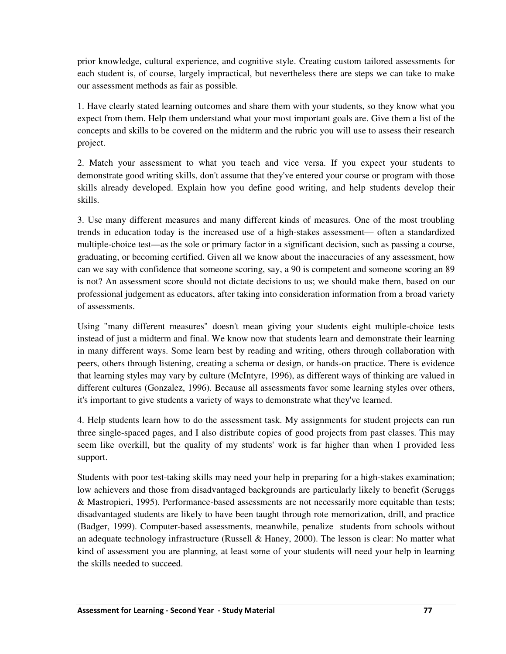prior knowledge, cultural experience, and cognitive style. Creating custom tailored assessments for each student is, of course, largely impractical, but nevertheless there are steps we can take to make our assessment methods as fair as possible.

1. Have clearly stated learning outcomes and share them with your students, so they know what you expect from them. Help them understand what your most important goals are. Give them a list of the concepts and skills to be covered on the midterm and the rubric you will use to assess their research project.

2. Match your assessment to what you teach and vice versa. If you expect your students to demonstrate good writing skills, don't assume that they've entered your course or program with those skills already developed. Explain how you define good writing, and help students develop their skills.

3. Use many different measures and many different kinds of measures. One of the most troubling trends in education today is the increased use of a high-stakes assessment— often a standardized multiple-choice test—as the sole or primary factor in a significant decision, such as passing a course, graduating, or becoming certified. Given all we know about the inaccuracies of any assessment, how can we say with confidence that someone scoring, say, a 90 is competent and someone scoring an 89 is not? An assessment score should not dictate decisions to us; we should make them, based on our professional judgement as educators, after taking into consideration information from a broad variety of assessments.

Using "many different measures" doesn't mean giving your students eight multiple-choice tests instead of just a midterm and final. We know now that students learn and demonstrate their learning in many different ways. Some learn best by reading and writing, others through collaboration with peers, others through listening, creating a schema or design, or hands-on practice. There is evidence that learning styles may vary by culture (McIntyre, 1996), as different ways of thinking are valued in different cultures (Gonzalez, 1996). Because all assessments favor some learning styles over others, it's important to give students a variety of ways to demonstrate what they've learned.

4. Help students learn how to do the assessment task. My assignments for student projects can run three single-spaced pages, and I also distribute copies of good projects from past classes. This may seem like overkill, but the quality of my students' work is far higher than when I provided less support.

Students with poor test-taking skills may need your help in preparing for a high-stakes examination; low achievers and those from disadvantaged backgrounds are particularly likely to benefit (Scruggs & Mastropieri, 1995). Performance-based assessments are not necessarily more equitable than tests; disadvantaged students are likely to have been taught through rote memorization, drill, and practice (Badger, 1999). Computer-based assessments, meanwhile, penalize students from schools without an adequate technology infrastructure (Russell & Haney, 2000). The lesson is clear: No matter what kind of assessment you are planning, at least some of your students will need your help in learning the skills needed to succeed.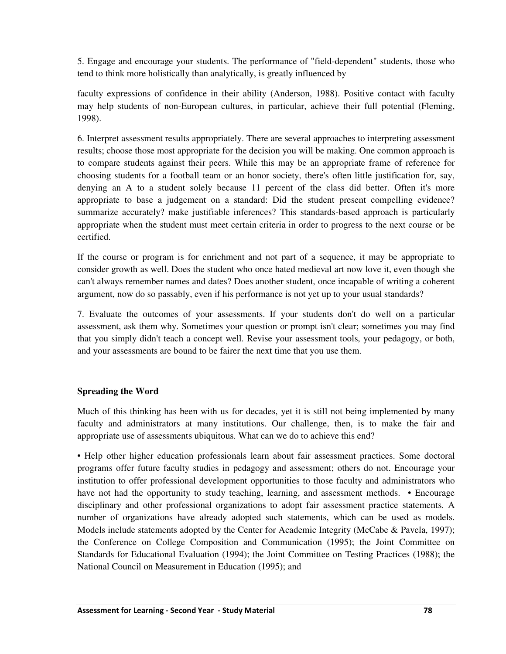5. Engage and encourage your students. The performance of "field-dependent" students, those who tend to think more holistically than analytically, is greatly influenced by

faculty expressions of confidence in their ability (Anderson, 1988). Positive contact with faculty may help students of non-European cultures, in particular, achieve their full potential (Fleming, 1998).

6. Interpret assessment results appropriately. There are several approaches to interpreting assessment results; choose those most appropriate for the decision you will be making. One common approach is to compare students against their peers. While this may be an appropriate frame of reference for choosing students for a football team or an honor society, there's often little justification for, say, denying an A to a student solely because 11 percent of the class did better. Often it's more appropriate to base a judgement on a standard: Did the student present compelling evidence? summarize accurately? make justifiable inferences? This standards-based approach is particularly appropriate when the student must meet certain criteria in order to progress to the next course or be certified.

If the course or program is for enrichment and not part of a sequence, it may be appropriate to consider growth as well. Does the student who once hated medieval art now love it, even though she can't always remember names and dates? Does another student, once incapable of writing a coherent argument, now do so passably, even if his performance is not yet up to your usual standards?

7. Evaluate the outcomes of your assessments. If your students don't do well on a particular assessment, ask them why. Sometimes your question or prompt isn't clear; sometimes you may find that you simply didn't teach a concept well. Revise your assessment tools, your pedagogy, or both, and your assessments are bound to be fairer the next time that you use them.

## **Spreading the Word**

Much of this thinking has been with us for decades, yet it is still not being implemented by many faculty and administrators at many institutions. Our challenge, then, is to make the fair and appropriate use of assessments ubiquitous. What can we do to achieve this end?

• Help other higher education professionals learn about fair assessment practices. Some doctoral programs offer future faculty studies in pedagogy and assessment; others do not. Encourage your institution to offer professional development opportunities to those faculty and administrators who have not had the opportunity to study teaching, learning, and assessment methods. • Encourage disciplinary and other professional organizations to adopt fair assessment practice statements. A number of organizations have already adopted such statements, which can be used as models. Models include statements adopted by the Center for Academic Integrity (McCabe & Pavela, 1997); the Conference on College Composition and Communication (1995); the Joint Committee on Standards for Educational Evaluation (1994); the Joint Committee on Testing Practices (1988); the National Council on Measurement in Education (1995); and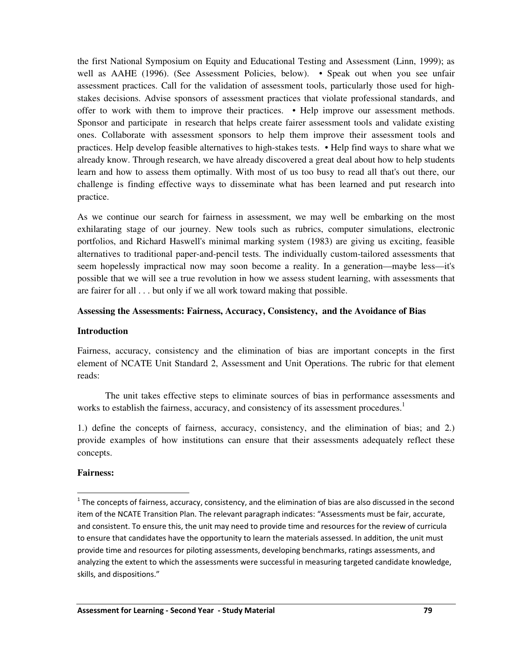the first National Symposium on Equity and Educational Testing and Assessment (Linn, 1999); as well as AAHE (1996). (See Assessment Policies, below). • Speak out when you see unfair assessment practices. Call for the validation of assessment tools, particularly those used for highstakes decisions. Advise sponsors of assessment practices that violate professional standards, and offer to work with them to improve their practices. • Help improve our assessment methods. Sponsor and participate in research that helps create fairer assessment tools and validate existing ones. Collaborate with assessment sponsors to help them improve their assessment tools and practices. Help develop feasible alternatives to high-stakes tests. • Help find ways to share what we already know. Through research, we have already discovered a great deal about how to help students learn and how to assess them optimally. With most of us too busy to read all that's out there, our challenge is finding effective ways to disseminate what has been learned and put research into practice.

As we continue our search for fairness in assessment, we may well be embarking on the most exhilarating stage of our journey. New tools such as rubrics, computer simulations, electronic portfolios, and Richard Haswell's minimal marking system (1983) are giving us exciting, feasible alternatives to traditional paper-and-pencil tests. The individually custom-tailored assessments that seem hopelessly impractical now may soon become a reality. In a generation—maybe less—it's possible that we will see a true revolution in how we assess student learning, with assessments that are fairer for all . . . but only if we all work toward making that possible.

### **Assessing the Assessments: Fairness, Accuracy, Consistency, and the Avoidance of Bias**

### **Introduction**

Fairness, accuracy, consistency and the elimination of bias are important concepts in the first element of NCATE Unit Standard 2, Assessment and Unit Operations. The rubric for that element reads:

 The unit takes effective steps to eliminate sources of bias in performance assessments and works to establish the fairness, accuracy, and consistency of its assessment procedures.<sup>1</sup>

1.) define the concepts of fairness, accuracy, consistency, and the elimination of bias; and 2.) provide examples of how institutions can ensure that their assessments adequately reflect these concepts.

### **Fairness:**

1

 $1$  The concepts of fairness, accuracy, consistency, and the elimination of bias are also discussed in the second item of the NCATE Transition Plan. The relevant paragraph indicates: "Assessments must be fair, accurate, and consistent. To ensure this, the unit may need to provide time and resources for the review of curricula to ensure that candidates have the opportunity to learn the materials assessed. In addition, the unit must provide time and resources for piloting assessments, developing benchmarks, ratings assessments, and analyzing the extent to which the assessments were successful in measuring targeted candidate knowledge, skills, and dispositions."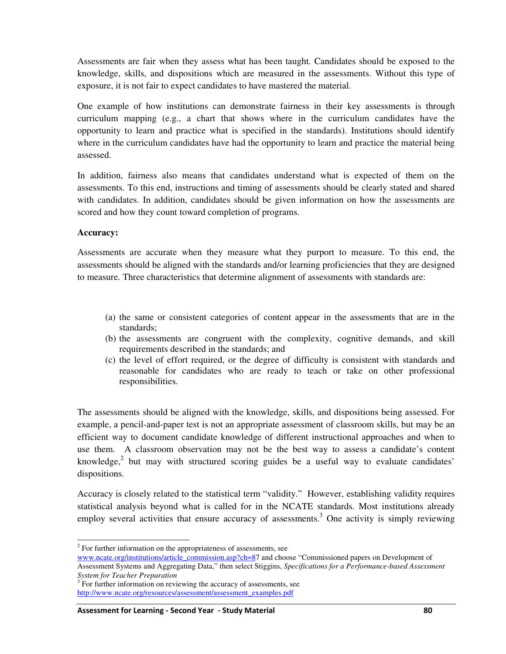Assessments are fair when they assess what has been taught. Candidates should be exposed to the knowledge, skills, and dispositions which are measured in the assessments. Without this type of exposure, it is not fair to expect candidates to have mastered the material.

One example of how institutions can demonstrate fairness in their key assessments is through curriculum mapping (e.g., a chart that shows where in the curriculum candidates have the opportunity to learn and practice what is specified in the standards). Institutions should identify where in the curriculum candidates have had the opportunity to learn and practice the material being assessed.

In addition, fairness also means that candidates understand what is expected of them on the assessments. To this end, instructions and timing of assessments should be clearly stated and shared with candidates. In addition, candidates should be given information on how the assessments are scored and how they count toward completion of programs.

## **Accuracy:**

1

Assessments are accurate when they measure what they purport to measure. To this end, the assessments should be aligned with the standards and/or learning proficiencies that they are designed to measure. Three characteristics that determine alignment of assessments with standards are:

- (a) the same or consistent categories of content appear in the assessments that are in the standards;
- (b) the assessments are congruent with the complexity, cognitive demands, and skill requirements described in the standards; and
- (c) the level of effort required, or the degree of difficulty is consistent with standards and reasonable for candidates who are ready to teach or take on other professional responsibilities.

The assessments should be aligned with the knowledge, skills, and dispositions being assessed. For example, a pencil-and-paper test is not an appropriate assessment of classroom skills, but may be an efficient way to document candidate knowledge of different instructional approaches and when to use them. A classroom observation may not be the best way to assess a candidate's content knowledge,<sup>2</sup> but may with structured scoring guides be a useful way to evaluate candidates' dispositions.

Accuracy is closely related to the statistical term "validity." However, establishing validity requires statistical analysis beyond what is called for in the NCATE standards. Most institutions already employ several activities that ensure accuracy of assessments.<sup>3</sup> One activity is simply reviewing

 $2^{2}$  For further information on the appropriateness of assessments, see

www.ncate.org/institutions/article\_commission.asp?ch=87 and choose "Commissioned papers on Development of Assessment Systems and Aggregating Data," then select Stiggins, *Specifications for a Performance-based Assessment System for Teacher Preparation*

<sup>&</sup>lt;sup>3</sup> For further information on reviewing the accuracy of assessments, see http://www.ncate.org/resources/assessment/assessment\_examples.pdf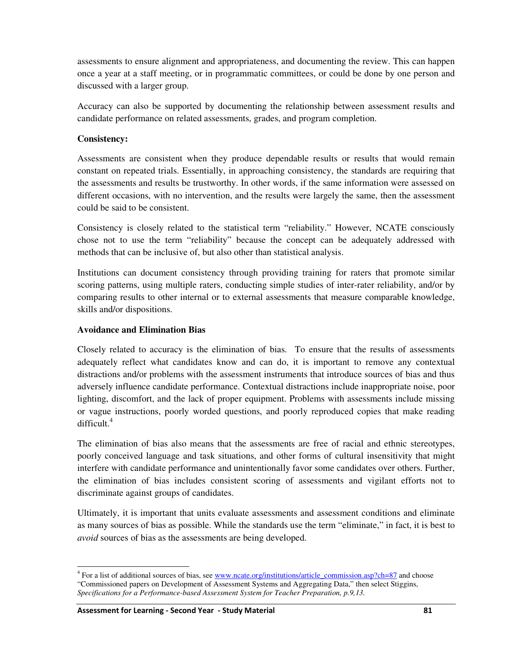assessments to ensure alignment and appropriateness, and documenting the review. This can happen once a year at a staff meeting, or in programmatic committees, or could be done by one person and discussed with a larger group.

Accuracy can also be supported by documenting the relationship between assessment results and candidate performance on related assessments, grades, and program completion.

## **Consistency:**

Assessments are consistent when they produce dependable results or results that would remain constant on repeated trials. Essentially, in approaching consistency, the standards are requiring that the assessments and results be trustworthy. In other words, if the same information were assessed on different occasions, with no intervention, and the results were largely the same, then the assessment could be said to be consistent.

Consistency is closely related to the statistical term "reliability." However, NCATE consciously chose not to use the term "reliability" because the concept can be adequately addressed with methods that can be inclusive of, but also other than statistical analysis.

Institutions can document consistency through providing training for raters that promote similar scoring patterns, using multiple raters, conducting simple studies of inter-rater reliability, and/or by comparing results to other internal or to external assessments that measure comparable knowledge, skills and/or dispositions.

### **Avoidance and Elimination Bias**

Closely related to accuracy is the elimination of bias. To ensure that the results of assessments adequately reflect what candidates know and can do, it is important to remove any contextual distractions and/or problems with the assessment instruments that introduce sources of bias and thus adversely influence candidate performance. Contextual distractions include inappropriate noise, poor lighting, discomfort, and the lack of proper equipment. Problems with assessments include missing or vague instructions, poorly worded questions, and poorly reproduced copies that make reading difficult.<sup>4</sup>

The elimination of bias also means that the assessments are free of racial and ethnic stereotypes, poorly conceived language and task situations, and other forms of cultural insensitivity that might interfere with candidate performance and unintentionally favor some candidates over others. Further, the elimination of bias includes consistent scoring of assessments and vigilant efforts not to discriminate against groups of candidates.

Ultimately, it is important that units evaluate assessments and assessment conditions and eliminate as many sources of bias as possible. While the standards use the term "eliminate," in fact, it is best to *avoid* sources of bias as the assessments are being developed.

 $\overline{a}$ 

<sup>&</sup>lt;sup>4</sup> For a list of additional sources of bias, see www.ncate.org/institutions/article\_commission.asp?ch=87 and choose "Commissioned papers on Development of Assessment Systems and Aggregating Data," then select Stiggins, *Specifications for a Performance-based Assessment System for Teacher Preparation, p.9,13.*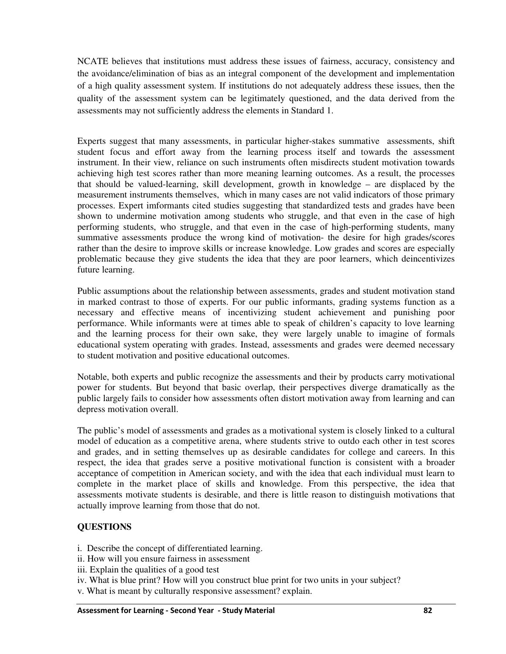NCATE believes that institutions must address these issues of fairness, accuracy, consistency and the avoidance/elimination of bias as an integral component of the development and implementation of a high quality assessment system. If institutions do not adequately address these issues, then the quality of the assessment system can be legitimately questioned, and the data derived from the assessments may not sufficiently address the elements in Standard 1.

Experts suggest that many assessments, in particular higher-stakes summative assessments, shift student focus and effort away from the learning process itself and towards the assessment instrument. In their view, reliance on such instruments often misdirects student motivation towards achieving high test scores rather than more meaning learning outcomes. As a result, the processes that should be valued-learning, skill development, growth in knowledge – are displaced by the measurement instruments themselves, which in many cases are not valid indicators of those primary processes. Expert imformants cited studies suggesting that standardized tests and grades have been shown to undermine motivation among students who struggle, and that even in the case of high performing students, who struggle, and that even in the case of high-performing students, many summative assessments produce the wrong kind of motivation- the desire for high grades/scores rather than the desire to improve skills or increase knowledge. Low grades and scores are especially problematic because they give students the idea that they are poor learners, which deincentivizes future learning.

Public assumptions about the relationship between assessments, grades and student motivation stand in marked contrast to those of experts. For our public informants, grading systems function as a necessary and effective means of incentivizing student achievement and punishing poor performance. While informants were at times able to speak of children's capacity to love learning and the learning process for their own sake, they were largely unable to imagine of formals educational system operating with grades. Instead, assessments and grades were deemed necessary to student motivation and positive educational outcomes.

Notable, both experts and public recognize the assessments and their by products carry motivational power for students. But beyond that basic overlap, their perspectives diverge dramatically as the public largely fails to consider how assessments often distort motivation away from learning and can depress motivation overall.

The public's model of assessments and grades as a motivational system is closely linked to a cultural model of education as a competitive arena, where students strive to outdo each other in test scores and grades, and in setting themselves up as desirable candidates for college and careers. In this respect, the idea that grades serve a positive motivational function is consistent with a broader acceptance of competition in American society, and with the idea that each individual must learn to complete in the market place of skills and knowledge. From this perspective, the idea that assessments motivate students is desirable, and there is little reason to distinguish motivations that actually improve learning from those that do not.

## **QUESTIONS**

- i. Describe the concept of differentiated learning.
- ii. How will you ensure fairness in assessment
- iii. Explain the qualities of a good test
- iv. What is blue print? How will you construct blue print for two units in your subject?
- v. What is meant by culturally responsive assessment? explain.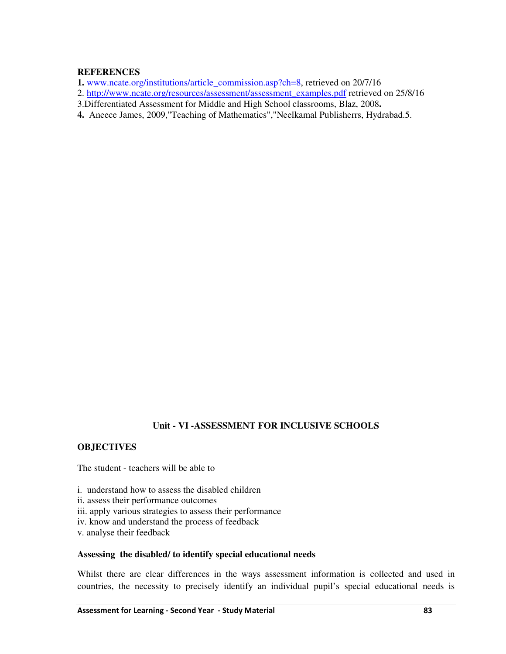#### **REFERENCES**

- **1.** www.ncate.org/institutions/article\_commission.asp?ch=8, retrieved on 20/7/16
- 2. http://www.ncate.org/resources/assessment/assessment\_examples.pdf retrieved on 25/8/16
- 3.Differentiated Assessment for Middle and High School classrooms, Blaz, 2008**.**
- **4.** Aneece James, 2009,"Teaching of Mathematics","Neelkamal Publisherrs, Hydrabad.5.

### **Unit - VI -ASSESSMENT FOR INCLUSIVE SCHOOLS**

#### **OBJECTIVES**

The student - teachers will be able to

- i. understand how to assess the disabled children
- ii. assess their performance outcomes
- iii. apply various strategies to assess their performance
- iv. know and understand the process of feedback
- v. analyse their feedback

### **Assessing the disabled/ to identify special educational needs**

Whilst there are clear differences in the ways assessment information is collected and used in countries, the necessity to precisely identify an individual pupil's special educational needs is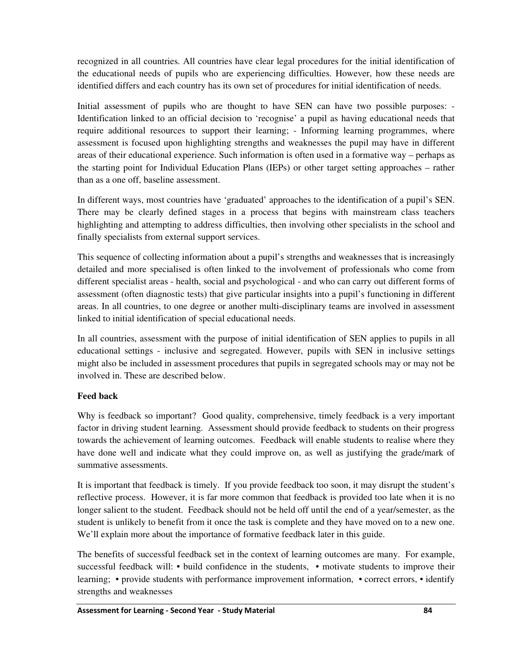recognized in all countries. All countries have clear legal procedures for the initial identification of the educational needs of pupils who are experiencing difficulties. However, how these needs are identified differs and each country has its own set of procedures for initial identification of needs.

Initial assessment of pupils who are thought to have SEN can have two possible purposes: - Identification linked to an official decision to 'recognise' a pupil as having educational needs that require additional resources to support their learning; - Informing learning programmes, where assessment is focused upon highlighting strengths and weaknesses the pupil may have in different areas of their educational experience. Such information is often used in a formative way – perhaps as the starting point for Individual Education Plans (IEPs) or other target setting approaches – rather than as a one off, baseline assessment.

In different ways, most countries have 'graduated' approaches to the identification of a pupil's SEN. There may be clearly defined stages in a process that begins with mainstream class teachers highlighting and attempting to address difficulties, then involving other specialists in the school and finally specialists from external support services.

This sequence of collecting information about a pupil's strengths and weaknesses that is increasingly detailed and more specialised is often linked to the involvement of professionals who come from different specialist areas - health, social and psychological - and who can carry out different forms of assessment (often diagnostic tests) that give particular insights into a pupil's functioning in different areas. In all countries, to one degree or another multi-disciplinary teams are involved in assessment linked to initial identification of special educational needs.

In all countries, assessment with the purpose of initial identification of SEN applies to pupils in all educational settings - inclusive and segregated. However, pupils with SEN in inclusive settings might also be included in assessment procedures that pupils in segregated schools may or may not be involved in. These are described below.

## **Feed back**

Why is feedback so important? Good quality, comprehensive, timely feedback is a very important factor in driving student learning. Assessment should provide feedback to students on their progress towards the achievement of learning outcomes. Feedback will enable students to realise where they have done well and indicate what they could improve on, as well as justifying the grade/mark of summative assessments.

It is important that feedback is timely. If you provide feedback too soon, it may disrupt the student's reflective process. However, it is far more common that feedback is provided too late when it is no longer salient to the student. Feedback should not be held off until the end of a year/semester, as the student is unlikely to benefit from it once the task is complete and they have moved on to a new one. We'll explain more about the importance of formative feedback later in this guide.

The benefits of successful feedback set in the context of learning outcomes are many. For example, successful feedback will: • build confidence in the students, • motivate students to improve their learning; • provide students with performance improvement information, • correct errors, • identify strengths and weaknesses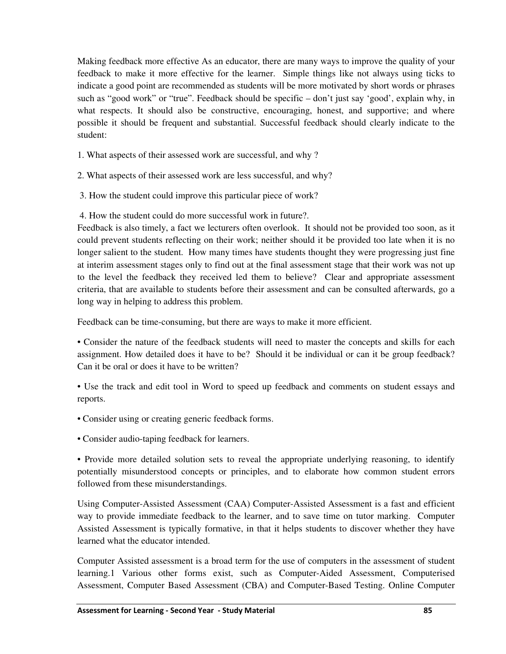Making feedback more effective As an educator, there are many ways to improve the quality of your feedback to make it more effective for the learner. Simple things like not always using ticks to indicate a good point are recommended as students will be more motivated by short words or phrases such as "good work" or "true". Feedback should be specific – don't just say 'good', explain why, in what respects. It should also be constructive, encouraging, honest, and supportive; and where possible it should be frequent and substantial. Successful feedback should clearly indicate to the student:

- 1. What aspects of their assessed work are successful, and why ?
- 2. What aspects of their assessed work are less successful, and why?
- 3. How the student could improve this particular piece of work?
- 4. How the student could do more successful work in future?.

Feedback is also timely, a fact we lecturers often overlook. It should not be provided too soon, as it could prevent students reflecting on their work; neither should it be provided too late when it is no longer salient to the student. How many times have students thought they were progressing just fine at interim assessment stages only to find out at the final assessment stage that their work was not up to the level the feedback they received led them to believe? Clear and appropriate assessment criteria, that are available to students before their assessment and can be consulted afterwards, go a long way in helping to address this problem.

Feedback can be time-consuming, but there are ways to make it more efficient.

• Consider the nature of the feedback students will need to master the concepts and skills for each assignment. How detailed does it have to be? Should it be individual or can it be group feedback? Can it be oral or does it have to be written?

• Use the track and edit tool in Word to speed up feedback and comments on student essays and reports.

- Consider using or creating generic feedback forms.
- Consider audio-taping feedback for learners.

• Provide more detailed solution sets to reveal the appropriate underlying reasoning, to identify potentially misunderstood concepts or principles, and to elaborate how common student errors followed from these misunderstandings.

Using Computer-Assisted Assessment (CAA) Computer-Assisted Assessment is a fast and efficient way to provide immediate feedback to the learner, and to save time on tutor marking. Computer Assisted Assessment is typically formative, in that it helps students to discover whether they have learned what the educator intended.

Computer Assisted assessment is a broad term for the use of computers in the assessment of student learning.1 Various other forms exist, such as Computer-Aided Assessment, Computerised Assessment, Computer Based Assessment (CBA) and Computer-Based Testing. Online Computer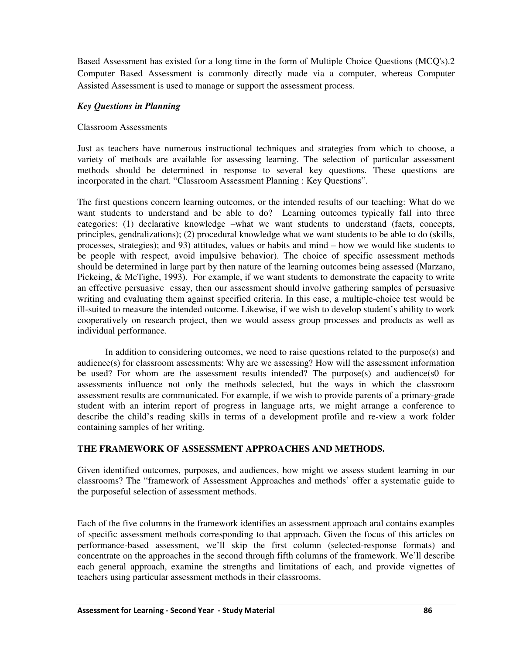Based Assessment has existed for a long time in the form of Multiple Choice Questions (MCQ's).2 Computer Based Assessment is commonly directly made via a computer, whereas Computer Assisted Assessment is used to manage or support the assessment process.

## *Key Questions in Planning*

### Classroom Assessments

Just as teachers have numerous instructional techniques and strategies from which to choose, a variety of methods are available for assessing learning. The selection of particular assessment methods should be determined in response to several key questions. These questions are incorporated in the chart. "Classroom Assessment Planning : Key Questions".

The first questions concern learning outcomes, or the intended results of our teaching: What do we want students to understand and be able to do? Learning outcomes typically fall into three categories: (1) declarative knowledge –what we want students to understand (facts, concepts, principles, gendralizations); (2) procedural knowledge what we want students to be able to do (skills, processes, strategies); and 93) attitudes, values or habits and mind – how we would like students to be people with respect, avoid impulsive behavior). The choice of specific assessment methods should be determined in large part by then nature of the learning outcomes being assessed (Marzano, Pickeing, & McTighe, 1993). For example, if we want students to demonstrate the capacity to write an effective persuasive essay, then our assessment should involve gathering samples of persuasive writing and evaluating them against specified criteria. In this case, a multiple-choice test would be ill-suited to measure the intended outcome. Likewise, if we wish to develop student's ability to work cooperatively on research project, then we would assess group processes and products as well as individual performance.

 In addition to considering outcomes, we need to raise questions related to the purpose(s) and audience(s) for classroom assessments: Why are we assessing? How will the assessment information be used? For whom are the assessment results intended? The purpose(s) and audience(s0 for assessments influence not only the methods selected, but the ways in which the classroom assessment results are communicated. For example, if we wish to provide parents of a primary-grade student with an interim report of progress in language arts, we might arrange a conference to describe the child's reading skills in terms of a development profile and re-view a work folder containing samples of her writing.

## **THE FRAMEWORK OF ASSESSMENT APPROACHES AND METHODS.**

Given identified outcomes, purposes, and audiences, how might we assess student learning in our classrooms? The "framework of Assessment Approaches and methods' offer a systematic guide to the purposeful selection of assessment methods.

Each of the five columns in the framework identifies an assessment approach aral contains examples of specific assessment methods corresponding to that approach. Given the focus of this articles on performance-based assessment, we'll skip the first column (selected-response formats) and concentrate on the approaches in the second through fifth columns of the framework. We'll describe each general approach, examine the strengths and limitations of each, and provide vignettes of teachers using particular assessment methods in their classrooms.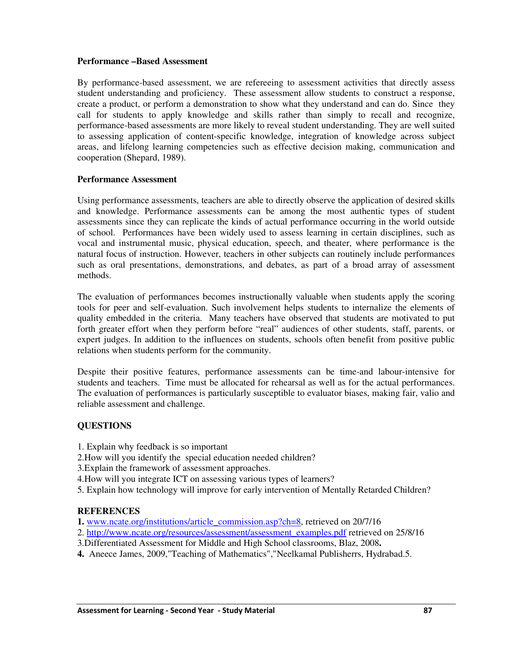### **Performance –Based Assessment**

By performance-based assessment, we are refereeing to assessment activities that directly assess student understanding and proficiency. These assessment allow students to construct a response, create a product, or perform a demonstration to show what they understand and can do. Since they call for students to apply knowledge and skills rather than simply to recall and recognize, performance-based assessments are more likely to reveal student understanding. They are well suited to assessing application of content-specific knowledge, integration of knowledge across subject areas, and lifelong learning competencies such as effective decision making, communication and cooperation (Shepard, 1989).

## **Performance Assessment**

Using performance assessments, teachers are able to directly observe the application of desired skills and knowledge. Performance assessments can be among the most authentic types of student assessments since they can replicate the kinds of actual performance occurring in the world outside of school. Performances have been widely used to assess learning in certain disciplines, such as vocal and instrumental music, physical education, speech, and theater, where performance is the natural focus of instruction. However, teachers in other subjects can routinely include performances such as oral presentations, demonstrations, and debates, as part of a broad array of assessment methods.

The evaluation of performances becomes instructionally valuable when students apply the scoring tools for peer and self-evaluation. Such involvement helps students to internalize the elements of quality embedded in the criteria. Many teachers have observed that students are motivated to put forth greater effort when they perform before "real" audiences of other students, staff, parents, or expert judges. In addition to the influences on students, schools often benefit from positive public relations when students perform for the community.

Despite their positive features, performance assessments can be time-and labour-intensive for students and teachers. Time must be allocated for rehearsal as well as for the actual performances. The evaluation of performances is particularly susceptible to evaluator biases, making fair, valio and reliable assessment and challenge.

## **QUESTIONS**

- 1. Explain why feedback is so important
- 2.How will you identify the special education needed children?
- 3.Explain the framework of assessment approaches.
- 4.How will you integrate ICT on assessing various types of learners?
- 5. Explain how technology will improve for early intervention of Mentally Retarded Children?

## **REFERENCES**

- **1.** www.ncate.org/institutions/article\_commission.asp?ch=8, retrieved on 20/7/16
- 2. http://www.ncate.org/resources/assessment/assessment\_examples.pdf retrieved on 25/8/16
- 3.Differentiated Assessment for Middle and High School classrooms, Blaz, 2008**.**
- **4.** Aneece James, 2009,"Teaching of Mathematics","Neelkamal Publisherrs, Hydrabad.5.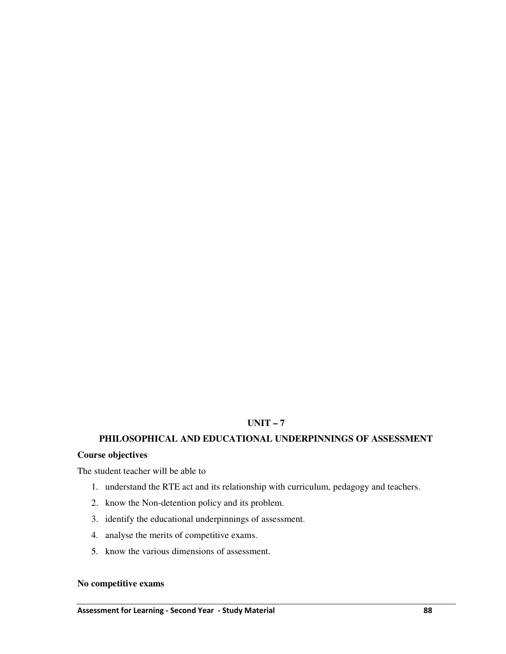## **UNIT – 7**

# **PHILOSOPHICAL AND EDUCATIONAL UNDERPINNINGS OF ASSESSMENT Course objectives**

The student teacher will be able to

- 1. understand the RTE act and its relationship with curriculum, pedagogy and teachers.
- 2. know the Non-detention policy and its problem.
- 3. identify the educational underpinnings of assessment.
- 4. analyse the merits of competitive exams.
- 5. know the various dimensions of assessment.

## **No competitive exams**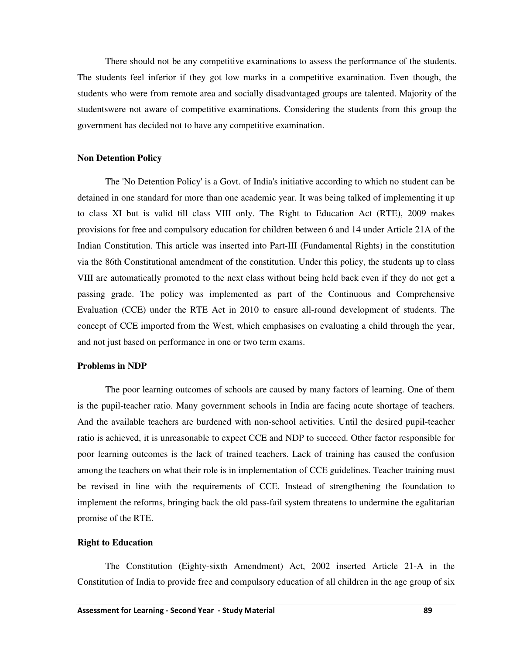There should not be any competitive examinations to assess the performance of the students. The students feel inferior if they got low marks in a competitive examination. Even though, the students who were from remote area and socially disadvantaged groups are talented. Majority of the studentswere not aware of competitive examinations. Considering the students from this group the government has decided not to have any competitive examination.

#### **Non Detention Policy**

The 'No Detention Policy' is a Govt. of India's initiative according to which no student can be detained in one standard for more than one academic year. It was being talked of implementing it up to class XI but is valid till class VIII only. The Right to Education Act (RTE), 2009 makes provisions for free and compulsory education for children between 6 and 14 under Article 21A of the Indian Constitution. This article was inserted into Part-III (Fundamental Rights) in the constitution via the 86th Constitutional amendment of the constitution. Under this policy, the students up to class VIII are automatically promoted to the next class without being held back even if they do not get a passing grade. The policy was implemented as part of the Continuous and Comprehensive Evaluation (CCE) under the RTE Act in 2010 to ensure all-round development of students. The concept of CCE imported from the West, which emphasises on evaluating a child through the year, and not just based on performance in one or two term exams.

#### **Problems in NDP**

The poor learning outcomes of schools are caused by many factors of learning. One of them is the pupil-teacher ratio. Many government schools in India are facing acute shortage of teachers. And the available teachers are burdened with non-school activities. Until the desired pupil-teacher ratio is achieved, it is unreasonable to expect CCE and NDP to succeed. Other factor responsible for poor learning outcomes is the lack of trained teachers. Lack of training has caused the confusion among the teachers on what their role is in implementation of CCE guidelines. Teacher training must be revised in line with the requirements of CCE. Instead of strengthening the foundation to implement the reforms, bringing back the old pass-fail system threatens to undermine the egalitarian promise of the RTE.

#### **Right to Education**

The Constitution (Eighty-sixth Amendment) Act, 2002 inserted Article 21-A in the Constitution of India to provide free and compulsory education of all children in the age group of six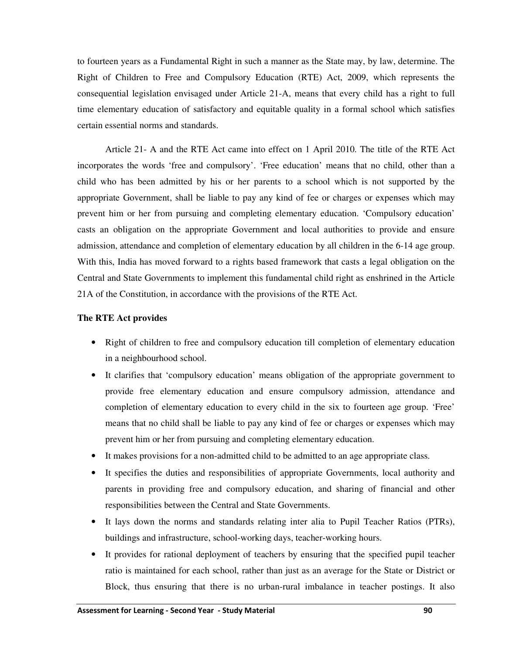to fourteen years as a Fundamental Right in such a manner as the State may, by law, determine. The Right of Children to Free and Compulsory Education (RTE) Act, 2009, which represents the consequential legislation envisaged under Article 21-A, means that every child has a right to full time elementary education of satisfactory and equitable quality in a formal school which satisfies certain essential norms and standards.

Article 21- A and the RTE Act came into effect on 1 April 2010. The title of the RTE Act incorporates the words 'free and compulsory'. 'Free education' means that no child, other than a child who has been admitted by his or her parents to a school which is not supported by the appropriate Government, shall be liable to pay any kind of fee or charges or expenses which may prevent him or her from pursuing and completing elementary education. 'Compulsory education' casts an obligation on the appropriate Government and local authorities to provide and ensure admission, attendance and completion of elementary education by all children in the 6-14 age group. With this, India has moved forward to a rights based framework that casts a legal obligation on the Central and State Governments to implement this fundamental child right as enshrined in the Article 21A of the Constitution, in accordance with the provisions of the RTE Act.

#### **The RTE Act provides**

- Right of children to free and compulsory education till completion of elementary education in a neighbourhood school.
- It clarifies that 'compulsory education' means obligation of the appropriate government to provide free elementary education and ensure compulsory admission, attendance and completion of elementary education to every child in the six to fourteen age group. 'Free' means that no child shall be liable to pay any kind of fee or charges or expenses which may prevent him or her from pursuing and completing elementary education.
- It makes provisions for a non-admitted child to be admitted to an age appropriate class.
- It specifies the duties and responsibilities of appropriate Governments, local authority and parents in providing free and compulsory education, and sharing of financial and other responsibilities between the Central and State Governments.
- It lays down the norms and standards relating inter alia to Pupil Teacher Ratios (PTRs), buildings and infrastructure, school-working days, teacher-working hours.
- It provides for rational deployment of teachers by ensuring that the specified pupil teacher ratio is maintained for each school, rather than just as an average for the State or District or Block, thus ensuring that there is no urban-rural imbalance in teacher postings. It also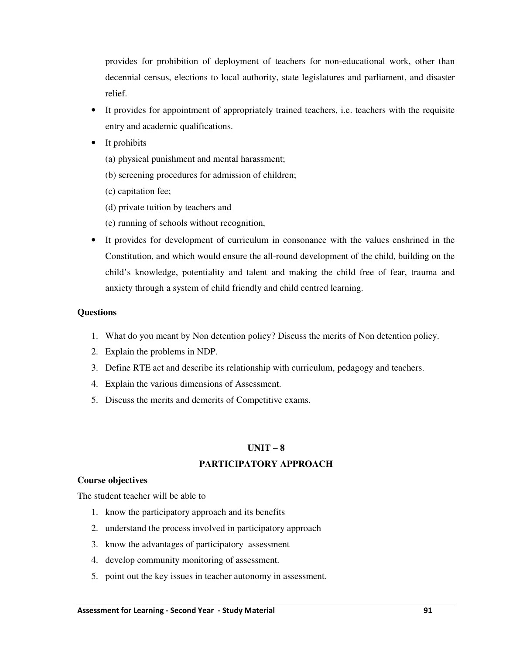provides for prohibition of deployment of teachers for non-educational work, other than decennial census, elections to local authority, state legislatures and parliament, and disaster relief.

- It provides for appointment of appropriately trained teachers, i.e. teachers with the requisite entry and academic qualifications.
- It prohibits
	- (a) physical punishment and mental harassment;
	- (b) screening procedures for admission of children;
	- (c) capitation fee;
	- (d) private tuition by teachers and
	- (e) running of schools without recognition,
- It provides for development of curriculum in consonance with the values enshrined in the Constitution, and which would ensure the all-round development of the child, building on the child's knowledge, potentiality and talent and making the child free of fear, trauma and anxiety through a system of child friendly and child centred learning.

### **Questions**

- 1. What do you meant by Non detention policy? Discuss the merits of Non detention policy.
- 2. Explain the problems in NDP.
- 3. Define RTE act and describe its relationship with curriculum, pedagogy and teachers.
- 4. Explain the various dimensions of Assessment.
- 5. Discuss the merits and demerits of Competitive exams.

### **UNIT – 8**

### **PARTICIPATORY APPROACH**

#### **Course objectives**

The student teacher will be able to

- 1. know the participatory approach and its benefits
- 2. understand the process involved in participatory approach
- 3. know the advantages of participatory assessment
- 4. develop community monitoring of assessment.
- 5. point out the key issues in teacher autonomy in assessment.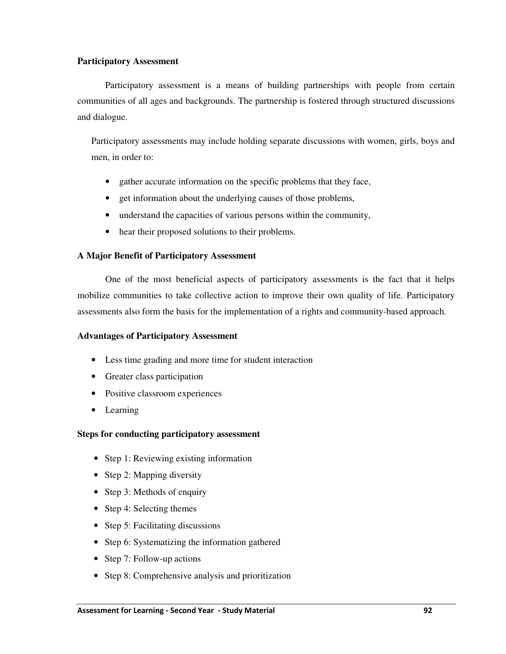### **Participatory Assessment**

Participatory assessment is a means of building partnerships with people from certain communities of all ages and backgrounds. The partnership is fostered through structured discussions and dialogue.

Participatory assessments may include holding separate discussions with women, girls, boys and men, in order to:

- gather accurate information on the specific problems that they face,
- get information about the underlying causes of those problems,
- understand the capacities of various persons within the community,
- hear their proposed solutions to their problems.

## **A Major Benefit of Participatory Assessment**

One of the most beneficial aspects of participatory assessments is the fact that it helps mobilize communities to take collective action to improve their own quality of life. Participatory assessments also form the basis for the implementation of a rights and community-based approach.

### **Advantages of Participatory Assessment**

- Less time grading and more time for student interaction
- Greater class participation
- Positive classroom experiences
- Learning

### **Steps for conducting participatory assessment**

- Step 1: Reviewing existing information
- Step 2: Mapping diversity
- Step 3: Methods of enquiry
- Step 4: Selecting themes
- Step 5: Facilitating discussions
- Step 6: Systematizing the information gathered
- Step 7: Follow-up actions
- Step 8: Comprehensive analysis and prioritization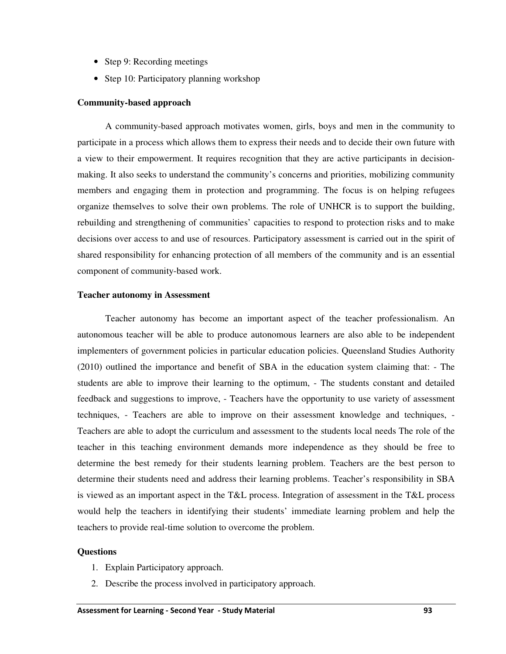- Step 9: Recording meetings
- Step 10: Participatory planning workshop

#### **Community-based approach**

A community-based approach motivates women, girls, boys and men in the community to participate in a process which allows them to express their needs and to decide their own future with a view to their empowerment. It requires recognition that they are active participants in decisionmaking. It also seeks to understand the community's concerns and priorities, mobilizing community members and engaging them in protection and programming. The focus is on helping refugees organize themselves to solve their own problems. The role of UNHCR is to support the building, rebuilding and strengthening of communities' capacities to respond to protection risks and to make decisions over access to and use of resources. Participatory assessment is carried out in the spirit of shared responsibility for enhancing protection of all members of the community and is an essential component of community-based work.

#### **Teacher autonomy in Assessment**

Teacher autonomy has become an important aspect of the teacher professionalism. An autonomous teacher will be able to produce autonomous learners are also able to be independent implementers of government policies in particular education policies. Queensland Studies Authority (2010) outlined the importance and benefit of SBA in the education system claiming that: - The students are able to improve their learning to the optimum, - The students constant and detailed feedback and suggestions to improve, - Teachers have the opportunity to use variety of assessment techniques, - Teachers are able to improve on their assessment knowledge and techniques, - Teachers are able to adopt the curriculum and assessment to the students local needs The role of the teacher in this teaching environment demands more independence as they should be free to determine the best remedy for their students learning problem. Teachers are the best person to determine their students need and address their learning problems. Teacher's responsibility in SBA is viewed as an important aspect in the T&L process. Integration of assessment in the T&L process would help the teachers in identifying their students' immediate learning problem and help the teachers to provide real-time solution to overcome the problem.

#### **Questions**

- 1. Explain Participatory approach.
- 2. Describe the process involved in participatory approach.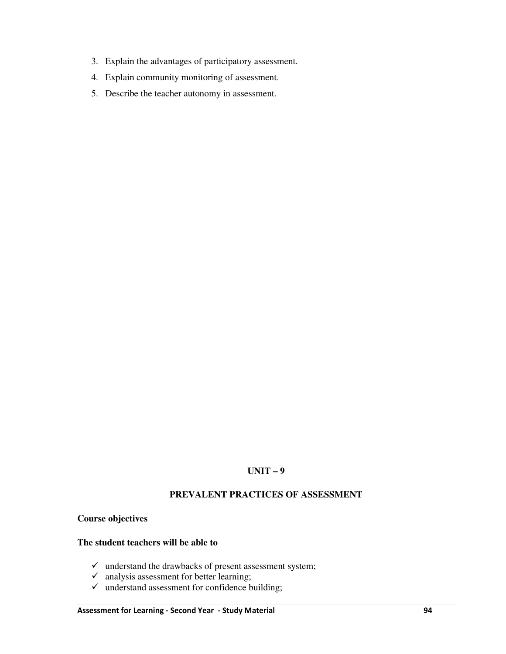- 3. Explain the advantages of participatory assessment.
- 4. Explain community monitoring of assessment.
- 5. Describe the teacher autonomy in assessment.

## **UNIT – 9**

## **PREVALENT PRACTICES OF ASSESSMENT**

**Course objectives** 

## **The student teachers will be able to**

- $\checkmark$  understand the drawbacks of present assessment system;
- $\checkmark$  analysis assessment for better learning;
- $\checkmark$  understand assessment for confidence building;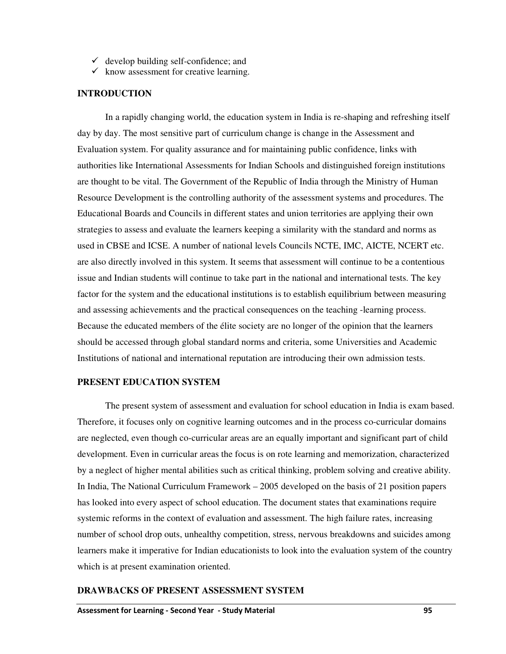- $\checkmark$  develop building self-confidence; and
- $\checkmark$  know assessment for creative learning.

#### **INTRODUCTION**

In a rapidly changing world, the education system in India is re-shaping and refreshing itself day by day. The most sensitive part of curriculum change is change in the Assessment and Evaluation system. For quality assurance and for maintaining public confidence, links with authorities like International Assessments for Indian Schools and distinguished foreign institutions are thought to be vital. The Government of the Republic of India through the Ministry of Human Resource Development is the controlling authority of the assessment systems and procedures. The Educational Boards and Councils in different states and union territories are applying their own strategies to assess and evaluate the learners keeping a similarity with the standard and norms as used in CBSE and ICSE. A number of national levels Councils NCTE, IMC, AICTE, NCERT etc. are also directly involved in this system. It seems that assessment will continue to be a contentious issue and Indian students will continue to take part in the national and international tests. The key factor for the system and the educational institutions is to establish equilibrium between measuring and assessing achievements and the practical consequences on the teaching -learning process. Because the educated members of the élite society are no longer of the opinion that the learners should be accessed through global standard norms and criteria, some Universities and Academic Institutions of national and international reputation are introducing their own admission tests.

### **PRESENT EDUCATION SYSTEM**

The present system of assessment and evaluation for school education in India is exam based. Therefore, it focuses only on cognitive learning outcomes and in the process co-curricular domains are neglected, even though co-curricular areas are an equally important and significant part of child development. Even in curricular areas the focus is on rote learning and memorization, characterized by a neglect of higher mental abilities such as critical thinking, problem solving and creative ability. In India, The National Curriculum Framework – 2005 developed on the basis of 21 position papers has looked into every aspect of school education. The document states that examinations require systemic reforms in the context of evaluation and assessment. The high failure rates, increasing number of school drop outs, unhealthy competition, stress, nervous breakdowns and suicides among learners make it imperative for Indian educationists to look into the evaluation system of the country which is at present examination oriented.

#### **DRAWBACKS OF PRESENT ASSESSMENT SYSTEM**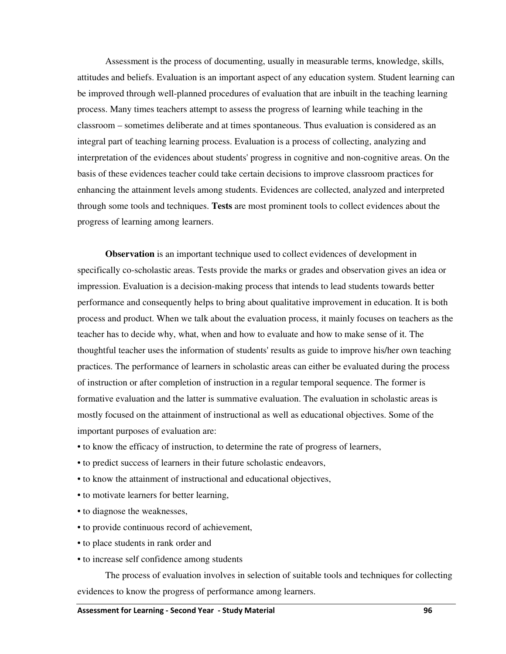Assessment is the process of documenting, usually in measurable terms, knowledge, skills, attitudes and beliefs. Evaluation is an important aspect of any education system. Student learning can be improved through well-planned procedures of evaluation that are inbuilt in the teaching learning process. Many times teachers attempt to assess the progress of learning while teaching in the classroom – sometimes deliberate and at times spontaneous. Thus evaluation is considered as an integral part of teaching learning process. Evaluation is a process of collecting, analyzing and interpretation of the evidences about students' progress in cognitive and non-cognitive areas. On the basis of these evidences teacher could take certain decisions to improve classroom practices for enhancing the attainment levels among students. Evidences are collected, analyzed and interpreted through some tools and techniques. **Tests** are most prominent tools to collect evidences about the progress of learning among learners.

**Observation** is an important technique used to collect evidences of development in specifically co-scholastic areas. Tests provide the marks or grades and observation gives an idea or impression. Evaluation is a decision-making process that intends to lead students towards better performance and consequently helps to bring about qualitative improvement in education. It is both process and product. When we talk about the evaluation process, it mainly focuses on teachers as the teacher has to decide why, what, when and how to evaluate and how to make sense of it. The thoughtful teacher uses the information of students' results as guide to improve his/her own teaching practices. The performance of learners in scholastic areas can either be evaluated during the process of instruction or after completion of instruction in a regular temporal sequence. The former is formative evaluation and the latter is summative evaluation. The evaluation in scholastic areas is mostly focused on the attainment of instructional as well as educational objectives. Some of the important purposes of evaluation are:

- to know the efficacy of instruction, to determine the rate of progress of learners,
- to predict success of learners in their future scholastic endeavors,
- to know the attainment of instructional and educational objectives,
- to motivate learners for better learning,
- to diagnose the weaknesses,
- to provide continuous record of achievement,
- to place students in rank order and
- to increase self confidence among students

The process of evaluation involves in selection of suitable tools and techniques for collecting evidences to know the progress of performance among learners.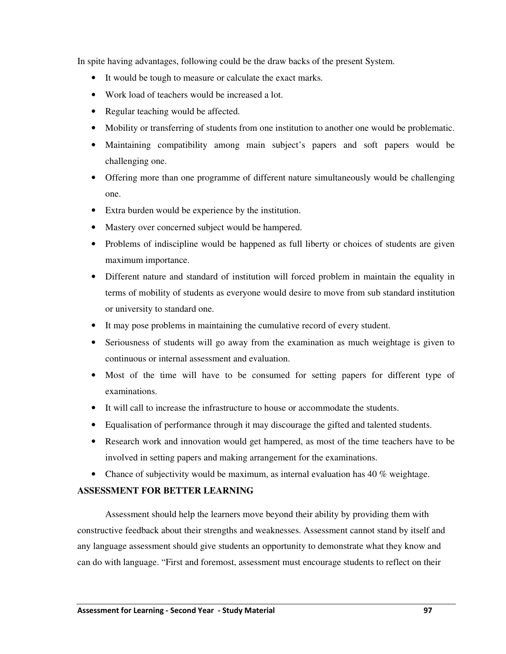In spite having advantages, following could be the draw backs of the present System.

- It would be tough to measure or calculate the exact marks.
- Work load of teachers would be increased a lot.
- Regular teaching would be affected.
- Mobility or transferring of students from one institution to another one would be problematic.
- Maintaining compatibility among main subject's papers and soft papers would be challenging one.
- Offering more than one programme of different nature simultaneously would be challenging one.
- Extra burden would be experience by the institution.
- Mastery over concerned subject would be hampered.
- Problems of indiscipline would be happened as full liberty or choices of students are given maximum importance.
- Different nature and standard of institution will forced problem in maintain the equality in terms of mobility of students as everyone would desire to move from sub standard institution or university to standard one.
- It may pose problems in maintaining the cumulative record of every student.
- Seriousness of students will go away from the examination as much weightage is given to continuous or internal assessment and evaluation.
- Most of the time will have to be consumed for setting papers for different type of examinations.
- It will call to increase the infrastructure to house or accommodate the students.
- Equalisation of performance through it may discourage the gifted and talented students.
- Research work and innovation would get hampered, as most of the time teachers have to be involved in setting papers and making arrangement for the examinations.
- Chance of subjectivity would be maximum, as internal evaluation has 40 % weightage.

## **ASSESSMENT FOR BETTER LEARNING**

Assessment should help the learners move beyond their ability by providing them with constructive feedback about their strengths and weaknesses. Assessment cannot stand by itself and any language assessment should give students an opportunity to demonstrate what they know and can do with language. "First and foremost, assessment must encourage students to reflect on their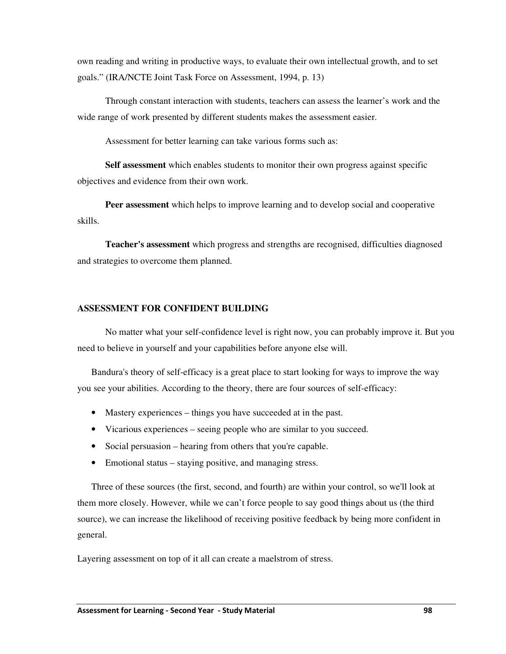own reading and writing in productive ways, to evaluate their own intellectual growth, and to set goals." (IRA/NCTE Joint Task Force on Assessment, 1994, p. 13)

Through constant interaction with students, teachers can assess the learner's work and the wide range of work presented by different students makes the assessment easier.

Assessment for better learning can take various forms such as:

**Self assessment** which enables students to monitor their own progress against specific objectives and evidence from their own work.

**Peer assessment** which helps to improve learning and to develop social and cooperative skills.

**Teacher's assessment** which progress and strengths are recognised, difficulties diagnosed and strategies to overcome them planned.

### **ASSESSMENT FOR CONFIDENT BUILDING**

No matter what your self-confidence level is right now, you can probably improve it. But you need to believe in yourself and your capabilities before anyone else will.

Bandura's theory of self-efficacy is a great place to start looking for ways to improve the way you see your abilities. According to the theory, there are four sources of self-efficacy:

- Mastery experiences things you have succeeded at in the past.
- Vicarious experiences seeing people who are similar to you succeed.
- Social persuasion hearing from others that you're capable.
- Emotional status staying positive, and managing stress.

Three of these sources (the first, second, and fourth) are within your control, so we'll look at them more closely. However, while we can't force people to say good things about us (the third source), we can increase the likelihood of receiving positive feedback by being more confident in general.

Layering assessment on top of it all can create a maelstrom of stress.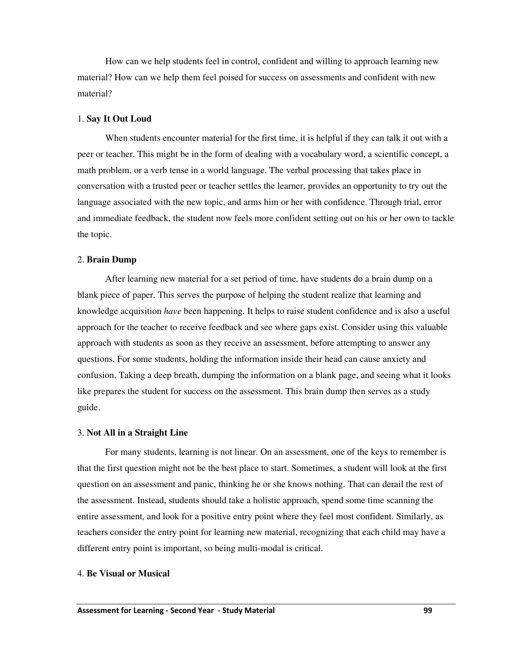How can we help students feel in control, confident and willing to approach learning new material? How can we help them feel poised for success on assessments and confident with new material?

#### 1. **Say It Out Loud**

When students encounter material for the first time, it is helpful if they can talk it out with a peer or teacher. This might be in the form of dealing with a vocabulary word, a scientific concept, a math problem, or a verb tense in a world language. The verbal processing that takes place in conversation with a trusted peer or teacher settles the learner, provides an opportunity to try out the language associated with the new topic, and arms him or her with confidence. Through trial, error and immediate feedback, the student now feels more confident setting out on his or her own to tackle the topic.

#### 2. **Brain Dump**

After learning new material for a set period of time, have students do a brain dump on a blank piece of paper. This serves the purpose of helping the student realize that learning and knowledge acquisition *have* been happening. It helps to raise student confidence and is also a useful approach for the teacher to receive feedback and see where gaps exist. Consider using this valuable approach with students as soon as they receive an assessment, before attempting to answer any questions. For some students, holding the information inside their head can cause anxiety and confusion. Taking a deep breath, dumping the information on a blank page, and seeing what it looks like prepares the student for success on the assessment. This brain dump then serves as a study guide.

#### 3. **Not All in a Straight Line**

For many students, learning is not linear. On an assessment, one of the keys to remember is that the first question might not be the best place to start. Sometimes, a student will look at the first question on an assessment and panic, thinking he or she knows nothing. That can derail the rest of the assessment. Instead, students should take a holistic approach, spend some time scanning the entire assessment, and look for a positive entry point where they feel most confident. Similarly, as teachers consider the entry point for learning new material, recognizing that each child may have a different entry point is important, so being multi-modal is critical.

#### 4. **Be Visual or Musical**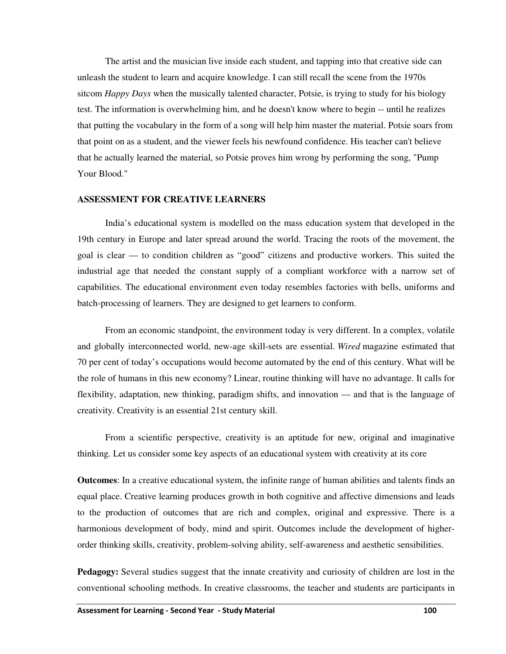The artist and the musician live inside each student, and tapping into that creative side can unleash the student to learn and acquire knowledge. I can still recall the scene from the 1970s sitcom *Happy Days* when the musically talented character, Potsie, is trying to study for his biology test. The information is overwhelming him, and he doesn't know where to begin -- until he realizes that putting the vocabulary in the form of a song will help him master the material. Potsie soars from that point on as a student, and the viewer feels his newfound confidence. His teacher can't believe that he actually learned the material, so Potsie proves him wrong by performing the song, "Pump Your Blood."

#### **ASSESSMENT FOR CREATIVE LEARNERS**

India's educational system is modelled on the mass education system that developed in the 19th century in Europe and later spread around the world. Tracing the roots of the movement, the goal is clear — to condition children as "good" citizens and productive workers. This suited the industrial age that needed the constant supply of a compliant workforce with a narrow set of capabilities. The educational environment even today resembles factories with bells, uniforms and batch-processing of learners. They are designed to get learners to conform.

From an economic standpoint, the environment today is very different. In a complex, volatile and globally interconnected world, new-age skill-sets are essential. *Wired* magazine estimated that 70 per cent of today's occupations would become automated by the end of this century. What will be the role of humans in this new economy? Linear, routine thinking will have no advantage. It calls for flexibility, adaptation, new thinking, paradigm shifts, and innovation — and that is the language of creativity. Creativity is an essential 21st century skill.

From a scientific perspective, creativity is an aptitude for new, original and imaginative thinking. Let us consider some key aspects of an educational system with creativity at its core

**Outcomes**: In a creative educational system, the infinite range of human abilities and talents finds an equal place. Creative learning produces growth in both cognitive and affective dimensions and leads to the production of outcomes that are rich and complex, original and expressive. There is a harmonious development of body, mind and spirit. Outcomes include the development of higherorder thinking skills, creativity, problem-solving ability, self-awareness and aesthetic sensibilities.

**Pedagogy:** Several studies suggest that the innate creativity and curiosity of children are lost in the conventional schooling methods. In creative classrooms, the teacher and students are participants in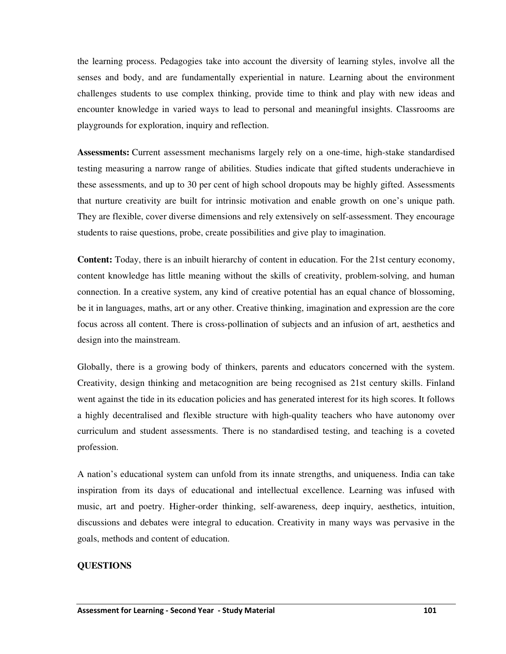the learning process. Pedagogies take into account the diversity of learning styles, involve all the senses and body, and are fundamentally experiential in nature. Learning about the environment challenges students to use complex thinking, provide time to think and play with new ideas and encounter knowledge in varied ways to lead to personal and meaningful insights. Classrooms are playgrounds for exploration, inquiry and reflection.

**Assessments:** Current assessment mechanisms largely rely on a one-time, high-stake standardised testing measuring a narrow range of abilities. Studies indicate that gifted students underachieve in these assessments, and up to 30 per cent of high school dropouts may be highly gifted. Assessments that nurture creativity are built for intrinsic motivation and enable growth on one's unique path. They are flexible, cover diverse dimensions and rely extensively on self-assessment. They encourage students to raise questions, probe, create possibilities and give play to imagination.

**Content:** Today, there is an inbuilt hierarchy of content in education. For the 21st century economy, content knowledge has little meaning without the skills of creativity, problem-solving, and human connection. In a creative system, any kind of creative potential has an equal chance of blossoming, be it in languages, maths, art or any other. Creative thinking, imagination and expression are the core focus across all content. There is cross-pollination of subjects and an infusion of art, aesthetics and design into the mainstream.

Globally, there is a growing body of thinkers, parents and educators concerned with the system. Creativity, design thinking and metacognition are being recognised as 21st century skills. Finland went against the tide in its education policies and has generated interest for its high scores. It follows a highly decentralised and flexible structure with high-quality teachers who have autonomy over curriculum and student assessments. There is no standardised testing, and teaching is a coveted profession.

A nation's educational system can unfold from its innate strengths, and uniqueness. India can take inspiration from its days of educational and intellectual excellence. Learning was infused with music, art and poetry. Higher-order thinking, self-awareness, deep inquiry, aesthetics, intuition, discussions and debates were integral to education. Creativity in many ways was pervasive in the goals, methods and content of education.

### **QUESTIONS**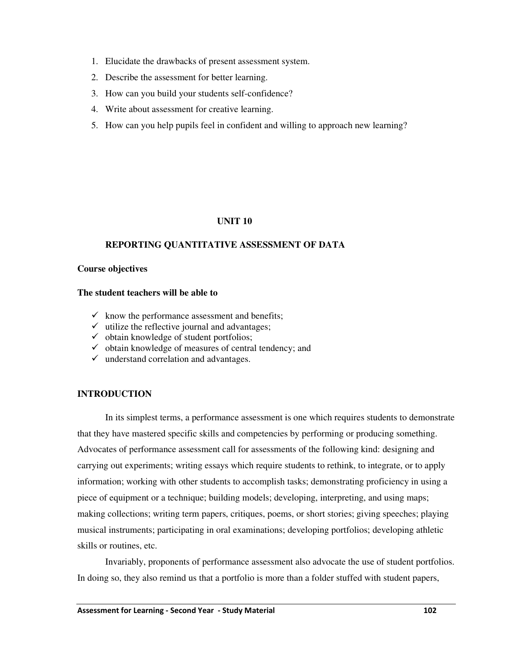- 1. Elucidate the drawbacks of present assessment system.
- 2. Describe the assessment for better learning.
- 3. How can you build your students self-confidence?
- 4. Write about assessment for creative learning.
- 5. How can you help pupils feel in confident and willing to approach new learning?

#### **UNIT 10**

### **REPORTING QUANTITATIVE ASSESSMENT OF DATA**

#### **Course objectives**

#### **The student teachers will be able to**

- $\checkmark$  know the performance assessment and benefits;
- $\checkmark$  utilize the reflective journal and advantages;
- $\checkmark$  obtain knowledge of student portfolios;
- $\checkmark$  obtain knowledge of measures of central tendency; and
- $\checkmark$  understand correlation and advantages.

#### **INTRODUCTION**

In its simplest terms, a performance assessment is one which requires students to demonstrate that they have mastered specific skills and competencies by performing or producing something. Advocates of performance assessment call for assessments of the following kind: designing and carrying out experiments; writing essays which require students to rethink, to integrate, or to apply information; working with other students to accomplish tasks; demonstrating proficiency in using a piece of equipment or a technique; building models; developing, interpreting, and using maps; making collections; writing term papers, critiques, poems, or short stories; giving speeches; playing musical instruments; participating in oral examinations; developing portfolios; developing athletic skills or routines, etc.

Invariably, proponents of performance assessment also advocate the use of student portfolios. In doing so, they also remind us that a portfolio is more than a folder stuffed with student papers,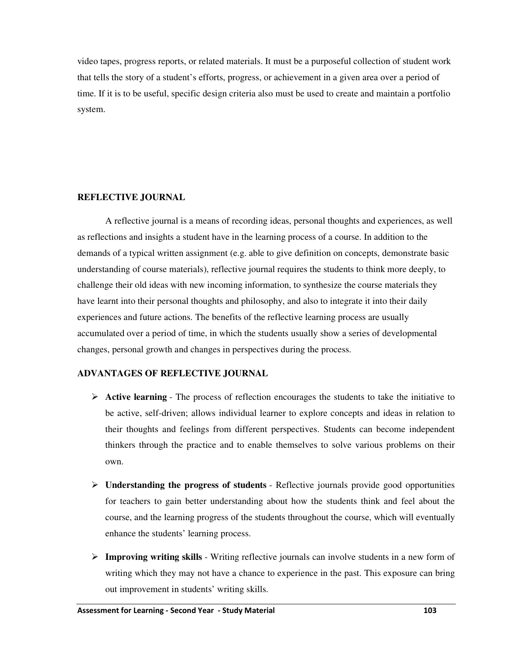video tapes, progress reports, or related materials. It must be a purposeful collection of student work that tells the story of a student's efforts, progress, or achievement in a given area over a period of time. If it is to be useful, specific design criteria also must be used to create and maintain a portfolio system.

### **REFLECTIVE JOURNAL**

A reflective journal is a means of recording ideas, personal thoughts and experiences, as well as reflections and insights a student have in the learning process of a course. In addition to the demands of a typical written assignment (e.g. able to give definition on concepts, demonstrate basic understanding of course materials), reflective journal requires the students to think more deeply, to challenge their old ideas with new incoming information, to synthesize the course materials they have learnt into their personal thoughts and philosophy, and also to integrate it into their daily experiences and future actions. The benefits of the reflective learning process are usually accumulated over a period of time, in which the students usually show a series of developmental changes, personal growth and changes in perspectives during the process.

### **ADVANTAGES OF REFLECTIVE JOURNAL**

- > Active learning The process of reflection encourages the students to take the initiative to be active, self-driven; allows individual learner to explore concepts and ideas in relation to their thoughts and feelings from different perspectives. Students can become independent thinkers through the practice and to enable themselves to solve various problems on their own.
- **Understanding the progress of students** Reflective journals provide good opportunities for teachers to gain better understanding about how the students think and feel about the course, and the learning progress of the students throughout the course, which will eventually enhance the students' learning process.
- > Improving writing skills Writing reflective journals can involve students in a new form of writing which they may not have a chance to experience in the past. This exposure can bring out improvement in students' writing skills.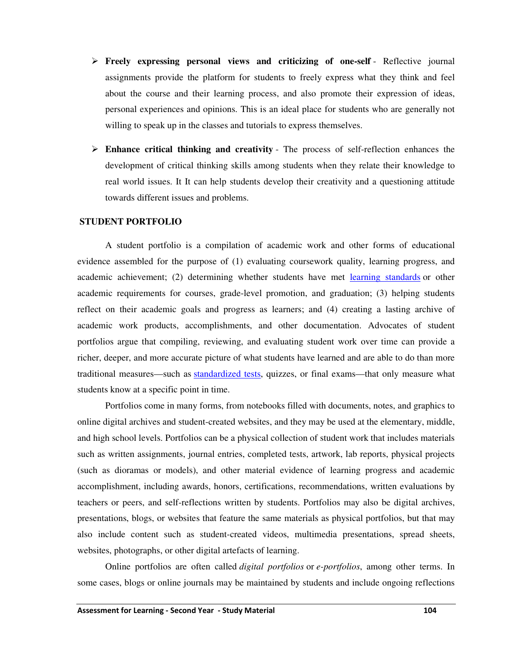- **Freely expressing personal views and criticizing of one-self** Reflective journal assignments provide the platform for students to freely express what they think and feel about the course and their learning process, and also promote their expression of ideas, personal experiences and opinions. This is an ideal place for students who are generally not willing to speak up in the classes and tutorials to express themselves.
- **Enhance critical thinking and creativity** The process of self-reflection enhances the development of critical thinking skills among students when they relate their knowledge to real world issues. It It can help students develop their creativity and a questioning attitude towards different issues and problems.

#### **STUDENT PORTFOLIO**

A student portfolio is a compilation of academic work and other forms of educational evidence assembled for the purpose of (1) evaluating coursework quality, learning progress, and academic achievement; (2) determining whether students have met learning standards or other academic requirements for courses, grade-level promotion, and graduation; (3) helping students reflect on their academic goals and progress as learners; and (4) creating a lasting archive of academic work products, accomplishments, and other documentation. Advocates of student portfolios argue that compiling, reviewing, and evaluating student work over time can provide a richer, deeper, and more accurate picture of what students have learned and are able to do than more traditional measures—such as standardized tests, quizzes, or final exams—that only measure what students know at a specific point in time.

Portfolios come in many forms, from notebooks filled with documents, notes, and graphics to online digital archives and student-created websites, and they may be used at the elementary, middle, and high school levels. Portfolios can be a physical collection of student work that includes materials such as written assignments, journal entries, completed tests, artwork, lab reports, physical projects (such as dioramas or models), and other material evidence of learning progress and academic accomplishment, including awards, honors, certifications, recommendations, written evaluations by teachers or peers, and self-reflections written by students. Portfolios may also be digital archives, presentations, blogs, or websites that feature the same materials as physical portfolios, but that may also include content such as student-created videos, multimedia presentations, spread sheets, websites, photographs, or other digital artefacts of learning.

Online portfolios are often called *digital portfolios* or *e-portfolios*, among other terms. In some cases, blogs or online journals may be maintained by students and include ongoing reflections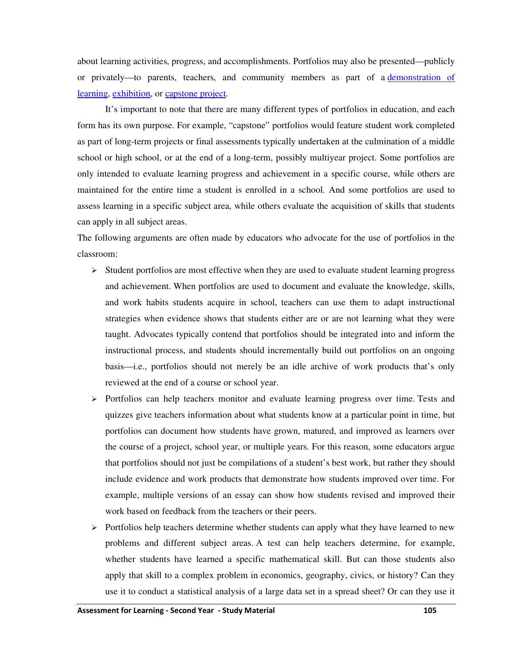about learning activities, progress, and accomplishments. Portfolios may also be presented—publicly or privately—to parents, teachers, and community members as part of a demonstration of learning, exhibition, or capstone project.

It's important to note that there are many different types of portfolios in education, and each form has its own purpose. For example, "capstone" portfolios would feature student work completed as part of long-term projects or final assessments typically undertaken at the culmination of a middle school or high school, or at the end of a long-term, possibly multiyear project. Some portfolios are only intended to evaluate learning progress and achievement in a specific course, while others are maintained for the entire time a student is enrolled in a school. And some portfolios are used to assess learning in a specific subject area, while others evaluate the acquisition of skills that students can apply in all subject areas.

The following arguments are often made by educators who advocate for the use of portfolios in the classroom:

- > Student portfolios are most effective when they are used to evaluate student learning progress and achievement. When portfolios are used to document and evaluate the knowledge, skills, and work habits students acquire in school, teachers can use them to adapt instructional strategies when evidence shows that students either are or are not learning what they were taught. Advocates typically contend that portfolios should be integrated into and inform the instructional process, and students should incrementally build out portfolios on an ongoing basis—i.e., portfolios should not merely be an idle archive of work products that's only reviewed at the end of a course or school year.
- > Portfolios can help teachers monitor and evaluate learning progress over time. Tests and quizzes give teachers information about what students know at a particular point in time, but portfolios can document how students have grown, matured, and improved as learners over the course of a project, school year, or multiple years. For this reason, some educators argue that portfolios should not just be compilations of a student's best work, but rather they should include evidence and work products that demonstrate how students improved over time. For example, multiple versions of an essay can show how students revised and improved their work based on feedback from the teachers or their peers.
- > Portfolios help teachers determine whether students can apply what they have learned to new problems and different subject areas. A test can help teachers determine, for example, whether students have learned a specific mathematical skill. But can those students also apply that skill to a complex problem in economics, geography, civics, or history? Can they use it to conduct a statistical analysis of a large data set in a spread sheet? Or can they use it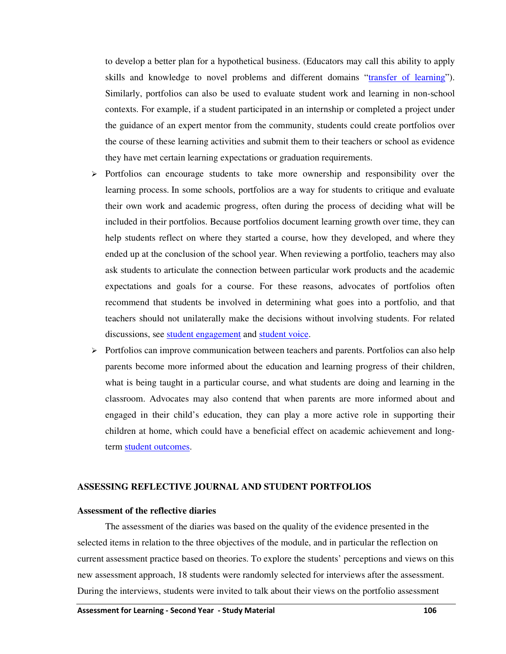to develop a better plan for a hypothetical business. (Educators may call this ability to apply skills and knowledge to novel problems and different domains "transfer of learning"). Similarly, portfolios can also be used to evaluate student work and learning in non-school contexts. For example, if a student participated in an internship or completed a project under the guidance of an expert mentor from the community, students could create portfolios over the course of these learning activities and submit them to their teachers or school as evidence they have met certain learning expectations or graduation requirements.

- > Portfolios can encourage students to take more ownership and responsibility over the learning process. In some schools, portfolios are a way for students to critique and evaluate their own work and academic progress, often during the process of deciding what will be included in their portfolios. Because portfolios document learning growth over time, they can help students reflect on where they started a course, how they developed, and where they ended up at the conclusion of the school year. When reviewing a portfolio, teachers may also ask students to articulate the connection between particular work products and the academic expectations and goals for a course. For these reasons, advocates of portfolios often recommend that students be involved in determining what goes into a portfolio, and that teachers should not unilaterally make the decisions without involving students. For related discussions, see student engagement and student voice.
- > Portfolios can improve communication between teachers and parents. Portfolios can also help parents become more informed about the education and learning progress of their children, what is being taught in a particular course, and what students are doing and learning in the classroom. Advocates may also contend that when parents are more informed about and engaged in their child's education, they can play a more active role in supporting their children at home, which could have a beneficial effect on academic achievement and longterm student outcomes.

### **ASSESSING REFLECTIVE JOURNAL AND STUDENT PORTFOLIOS**

#### **Assessment of the reflective diaries**

The assessment of the diaries was based on the quality of the evidence presented in the selected items in relation to the three objectives of the module, and in particular the reflection on current assessment practice based on theories. To explore the students' perceptions and views on this new assessment approach, 18 students were randomly selected for interviews after the assessment. During the interviews, students were invited to talk about their views on the portfolio assessment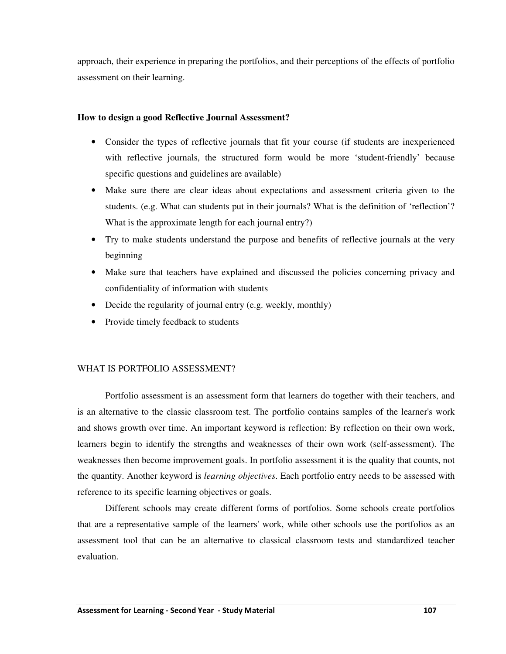approach, their experience in preparing the portfolios, and their perceptions of the effects of portfolio assessment on their learning.

### **How to design a good Reflective Journal Assessment?**

- Consider the types of reflective journals that fit your course (if students are inexperienced with reflective journals, the structured form would be more 'student-friendly' because specific questions and guidelines are available)
- Make sure there are clear ideas about expectations and assessment criteria given to the students. (e.g. What can students put in their journals? What is the definition of 'reflection'? What is the approximate length for each journal entry?)
- Try to make students understand the purpose and benefits of reflective journals at the very beginning
- Make sure that teachers have explained and discussed the policies concerning privacy and confidentiality of information with students
- Decide the regularity of journal entry (e.g. weekly, monthly)
- Provide timely feedback to students

## WHAT IS PORTFOLIO ASSESSMENT?

Portfolio assessment is an assessment form that learners do together with their teachers, and is an alternative to the classic classroom test. The portfolio contains samples of the learner's work and shows growth over time. An important keyword is reflection: By reflection on their own work, learners begin to identify the strengths and weaknesses of their own work (self-assessment). The weaknesses then become improvement goals. In portfolio assessment it is the quality that counts, not the quantity. Another keyword is *learning objectives*. Each portfolio entry needs to be assessed with reference to its specific learning objectives or goals.

Different schools may create different forms of portfolios. Some schools create portfolios that are a representative sample of the learners' work, while other schools use the portfolios as an assessment tool that can be an alternative to classical classroom tests and standardized teacher evaluation.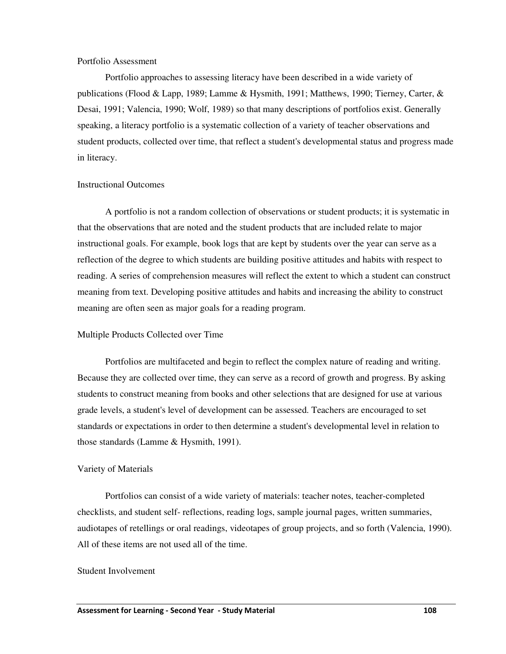#### Portfolio Assessment

Portfolio approaches to assessing literacy have been described in a wide variety of publications (Flood & Lapp, 1989; Lamme & Hysmith, 1991; Matthews, 1990; Tierney, Carter, & Desai, 1991; Valencia, 1990; Wolf, 1989) so that many descriptions of portfolios exist. Generally speaking, a literacy portfolio is a systematic collection of a variety of teacher observations and student products, collected over time, that reflect a student's developmental status and progress made in literacy.

#### Instructional Outcomes

A portfolio is not a random collection of observations or student products; it is systematic in that the observations that are noted and the student products that are included relate to major instructional goals. For example, book logs that are kept by students over the year can serve as a reflection of the degree to which students are building positive attitudes and habits with respect to reading. A series of comprehension measures will reflect the extent to which a student can construct meaning from text. Developing positive attitudes and habits and increasing the ability to construct meaning are often seen as major goals for a reading program.

#### Multiple Products Collected over Time

Portfolios are multifaceted and begin to reflect the complex nature of reading and writing. Because they are collected over time, they can serve as a record of growth and progress. By asking students to construct meaning from books and other selections that are designed for use at various grade levels, a student's level of development can be assessed. Teachers are encouraged to set standards or expectations in order to then determine a student's developmental level in relation to those standards (Lamme & Hysmith, 1991).

#### Variety of Materials

Portfolios can consist of a wide variety of materials: teacher notes, teacher-completed checklists, and student self- reflections, reading logs, sample journal pages, written summaries, audiotapes of retellings or oral readings, videotapes of group projects, and so forth (Valencia, 1990). All of these items are not used all of the time.

#### Student Involvement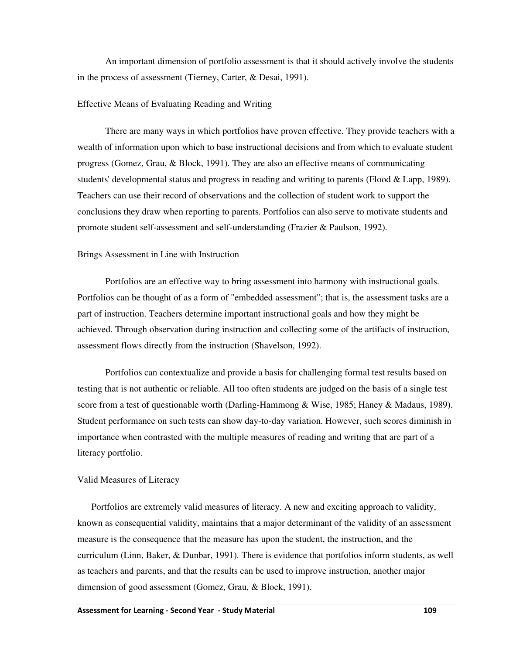An important dimension of portfolio assessment is that it should actively involve the students in the process of assessment (Tierney, Carter, & Desai, 1991).

### Effective Means of Evaluating Reading and Writing

There are many ways in which portfolios have proven effective. They provide teachers with a wealth of information upon which to base instructional decisions and from which to evaluate student progress (Gomez, Grau, & Block, 1991). They are also an effective means of communicating students' developmental status and progress in reading and writing to parents (Flood & Lapp, 1989). Teachers can use their record of observations and the collection of student work to support the conclusions they draw when reporting to parents. Portfolios can also serve to motivate students and promote student self-assessment and self-understanding (Frazier & Paulson, 1992).

### Brings Assessment in Line with Instruction

Portfolios are an effective way to bring assessment into harmony with instructional goals. Portfolios can be thought of as a form of "embedded assessment"; that is, the assessment tasks are a part of instruction. Teachers determine important instructional goals and how they might be achieved. Through observation during instruction and collecting some of the artifacts of instruction, assessment flows directly from the instruction (Shavelson, 1992).

Portfolios can contextualize and provide a basis for challenging formal test results based on testing that is not authentic or reliable. All too often students are judged on the basis of a single test score from a test of questionable worth (Darling-Hammong & Wise, 1985; Haney & Madaus, 1989). Student performance on such tests can show day-to-day variation. However, such scores diminish in importance when contrasted with the multiple measures of reading and writing that are part of a literacy portfolio.

#### Valid Measures of Literacy

Portfolios are extremely valid measures of literacy. A new and exciting approach to validity, known as consequential validity, maintains that a major determinant of the validity of an assessment measure is the consequence that the measure has upon the student, the instruction, and the curriculum (Linn, Baker, & Dunbar, 1991). There is evidence that portfolios inform students, as well as teachers and parents, and that the results can be used to improve instruction, another major dimension of good assessment (Gomez, Grau, & Block, 1991).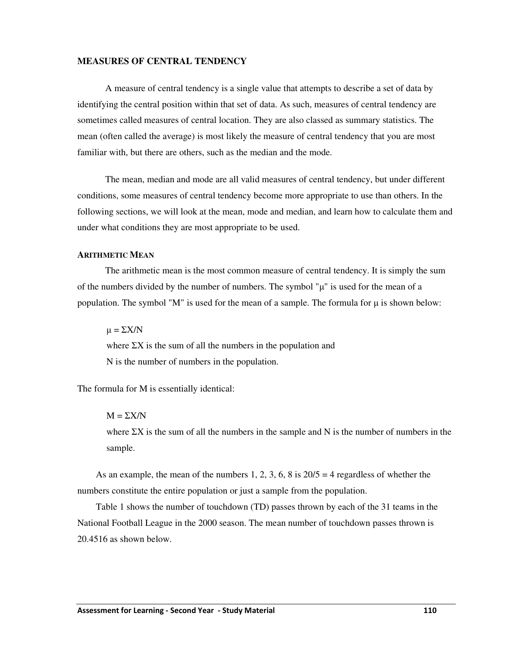### **MEASURES OF CENTRAL TENDENCY**

A measure of central tendency is a single value that attempts to describe a set of data by identifying the central position within that set of data. As such, measures of central tendency are sometimes called measures of central location. They are also classed as summary statistics. The mean (often called the average) is most likely the measure of central tendency that you are most familiar with, but there are others, such as the median and the mode.

The mean, median and mode are all valid measures of central tendency, but under different conditions, some measures of central tendency become more appropriate to use than others. In the following sections, we will look at the mean, mode and median, and learn how to calculate them and under what conditions they are most appropriate to be used.

### **ARITHMETIC MEAN**

The arithmetic mean is the most common measure of central tendency. It is simply the sum of the numbers divided by the number of numbers. The symbol " $\mu$ " is used for the mean of a population. The symbol "M" is used for the mean of a sample. The formula for  $\mu$  is shown below:

 $\mu = \Sigma X/N$ where  $\Sigma X$  is the sum of all the numbers in the population and N is the number of numbers in the population.

The formula for M is essentially identical:

 $M = \Sigma X/N$ where  $\Sigma X$  is the sum of all the numbers in the sample and N is the number of numbers in the sample.

As an example, the mean of the numbers 1, 2, 3, 6, 8 is  $20/5 = 4$  regardless of whether the numbers constitute the entire population or just a sample from the population.

Table 1 shows the number of touchdown (TD) passes thrown by each of the 31 teams in the National Football League in the 2000 season. The mean number of touchdown passes thrown is 20.4516 as shown below.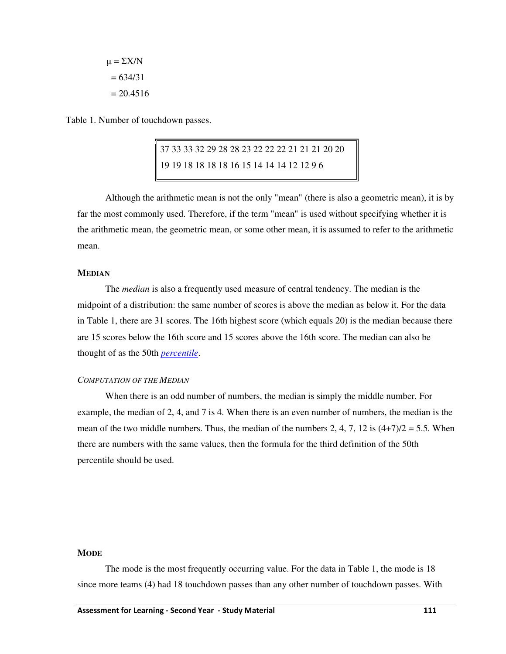$\mu = \Sigma X/N$  $= 634/31$  $= 20.4516$ 

Table 1. Number of touchdown passes.

37 33 33 32 29 28 28 23 22 22 22 21 21 21 20 20 19 19 18 18 18 18 16 15 14 14 14 12 12 9 6

Although the arithmetic mean is not the only "mean" (there is also a geometric mean), it is by far the most commonly used. Therefore, if the term "mean" is used without specifying whether it is the arithmetic mean, the geometric mean, or some other mean, it is assumed to refer to the arithmetic mean.

### **MEDIAN**

The *median* is also a frequently used measure of central tendency. The median is the midpoint of a distribution: the same number of scores is above the median as below it. For the data in Table 1, there are 31 scores. The 16th highest score (which equals 20) is the median because there are 15 scores below the 16th score and 15 scores above the 16th score. The median can also be thought of as the 50th *percentile*.

#### *COMPUTATION OF THE MEDIAN*

When there is an odd number of numbers, the median is simply the middle number. For example, the median of 2, 4, and 7 is 4. When there is an even number of numbers, the median is the mean of the two middle numbers. Thus, the median of the numbers 2, 4, 7, 12 is  $(4+7)/2 = 5.5$ . When there are numbers with the same values, then the formula for the third definition of the 50th percentile should be used.

#### **MODE**

The mode is the most frequently occurring value. For the data in Table 1, the mode is 18 since more teams (4) had 18 touchdown passes than any other number of touchdown passes. With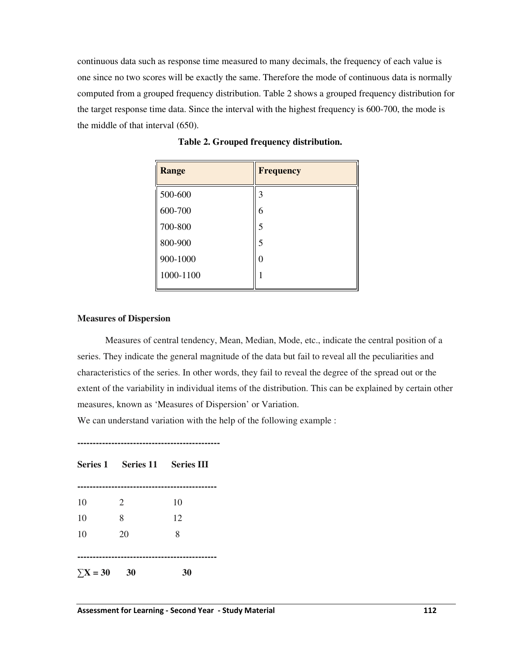continuous data such as response time measured to many decimals, the frequency of each value is one since no two scores will be exactly the same. Therefore the mode of continuous data is normally computed from a grouped frequency distribution. Table 2 shows a grouped frequency distribution for the target response time data. Since the interval with the highest frequency is 600-700, the mode is the middle of that interval (650).

| <b>Range</b> | <b>Frequency</b>  |
|--------------|-------------------|
| 500-600      | 3                 |
| 600-700      | 6                 |
| 700-800      | 5                 |
| 800-900      | 5                 |
| 900-1000     | $\mathbf{\Omega}$ |
| 1000-1100    |                   |

**Table 2. Grouped frequency distribution.** 

### **Measures of Dispersion**

Measures of central tendency, Mean, Median, Mode, etc., indicate the central position of a series. They indicate the general magnitude of the data but fail to reveal all the peculiarities and characteristics of the series. In other words, they fail to reveal the degree of the spread out or the extent of the variability in individual items of the distribution. This can be explained by certain other measures, known as 'Measures of Dispersion' or Variation.

We can understand variation with the help of the following example :

**Series 1 Series 11 Series III ---------------------------------------------** 10 2 10 10 8 12 10 20 8 **---------------------------------------------**  $\sum X = 30$  30 30

**----------------------------------------------**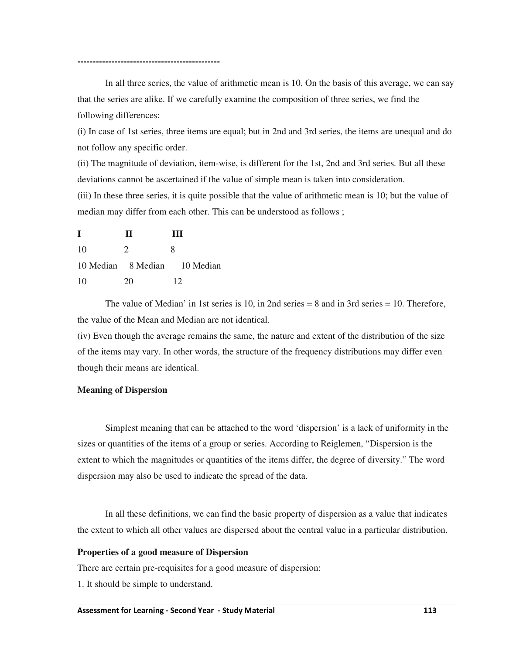**----------------------------------------------**

In all three series, the value of arithmetic mean is 10. On the basis of this average, we can say that the series are alike. If we carefully examine the composition of three series, we find the following differences:

(i) In case of 1st series, three items are equal; but in 2nd and 3rd series, the items are unequal and do not follow any specific order.

(ii) The magnitude of deviation, item-wise, is different for the 1st, 2nd and 3rd series. But all these deviations cannot be ascertained if the value of simple mean is taken into consideration.

(iii) In these three series, it is quite possible that the value of arithmetic mean is 10; but the value of median may differ from each other. This can be understood as follows ;

| T  | п  | Ш                            |
|----|----|------------------------------|
| 10 | 2  | 8                            |
|    |    | 10 Median 8 Median 10 Median |
| 10 | 20 | 12                           |

The value of Median' in 1st series is 10, in 2nd series = 8 and in 3rd series = 10. Therefore, the value of the Mean and Median are not identical.

(iv) Even though the average remains the same, the nature and extent of the distribution of the size of the items may vary. In other words, the structure of the frequency distributions may differ even though their means are identical.

#### **Meaning of Dispersion**

Simplest meaning that can be attached to the word 'dispersion' is a lack of uniformity in the sizes or quantities of the items of a group or series. According to Reiglemen, "Dispersion is the extent to which the magnitudes or quantities of the items differ, the degree of diversity." The word dispersion may also be used to indicate the spread of the data.

In all these definitions, we can find the basic property of dispersion as a value that indicates the extent to which all other values are dispersed about the central value in a particular distribution.

#### **Properties of a good measure of Dispersion**

There are certain pre-requisites for a good measure of dispersion:

1. It should be simple to understand.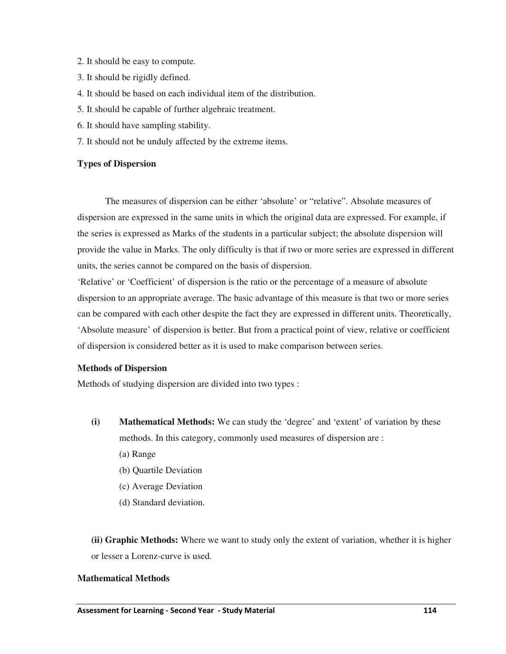- 2. It should be easy to compute.
- 3. It should be rigidly defined.
- 4. It should be based on each individual item of the distribution.
- 5. It should be capable of further algebraic treatment.
- 6. It should have sampling stability.
- 7. It should not be unduly affected by the extreme items.

### **Types of Dispersion**

The measures of dispersion can be either 'absolute' or "relative". Absolute measures of dispersion are expressed in the same units in which the original data are expressed. For example, if the series is expressed as Marks of the students in a particular subject; the absolute dispersion will provide the value in Marks. The only difficulty is that if two or more series are expressed in different units, the series cannot be compared on the basis of dispersion.

'Relative' or 'Coefficient' of dispersion is the ratio or the percentage of a measure of absolute dispersion to an appropriate average. The basic advantage of this measure is that two or more series can be compared with each other despite the fact they are expressed in different units. Theoretically, 'Absolute measure' of dispersion is better. But from a practical point of view, relative or coefficient of dispersion is considered better as it is used to make comparison between series.

### **Methods of Dispersion**

Methods of studying dispersion are divided into two types :

- **(i) Mathematical Methods:** We can study the 'degree' and 'extent' of variation by these methods. In this category, commonly used measures of dispersion are :
	- (a) Range
	- (b) Quartile Deviation
	- (c) Average Deviation
	- (d) Standard deviation.

**(ii) Graphic Methods:** Where we want to study only the extent of variation, whether it is higher or lesser a Lorenz-curve is used.

### **Mathematical Methods**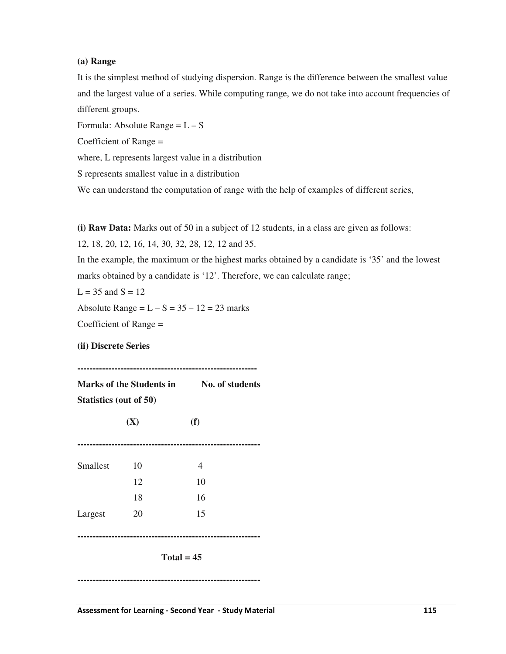### **(a) Range**

It is the simplest method of studying dispersion. Range is the difference between the smallest value and the largest value of a series. While computing range, we do not take into account frequencies of different groups.

Formula: Absolute Range  $= L - S$ 

Coefficient of Range =

where, L represents largest value in a distribution

S represents smallest value in a distribution

We can understand the computation of range with the help of examples of different series,

**(i) Raw Data:** Marks out of 50 in a subject of 12 students, in a class are given as follows:

12, 18, 20, 12, 16, 14, 30, 32, 28, 12, 12 and 35.

In the example, the maximum or the highest marks obtained by a candidate is '35' and the lowest marks obtained by a candidate is '12'. Therefore, we can calculate range;

 $L = 35$  and  $S = 12$ 

Absolute Range =  $L - S = 35 - 12 = 23$  marks

Coefficient of Range =

**(ii) Discrete Series**

**---------------------------------------------------------- Marks of the Students in No. of students** 

**Statistics (out of 50)**

 **(X) (f) -----------------------------------------------------------** Smallest 10 4 12 10 18 16 Largest 20 15 **----------------------------------------------------------- Total = 45 -----------------------------------------------------------**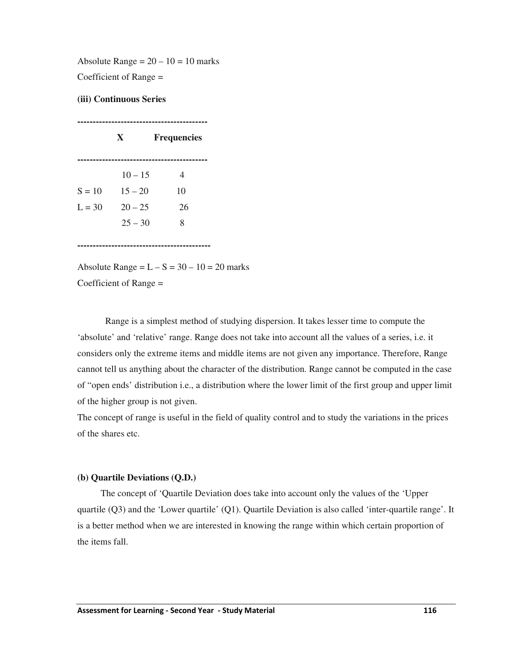Absolute Range =  $20 - 10 = 10$  marks Coefficient of Range =

#### **(iii) Continuous Series**

**------------------------------------------**

#### **X Frequencies**

|          | $10 - 15$ | 4  |
|----------|-----------|----|
| $S = 10$ | $15 - 20$ | 10 |
| $L = 30$ | $20 - 25$ | 26 |
|          | $25 - 30$ | x  |

**-------------------------------------------**

Absolute Range =  $L - S = 30 - 10 = 20$  marks Coefficient of Range =

Range is a simplest method of studying dispersion. It takes lesser time to compute the 'absolute' and 'relative' range. Range does not take into account all the values of a series, i.e. it considers only the extreme items and middle items are not given any importance. Therefore, Range cannot tell us anything about the character of the distribution. Range cannot be computed in the case of "open ends' distribution i.e., a distribution where the lower limit of the first group and upper limit of the higher group is not given.

The concept of range is useful in the field of quality control and to study the variations in the prices of the shares etc.

### **(b) Quartile Deviations (Q.D.)**

 The concept of 'Quartile Deviation does take into account only the values of the 'Upper quartile (Q3) and the 'Lower quartile' (Q1). Quartile Deviation is also called 'inter-quartile range'. It is a better method when we are interested in knowing the range within which certain proportion of the items fall.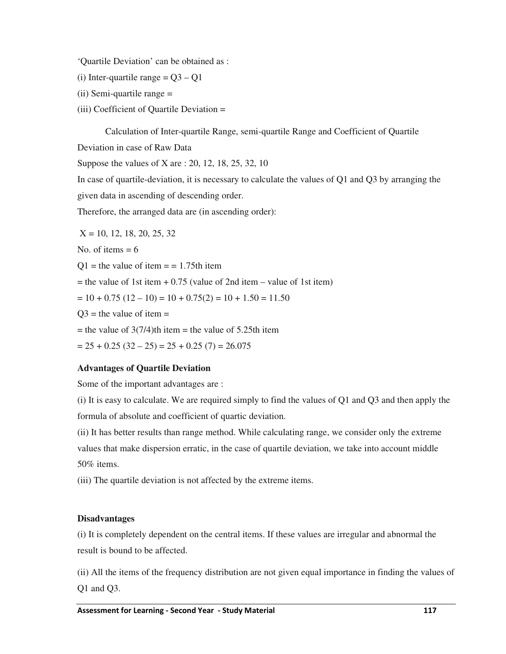'Quartile Deviation' can be obtained as :

- (i) Inter-quartile range  $= Q3 Q1$
- (ii) Semi-quartile range =

(iii) Coefficient of Quartile Deviation =

Calculation of Inter-quartile Range, semi-quartile Range and Coefficient of Quartile Deviation in case of Raw Data Suppose the values of X are : 20, 12, 18, 25, 32, 10 In case of quartile-deviation, it is necessary to calculate the values of Q1 and Q3 by arranging the given data in ascending of descending order. Therefore, the arranged data are (in ascending order):

X = 10, 12, 18, 20, 25, 32

No. of items  $= 6$ 

 $Q1$  = the value of item = = 1.75th item

 $=$  the value of 1st item  $+ 0.75$  (value of 2nd item – value of 1st item)

 $= 10 + 0.75 (12 - 10) = 10 + 0.75(2) = 10 + 1.50 = 11.50$ 

 $Q3$  = the value of item =

= the value of  $3(7/4)$ th item = the value of 5.25th item

 $= 25 + 0.25 (32 - 25) = 25 + 0.25 (7) = 26.075$ 

# **Advantages of Quartile Deviation**

Some of the important advantages are :

(i) It is easy to calculate. We are required simply to find the values of Q1 and Q3 and then apply the formula of absolute and coefficient of quartic deviation.

(ii) It has better results than range method. While calculating range, we consider only the extreme values that make dispersion erratic, in the case of quartile deviation, we take into account middle 50% items.

(iii) The quartile deviation is not affected by the extreme items.

# **Disadvantages**

(i) It is completely dependent on the central items. If these values are irregular and abnormal the result is bound to be affected.

(ii) All the items of the frequency distribution are not given equal importance in finding the values of Q1 and Q3.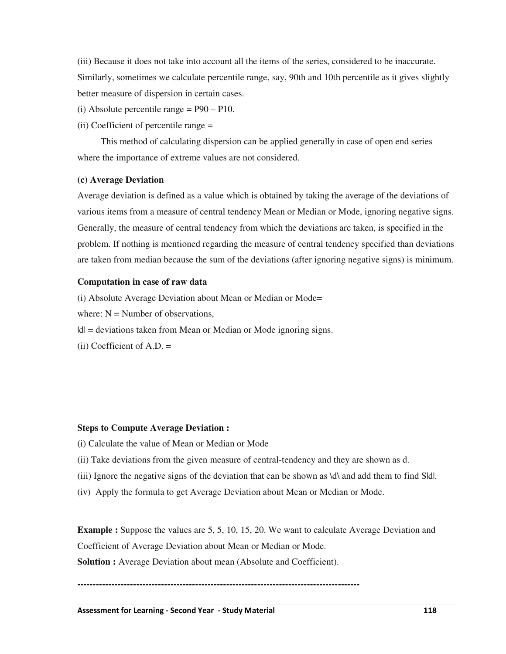(iii) Because it does not take into account all the items of the series, considered to be inaccurate. Similarly, sometimes we calculate percentile range, say, 90th and 10th percentile as it gives slightly better measure of dispersion in certain cases.

(i) Absolute percentile range  $= P90 - P10$ .

(ii) Coefficient of percentile range =

 This method of calculating dispersion can be applied generally in case of open end series where the importance of extreme values are not considered.

### **(c) Average Deviation**

Average deviation is defined as a value which is obtained by taking the average of the deviations of various items from a measure of central tendency Mean or Median or Mode, ignoring negative signs. Generally, the measure of central tendency from which the deviations arc taken, is specified in the problem. If nothing is mentioned regarding the measure of central tendency specified than deviations are taken from median because the sum of the deviations (after ignoring negative signs) is minimum.

### **Computation in case of raw data**

(i) Absolute Average Deviation about Mean or Median or Mode= where:  $N =$  Number of observations,  $|d|$  = deviations taken from Mean or Median or Mode ignoring signs.  $(ii)$  Coefficient of A.D.  $=$ 

#### **Steps to Compute Average Deviation :**

- (i) Calculate the value of Mean or Median or Mode
- (ii) Take deviations from the given measure of central-tendency and they are shown as d.
- (iii) Ignore the negative signs of the deviation that can be shown as \d\ and add them to find S|d|.
- (iv) Apply the formula to get Average Deviation about Mean or Median or Mode.

**Example :** Suppose the values are 5, 5, 10, 15, 20. We want to calculate Average Deviation and Coefficient of Average Deviation about Mean or Median or Mode.

**Solution :** Average Deviation about mean (Absolute and Coefficient).

**-------------------------------------------------------------------------------------------**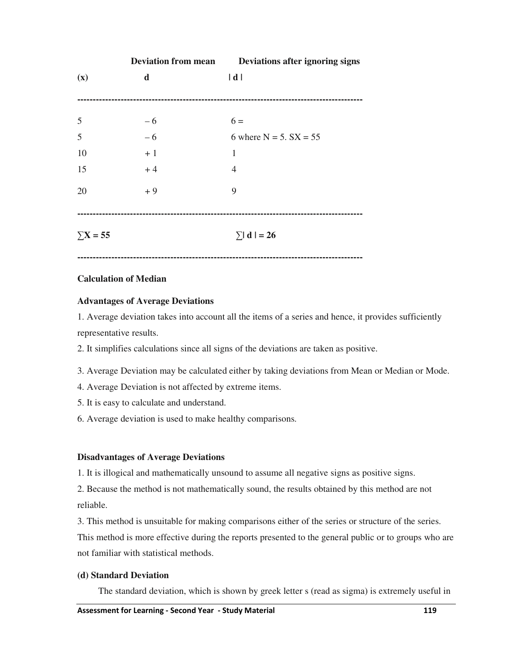|                 | <b>Deviation from mean</b> | Deviations after ignoring signs |
|-----------------|----------------------------|---------------------------------|
| $(\mathbf{x})$  | d                          | d                               |
|                 |                            |                                 |
| 5               | $-6$                       | $6=$                            |
| 5               | $-6$                       | 6 where $N = 5$ . $SX = 55$     |
| 10              | $+1$                       | 1                               |
| 15              | $+4$                       | $\overline{4}$                  |
| 20              | $+9$                       | 9                               |
|                 |                            |                                 |
| $\Sigma$ X = 55 |                            | $\sum$   d   = 26               |
|                 |                            |                                 |

### **Calculation of Median**

### **Advantages of Average Deviations**

1. Average deviation takes into account all the items of a series and hence, it provides sufficiently representative results.

2. It simplifies calculations since all signs of the deviations are taken as positive.

**--------------------------------------------------------------------------------------------**

3. Average Deviation may be calculated either by taking deviations from Mean or Median or Mode.

4. Average Deviation is not affected by extreme items.

5. It is easy to calculate and understand.

6. Average deviation is used to make healthy comparisons.

# **Disadvantages of Average Deviations**

1. It is illogical and mathematically unsound to assume all negative signs as positive signs.

2. Because the method is not mathematically sound, the results obtained by this method are not reliable.

3. This method is unsuitable for making comparisons either of the series or structure of the series.

This method is more effective during the reports presented to the general public or to groups who are not familiar with statistical methods.

# **(d) Standard Deviation**

The standard deviation, which is shown by greek letter s (read as sigma) is extremely useful in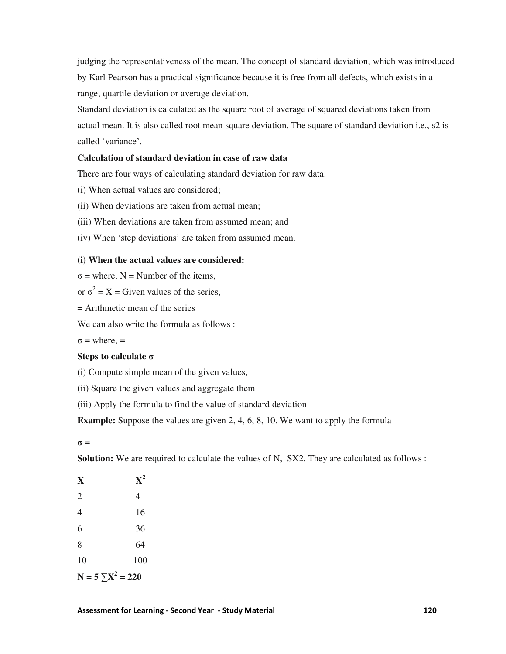judging the representativeness of the mean. The concept of standard deviation, which was introduced by Karl Pearson has a practical significance because it is free from all defects, which exists in a range, quartile deviation or average deviation.

Standard deviation is calculated as the square root of average of squared deviations taken from actual mean. It is also called root mean square deviation. The square of standard deviation i.e., s2 is called 'variance'.

### **Calculation of standard deviation in case of raw data**

There are four ways of calculating standard deviation for raw data:

- (i) When actual values are considered;
- (ii) When deviations are taken from actual mean;
- (iii) When deviations are taken from assumed mean; and
- (iv) When 'step deviations' are taken from assumed mean.

### **(i) When the actual values are considered:**

 $\sigma$  = where, N = Number of the items,

or  $\sigma^2 = X =$  Given values of the series,

 $=$  Arithmetic mean of the series

We can also write the formula as follows :

 $\sigma$  = where, =

### **Steps to calculate σ**

(i) Compute simple mean of the given values,

- (ii) Square the given values and aggregate them
- (iii) Apply the formula to find the value of standard deviation

**Example:** Suppose the values are given 2, 4, 6, 8, 10. We want to apply the formula

**σ** =

**Solution:** We are required to calculate the values of N, SX2. They are calculated as follows :

| $\mathbf X$            | $\mathbf{X}^2$ |
|------------------------|----------------|
| $\overline{2}$         | 4              |
| 4                      | 16             |
| 6                      | 36             |
| 8                      | 64             |
| 10                     | 100            |
| $N = 5 \sum X^2 = 220$ |                |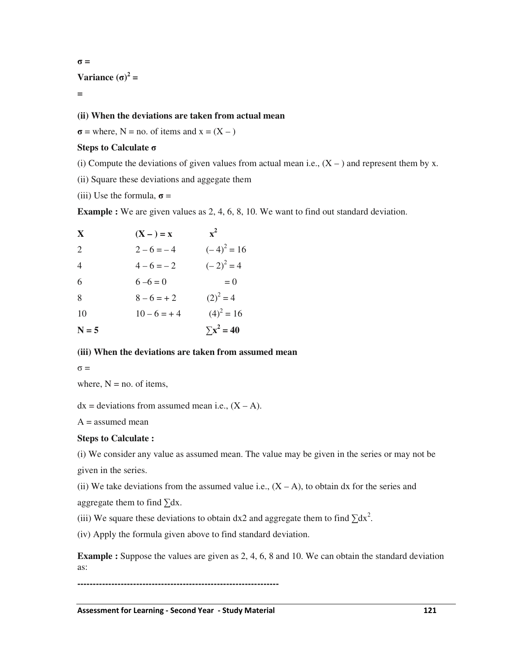**σ = Variance**  $(σ)^2 =$ **=**

### **(ii) When the deviations are taken from actual mean**

 $\sigma$  = where, N = no. of items and  $x = (X - )$ 

# **Steps to Calculate σ**

(i) Compute the deviations of given values from actual mean i.e.,  $(X - )$  and represent them by x.

(ii) Square these deviations and aggegate them

(iii) Use the formula,  $\sigma$  =

**Example :** We are given values as 2, 4, 6, 8, 10. We want to find out standard deviation.

| X              | $(X - ) = x$ | $\mathbf{x}^2$    |
|----------------|--------------|-------------------|
| $\overline{2}$ | $2-6=-4$     | $(-4)^2 = 16$     |
| $\overline{4}$ | $4-6=-2$     | $(-2)^2 = 4$      |
| 6              | $6 - 6 = 0$  | $= 0$             |
| 8              | $8-6=+2$     | $(2)^2 = 4$       |
| 10             | $10-6=+4$    | $(4)^{2} = 16$    |
| $N = 5$        |              | $\Sigma x^2 = 40$ |

# **(iii) When the deviations are taken from assumed mean**

 $\sigma =$ 

where,  $N = no$ . of items,

 $dx =$  deviations from assumed mean i.e.,  $(X - A)$ .

 $A =$  assumed mean

# **Steps to Calculate :**

(i) We consider any value as assumed mean. The value may be given in the series or may not be given in the series.

(ii) We take deviations from the assumed value i.e.,  $(X - A)$ , to obtain dx for the series and

aggregate them to find  $\sum dx$ .

(iii) We square these deviations to obtain dx2 and aggregate them to find  $\sum dx^2$ .

(iv) Apply the formula given above to find standard deviation.

**Example :** Suppose the values are given as 2, 4, 6, 8 and 10. We can obtain the standard deviation as:

**-----------------------------------------------------------------**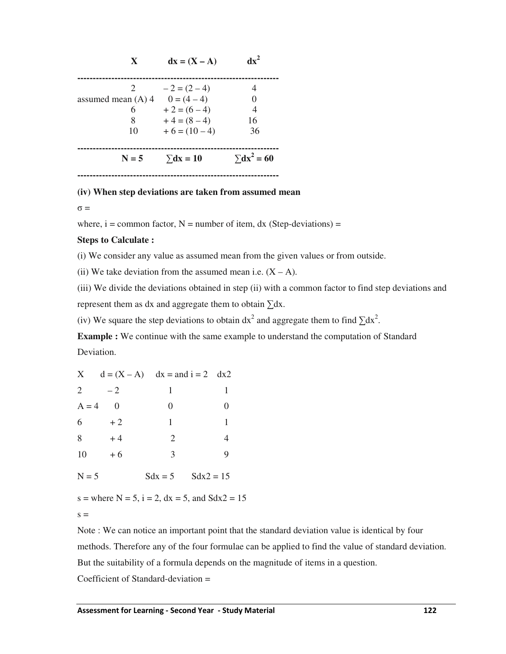| $\mathbf X$           | $dx = (X - A)$   | $\mathbf{dv}^2$    |
|-----------------------|------------------|--------------------|
| $\mathcal{D}_{\cdot}$ | $-2 = (2 - 4)$   | 4                  |
| assumed mean $(A)$ 4  | $0 = (4 - 4)$    | 0                  |
| 6                     | $+2 = (6 - 4)$   | 4                  |
| 8                     | $+4 = (8 - 4)$   | 16                 |
| 10                    | $+6 = (10 - 4)$  | 36                 |
| $N = 5$               | $\Sigma dx = 10$ | $\Sigma dx^2 = 60$ |

**(iv) When step deviations are taken from assumed mean**

 $\sigma =$ 

where,  $i =$  common factor,  $N =$  number of item, dx (Step-deviations) =

#### **Steps to Calculate :**

(i) We consider any value as assumed mean from the given values or from outside.

(ii) We take deviation from the assumed mean i.e.  $(X - A)$ .

(iii) We divide the deviations obtained in step (ii) with a common factor to find step deviations and represent them as dx and aggregate them to obtain  $\sum dx$ .

(iv) We square the step deviations to obtain  $dx^2$  and aggregate them to find  $\sum dx^2$ .

**Example :** We continue with the same example to understand the computation of Standard Deviation.

| X              |      | $d = (X - A)$ $dx = and i = 2 dx2$ |                |
|----------------|------|------------------------------------|----------------|
| $\overline{2}$ | $-2$ | 1                                  | 1              |
| $A = 4$        | 0    | 0                                  | 0              |
| 6              | $+2$ | 1                                  | 1              |
| 8              | $+4$ | $\overline{2}$                     | $\overline{4}$ |
| 10             | $+6$ | 3                                  | 9              |
| $N = 5$        |      | $Sdx = 5$                          | $Sdx2 = 15$    |

$$
s =
$$
 where N = 5, i = 2, dx = 5, and Sdx2 = 15

Note : We can notice an important point that the standard deviation value is identical by four

methods. Therefore any of the four formulae can be applied to find the value of standard deviation.

But the suitability of a formula depends on the magnitude of items in a question.

Coefficient of Standard-deviation =

 $s =$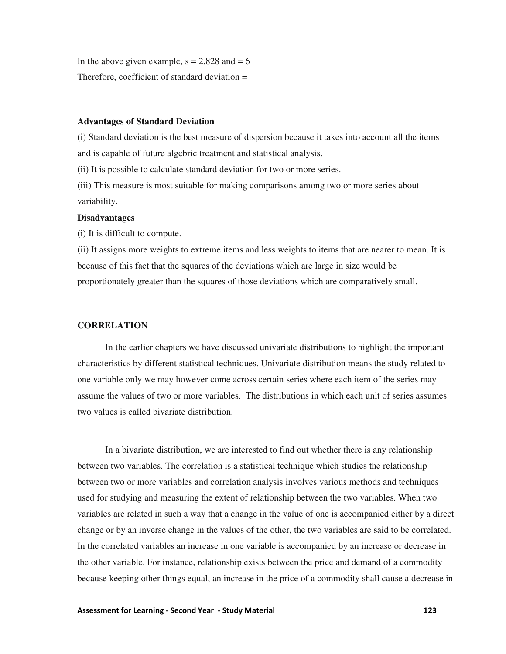In the above given example,  $s = 2.828$  and  $= 6$ Therefore, coefficient of standard deviation =

#### **Advantages of Standard Deviation**

(i) Standard deviation is the best measure of dispersion because it takes into account all the items and is capable of future algebric treatment and statistical analysis.

(ii) It is possible to calculate standard deviation for two or more series.

(iii) This measure is most suitable for making comparisons among two or more series about variability.

### **Disadvantages**

(i) It is difficult to compute.

(ii) It assigns more weights to extreme items and less weights to items that are nearer to mean. It is because of this fact that the squares of the deviations which are large in size would be proportionately greater than the squares of those deviations which are comparatively small.

### **CORRELATION**

In the earlier chapters we have discussed univariate distributions to highlight the important characteristics by different statistical techniques. Univariate distribution means the study related to one variable only we may however come across certain series where each item of the series may assume the values of two or more variables. The distributions in which each unit of series assumes two values is called bivariate distribution.

In a bivariate distribution, we are interested to find out whether there is any relationship between two variables. The correlation is a statistical technique which studies the relationship between two or more variables and correlation analysis involves various methods and techniques used for studying and measuring the extent of relationship between the two variables. When two variables are related in such a way that a change in the value of one is accompanied either by a direct change or by an inverse change in the values of the other, the two variables are said to be correlated. In the correlated variables an increase in one variable is accompanied by an increase or decrease in the other variable. For instance, relationship exists between the price and demand of a commodity because keeping other things equal, an increase in the price of a commodity shall cause a decrease in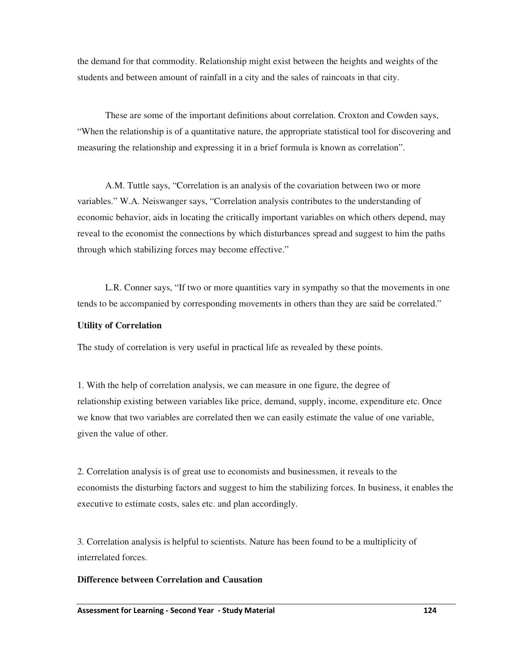the demand for that commodity. Relationship might exist between the heights and weights of the students and between amount of rainfall in a city and the sales of raincoats in that city.

These are some of the important definitions about correlation. Croxton and Cowden says, "When the relationship is of a quantitative nature, the appropriate statistical tool for discovering and measuring the relationship and expressing it in a brief formula is known as correlation".

A.M. Tuttle says, "Correlation is an analysis of the covariation between two or more variables." W.A. Neiswanger says, "Correlation analysis contributes to the understanding of economic behavior, aids in locating the critically important variables on which others depend, may reveal to the economist the connections by which disturbances spread and suggest to him the paths through which stabilizing forces may become effective."

L.R. Conner says, "If two or more quantities vary in sympathy so that the movements in one tends to be accompanied by corresponding movements in others than they are said be correlated."

### **Utility of Correlation**

The study of correlation is very useful in practical life as revealed by these points.

1. With the help of correlation analysis, we can measure in one figure, the degree of relationship existing between variables like price, demand, supply, income, expenditure etc. Once we know that two variables are correlated then we can easily estimate the value of one variable, given the value of other.

2. Correlation analysis is of great use to economists and businessmen, it reveals to the economists the disturbing factors and suggest to him the stabilizing forces. In business, it enables the executive to estimate costs, sales etc. and plan accordingly.

3. Correlation analysis is helpful to scientists. Nature has been found to be a multiplicity of interrelated forces.

# **Difference between Correlation and Causation**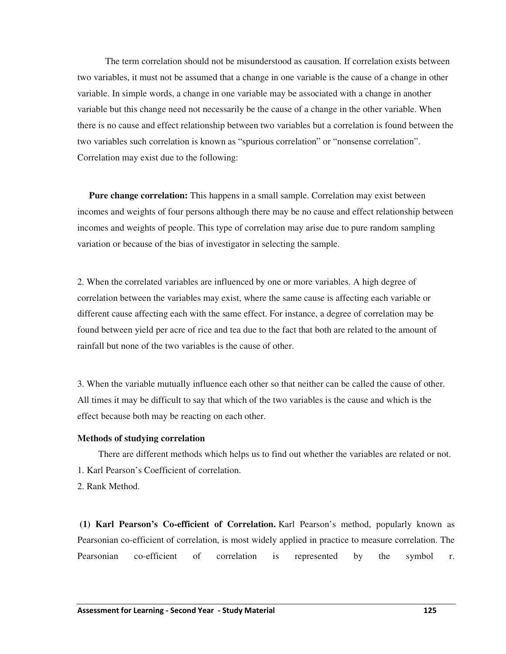The term correlation should not be misunderstood as causation. If correlation exists between two variables, it must not be assumed that a change in one variable is the cause of a change in other variable. In simple words, a change in one variable may be associated with a change in another variable but this change need not necessarily be the cause of a change in the other variable. When there is no cause and effect relationship between two variables but a correlation is found between the two variables such correlation is known as "spurious correlation" or "nonsense correlation". Correlation may exist due to the following:

 **Pure change correlation:** This happens in a small sample. Correlation may exist between incomes and weights of four persons although there may be no cause and effect relationship between incomes and weights of people. This type of correlation may arise due to pure random sampling variation or because of the bias of investigator in selecting the sample.

2. When the correlated variables are influenced by one or more variables. A high degree of correlation between the variables may exist, where the same cause is affecting each variable or different cause affecting each with the same effect. For instance, a degree of correlation may be found between yield per acre of rice and tea due to the fact that both are related to the amount of rainfall but none of the two variables is the cause of other.

3. When the variable mutually influence each other so that neither can be called the cause of other. All times it may be difficult to say that which of the two variables is the cause and which is the effect because both may be reacting on each other.

#### **Methods of studying correlation**

 There are different methods which helps us to find out whether the variables are related or not. 1. Karl Pearson's Coefficient of correlation.

2. Rank Method.

 **(1) Karl Pearson's Co-efficient of Correlation.** Karl Pearson's method, popularly known as Pearsonian co-efficient of correlation, is most widely applied in practice to measure correlation. The Pearsonian co-efficient of correlation is represented by the symbol r.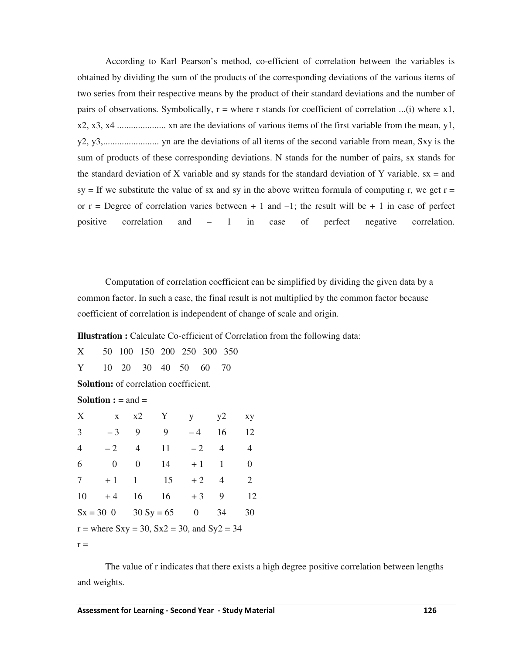According to Karl Pearson's method, co-efficient of correlation between the variables is obtained by dividing the sum of the products of the corresponding deviations of the various items of two series from their respective means by the product of their standard deviations and the number of pairs of observations. Symbolically,  $r =$  where r stands for coefficient of correlation ...(i) where x1, x2, x3, x4 ..................... xn are the deviations of various items of the first variable from the mean, y1, y2, y3,........................ yn are the deviations of all items of the second variable from mean, Sxy is the sum of products of these corresponding deviations. N stands for the number of pairs, sx stands for the standard deviation of X variable and sy stands for the standard deviation of Y variable.  $sx = and$  $sy = If we substitute the value of sx and sy in the above written formula of computing r, we get r =$ or  $r =$  Degree of correlation varies between + 1 and  $-1$ ; the result will be + 1 in case of perfect positive correlation and – 1 in case of perfect negative correlation.

Computation of correlation coefficient can be simplified by dividing the given data by a common factor. In such a case, the final result is not multiplied by the common factor because coefficient of correlation is independent of change of scale and origin.

**Illustration :** Calculate Co-efficient of Correlation from the following data:

| X 50 100 150 200 250 300 350 |  |  |  |  |
|------------------------------|--|--|--|--|
| Y 10 20 30 40 50 60 70       |  |  |  |  |

**Solution:** of correlation coefficient.

**Solution :**  $=$  and  $=$ 

| X              | $\mathbf{X}$                                 | x2             | Y  | V              | y2             | <b>XV</b>      |
|----------------|----------------------------------------------|----------------|----|----------------|----------------|----------------|
| 3              | - 3                                          | 9              | 9  | $-4$           | 16             | 12             |
| $\overline{4}$ | $-2$                                         | 4              | 11 | $-2$           | $\overline{4}$ | 4              |
| 6              | $\theta$                                     | $\overline{0}$ | 14 | $+1$           | 1              | 0              |
| 7              | $+1$                                         | 1              | 15 | $+2$           | $\overline{4}$ | $\overline{2}$ |
| 10             | $+4$                                         | -16            | 16 | $+3$           | 9              | 12             |
|                | $Sx = 30 \t0 \t30 Sy = 65$                   |                |    | $\overline{0}$ | 34             | 30             |
|                | $r =$ where Sxy = 30, Sx2 = 30, and Sy2 = 34 |                |    |                |                |                |
| $r =$          |                                              |                |    |                |                |                |

The value of r indicates that there exists a high degree positive correlation between lengths and weights.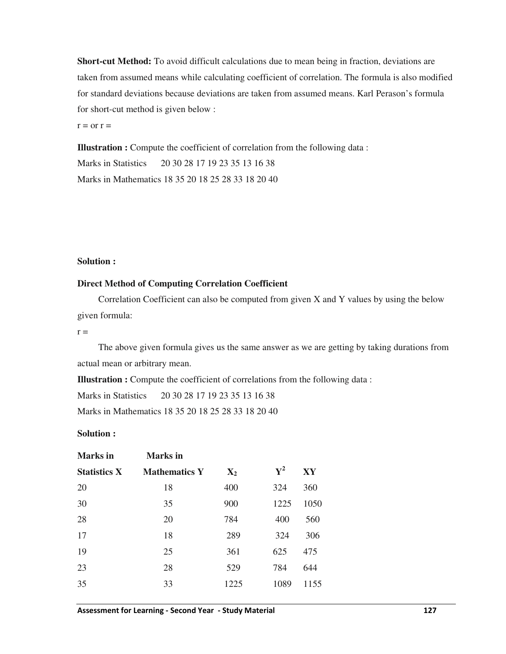**Short-cut Method:** To avoid difficult calculations due to mean being in fraction, deviations are taken from assumed means while calculating coefficient of correlation. The formula is also modified for standard deviations because deviations are taken from assumed means. Karl Perason's formula for short-cut method is given below :

 $r =$  or  $r =$ 

**Illustration :** Compute the coefficient of correlation from the following data : Marks in Statistics 20 30 28 17 19 23 35 13 16 38 Marks in Mathematics 18 35 20 18 25 28 33 18 20 40

### **Solution :**

### **Direct Method of Computing Correlation Coefficient**

 Correlation Coefficient can also be computed from given X and Y values by using the below given formula:

 $r =$ 

 The above given formula gives us the same answer as we are getting by taking durations from actual mean or arbitrary mean.

**Illustration :** Compute the coefficient of correlations from the following data :

Marks in Statistics 20 30 28 17 19 23 35 13 16 38 Marks in Mathematics 18 35 20 18 25 28 33 18 20 40

### **Solution :**

| <b>Marks</b> in     | <b>Marks</b> in      |                |             |      |
|---------------------|----------------------|----------------|-------------|------|
| <b>Statistics X</b> | <b>Mathematics Y</b> | $\mathbf{X}_2$ | ${\bf V}^2$ | XY   |
| 20                  | 18                   | 400            | 324         | 360  |
| 30                  | 35                   | 900            | 1225        | 1050 |
| 28                  | 20                   | 784            | 400         | 560  |
| 17                  | 18                   | 289            | 324         | 306  |
| 19                  | 25                   | 361            | 625         | 475  |
| 23                  | 28                   | 529            | 784         | 644  |
| 35                  | 33                   | 1225           | 1089        | 1155 |
|                     |                      |                |             |      |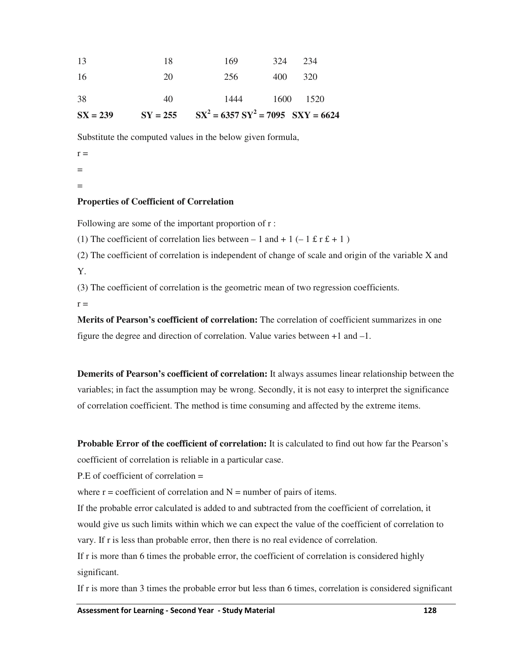| $SX = 239$ |    | $SY = 255$ $SX^2 = 6357$ $SY^2 = 7095$ $SXY = 6624$ |     |           |
|------------|----|-----------------------------------------------------|-----|-----------|
| 38         | 40 | 1444                                                |     | 1600 1520 |
| -16        | 20 | 256                                                 | 400 | 320       |
| 13         | 18 | 169                                                 | 324 | 234       |

Substitute the computed values in the below given formula,

 $r =$ 

=

=

### **Properties of Coefficient of Correlation**

Following are some of the important proportion of r :

(1) The coefficient of correlation lies between – 1 and + 1 (– 1 £ r  $\text{\pounds}$  + 1)

(2) The coefficient of correlation is independent of change of scale and origin of the variable X and Y.

(3) The coefficient of correlation is the geometric mean of two regression coefficients.

 $r =$ 

**Merits of Pearson's coefficient of correlation:** The correlation of coefficient summarizes in one figure the degree and direction of correlation. Value varies between +1 and –1.

**Demerits of Pearson's coefficient of correlation:** It always assumes linear relationship between the variables; in fact the assumption may be wrong. Secondly, it is not easy to interpret the significance of correlation coefficient. The method is time consuming and affected by the extreme items.

**Probable Error of the coefficient of correlation:** It is calculated to find out how far the Pearson's coefficient of correlation is reliable in a particular case.

P.E of coefficient of correlation =

where  $r =$  coefficient of correlation and  $N =$  number of pairs of items.

If the probable error calculated is added to and subtracted from the coefficient of correlation, it would give us such limits within which we can expect the value of the coefficient of correlation to vary. If r is less than probable error, then there is no real evidence of correlation.

If r is more than 6 times the probable error, the coefficient of correlation is considered highly significant.

If r is more than 3 times the probable error but less than 6 times, correlation is considered significant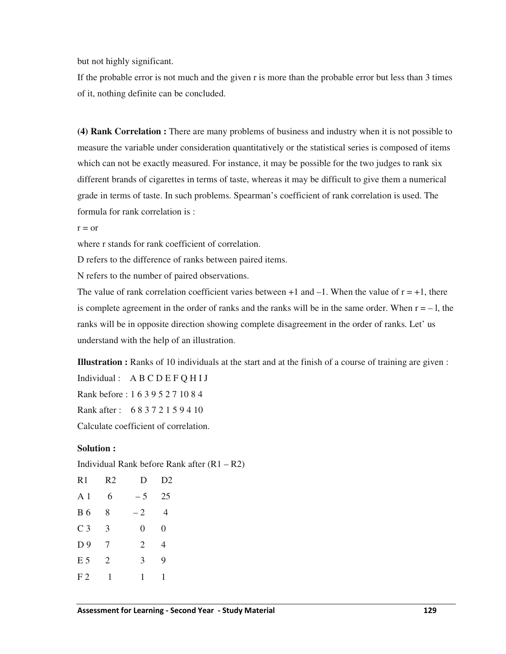but not highly significant.

If the probable error is not much and the given r is more than the probable error but less than 3 times of it, nothing definite can be concluded.

**(4) Rank Correlation :** There are many problems of business and industry when it is not possible to measure the variable under consideration quantitatively or the statistical series is composed of items which can not be exactly measured. For instance, it may be possible for the two judges to rank six different brands of cigarettes in terms of taste, whereas it may be difficult to give them a numerical grade in terms of taste. In such problems. Spearman's coefficient of rank correlation is used. The formula for rank correlation is :

 $r = \alpha r$ 

where r stands for rank coefficient of correlation.

D refers to the difference of ranks between paired items.

N refers to the number of paired observations.

The value of rank correlation coefficient varies between  $+1$  and  $-1$ . When the value of  $r = +1$ , there is complete agreement in the order of ranks and the ranks will be in the same order. When  $r = -1$ , the ranks will be in opposite direction showing complete disagreement in the order of ranks. Let' us understand with the help of an illustration.

**Illustration :** Ranks of 10 individuals at the start and at the finish of a course of training are given : Individual : A B C D E F Q H I J Rank before : 1 6 3 9 5 2 7 10 8 4 Rank after : 6 8 3 7 2 1 5 9 4 10 Calculate coefficient of correlation.

#### **Solution :**

Individual Rank before Rank after  $(R1 - R2)$ 

| R <sub>1</sub> | R <sub>2</sub> | D              | D <sub>2</sub> |
|----------------|----------------|----------------|----------------|
| $\mathbf{A}$ 1 | 6              | - 5            | 25             |
| <b>B</b> 6     | 8              | $-2$           | 4              |
| C <sub>3</sub> | 3              | 0              | 0              |
| D <sub>9</sub> | 7              | $\overline{2}$ | 4              |
| E 5            | $\overline{2}$ | 3              | 9              |
| F <sub>2</sub> | 1              | 1              | 1              |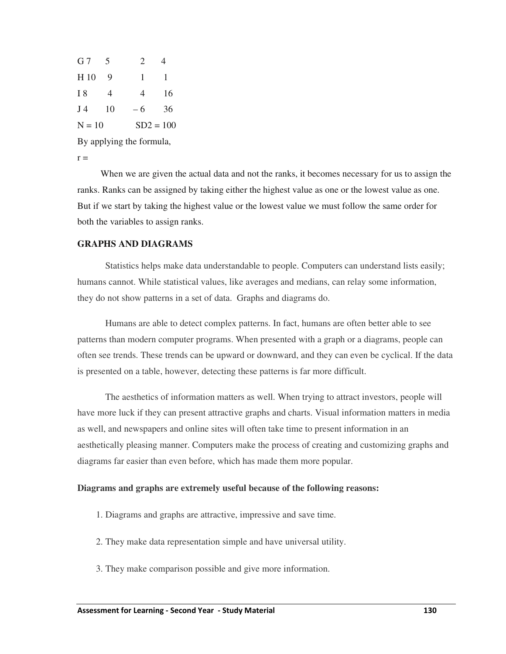| G <sub>7</sub> | 5              | 2              |    |
|----------------|----------------|----------------|----|
| $H_1$ 10       | Q              | 1              | 1  |
| I 8            | $\overline{4}$ | $\overline{4}$ | 16 |
| $J_4$          | 10             | - 6            | 36 |
| $N = 10$       |                | $SD2 = 100$    |    |

By applying the formula,

 $r =$ 

 When we are given the actual data and not the ranks, it becomes necessary for us to assign the ranks. Ranks can be assigned by taking either the highest value as one or the lowest value as one. But if we start by taking the highest value or the lowest value we must follow the same order for both the variables to assign ranks.

### **GRAPHS AND DIAGRAMS**

Statistics helps make data understandable to people. Computers can understand lists easily; humans cannot. While statistical values, like averages and medians, can relay some information, they do not show patterns in a set of data. Graphs and diagrams do.

Humans are able to detect complex patterns. In fact, humans are often better able to see patterns than modern computer programs. When presented with a graph or a diagrams, people can often see trends. These trends can be upward or downward, and they can even be cyclical. If the data is presented on a table, however, detecting these patterns is far more difficult.

The aesthetics of information matters as well. When trying to attract investors, people will have more luck if they can present attractive graphs and charts. Visual information matters in media as well, and newspapers and online sites will often take time to present information in an aesthetically pleasing manner. Computers make the process of creating and customizing graphs and diagrams far easier than even before, which has made them more popular.

#### **Diagrams and graphs are extremely useful because of the following reasons:**

- 1. Diagrams and graphs are attractive, impressive and save time.
- 2. They make data representation simple and have universal utility.
- 3. They make comparison possible and give more information.